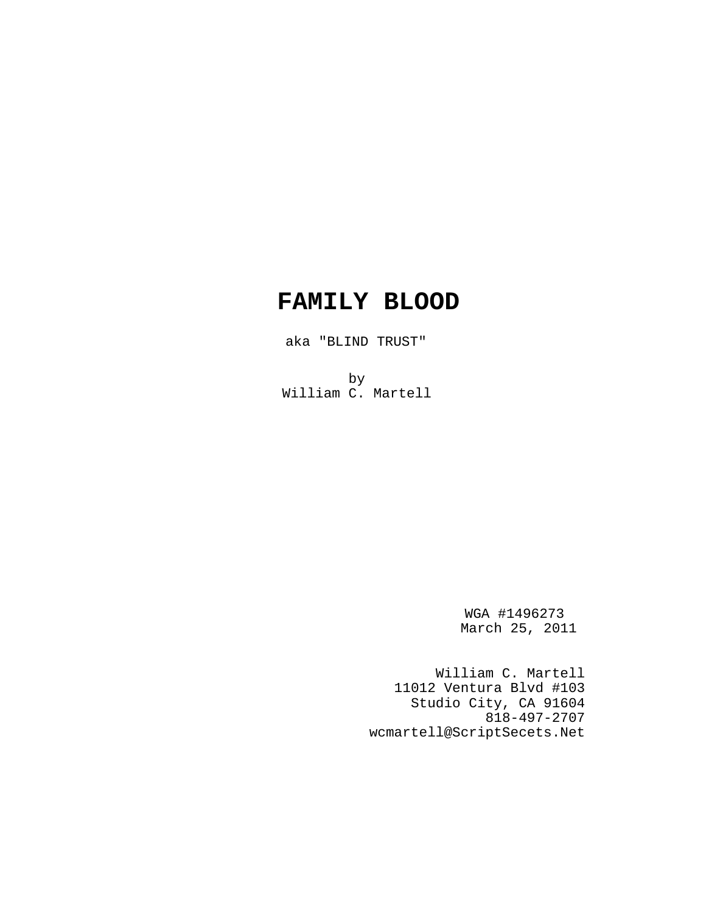# **FAMILY BLOOD**

aka "BLIND TRUST"

by William C. Martell

> WGA #1496273 March 25, 2011

William C. Martell 11012 Ventura Blvd #103 Studio City, CA 91604 818-497-2707 wcmartell@ScriptSecets.Net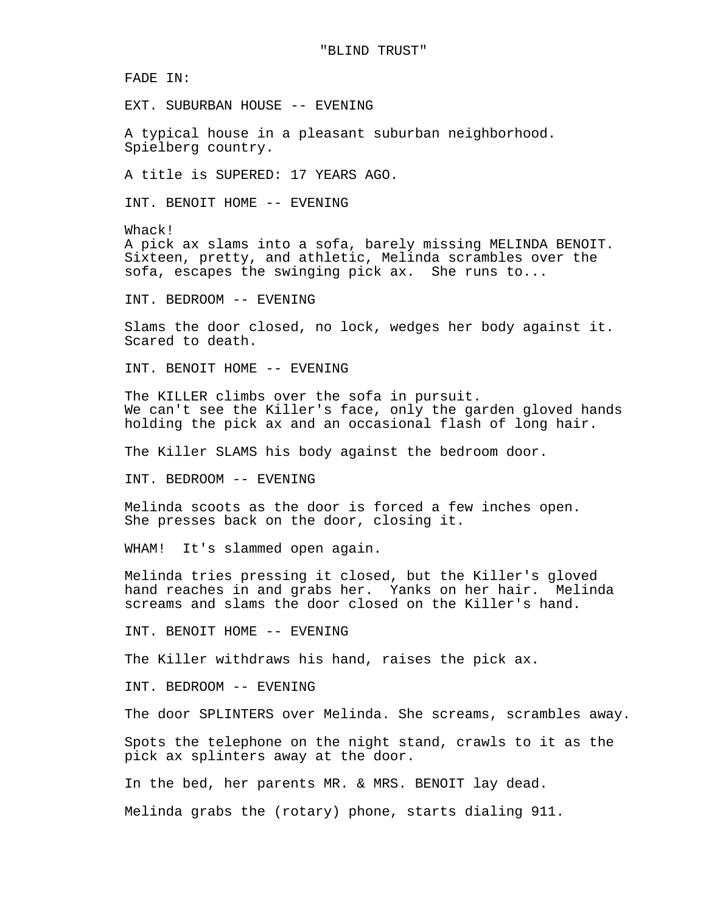FADE IN:

EXT. SUBURBAN HOUSE -- EVENING

A typical house in a pleasant suburban neighborhood. Spielberg country.

A title is SUPERED: 17 YEARS AGO.

INT. BENOIT HOME -- EVENING

Whack! A pick ax slams into a sofa, barely missing MELINDA BENOIT. Sixteen, pretty, and athletic, Melinda scrambles over the sofa, escapes the swinging pick ax. She runs to...

INT. BEDROOM -- EVENING

Slams the door closed, no lock, wedges her body against it. Scared to death.

INT. BENOIT HOME -- EVENING

The KILLER climbs over the sofa in pursuit. We can't see the Killer's face, only the garden gloved hands holding the pick ax and an occasional flash of long hair.

The Killer SLAMS his body against the bedroom door.

INT. BEDROOM -- EVENING

Melinda scoots as the door is forced a few inches open. She presses back on the door, closing it.

WHAM! It's slammed open again.

Melinda tries pressing it closed, but the Killer's gloved hand reaches in and grabs her. Yanks on her hair. Melinda screams and slams the door closed on the Killer's hand.

INT. BENOIT HOME -- EVENING

The Killer withdraws his hand, raises the pick ax.

INT. BEDROOM -- EVENING

The door SPLINTERS over Melinda. She screams, scrambles away.

Spots the telephone on the night stand, crawls to it as the pick ax splinters away at the door.

In the bed, her parents MR. & MRS. BENOIT lay dead.

Melinda grabs the (rotary) phone, starts dialing 911.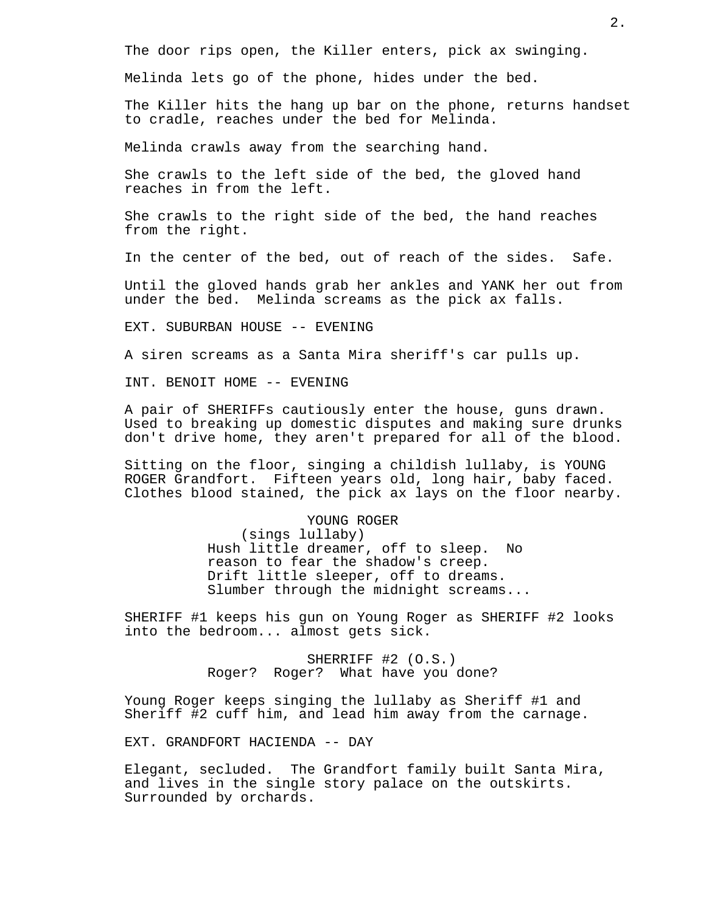The door rips open, the Killer enters, pick ax swinging.

Melinda lets go of the phone, hides under the bed.

The Killer hits the hang up bar on the phone, returns handset to cradle, reaches under the bed for Melinda.

Melinda crawls away from the searching hand.

She crawls to the left side of the bed, the gloved hand reaches in from the left.

She crawls to the right side of the bed, the hand reaches from the right.

In the center of the bed, out of reach of the sides. Safe.

Until the gloved hands grab her ankles and YANK her out from under the bed. Melinda screams as the pick ax falls.

EXT. SUBURBAN HOUSE -- EVENING

A siren screams as a Santa Mira sheriff's car pulls up.

INT. BENOIT HOME -- EVENING

A pair of SHERIFFs cautiously enter the house, guns drawn. Used to breaking up domestic disputes and making sure drunks don't drive home, they aren't prepared for all of the blood.

Sitting on the floor, singing a childish lullaby, is YOUNG ROGER Grandfort. Fifteen years old, long hair, baby faced. Clothes blood stained, the pick ax lays on the floor nearby.

> YOUNG ROGER (sings lullaby) Hush little dreamer, off to sleep. No reason to fear the shadow's creep. Drift little sleeper, off to dreams. Slumber through the midnight screams...

SHERIFF #1 keeps his gun on Young Roger as SHERIFF #2 looks into the bedroom... almost gets sick.

> SHERRIFF #2 (O.S.) Roger? Roger? What have you done?

Young Roger keeps singing the lullaby as Sheriff #1 and Sheriff #2 cuff him, and lead him away from the carnage.

EXT. GRANDFORT HACIENDA -- DAY

Elegant, secluded. The Grandfort family built Santa Mira, and lives in the single story palace on the outskirts. Surrounded by orchards.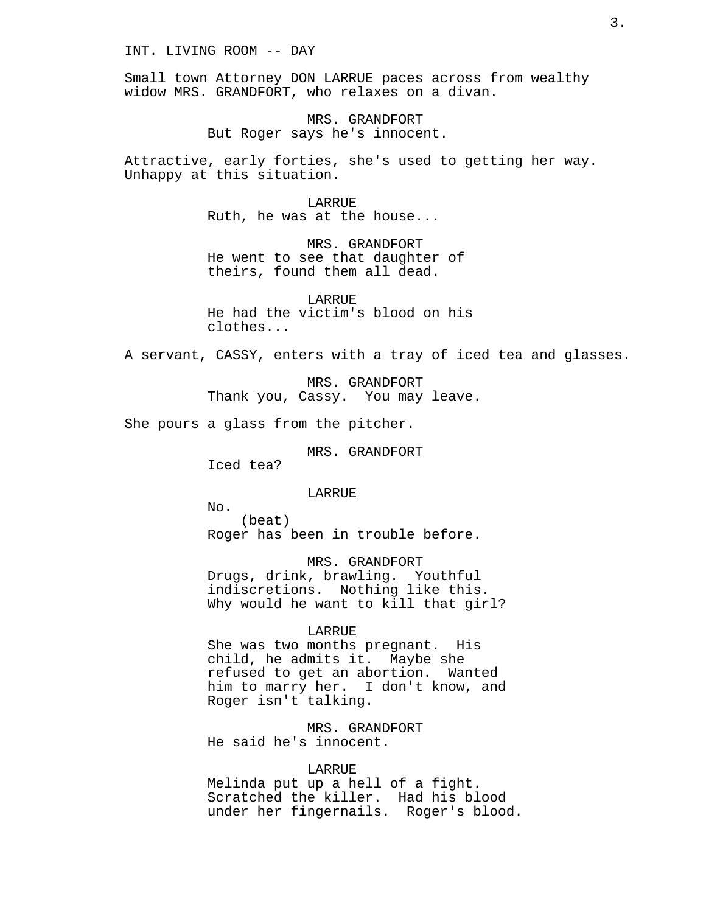INT. LIVING ROOM -- DAY

Small town Attorney DON LARRUE paces across from wealthy widow MRS. GRANDFORT, who relaxes on a divan.

> MRS. GRANDFORT But Roger says he's innocent.

Attractive, early forties, she's used to getting her way. Unhappy at this situation.

> LARRUE Ruth, he was at the house...

MRS. GRANDFORT He went to see that daughter of theirs, found them all dead.

LARRUE He had the victim's blood on his clothes...

A servant, CASSY, enters with a tray of iced tea and glasses.

MRS. GRANDFORT Thank you, Cassy. You may leave.

She pours a glass from the pitcher.

MRS. GRANDFORT

Iced tea?

LARRUE

No. (beat) Roger has been in trouble before.

MRS. GRANDFORT Drugs, drink, brawling. Youthful indiscretions. Nothing like this. Why would he want to kill that girl?

#### LARRUE

She was two months pregnant. His child, he admits it. Maybe she refused to get an abortion. Wanted him to marry her. I don't know, and Roger isn't talking.

MRS. GRANDFORT He said he's innocent.

#### LARRUE

Melinda put up a hell of a fight. Scratched the killer. Had his blood under her fingernails. Roger's blood.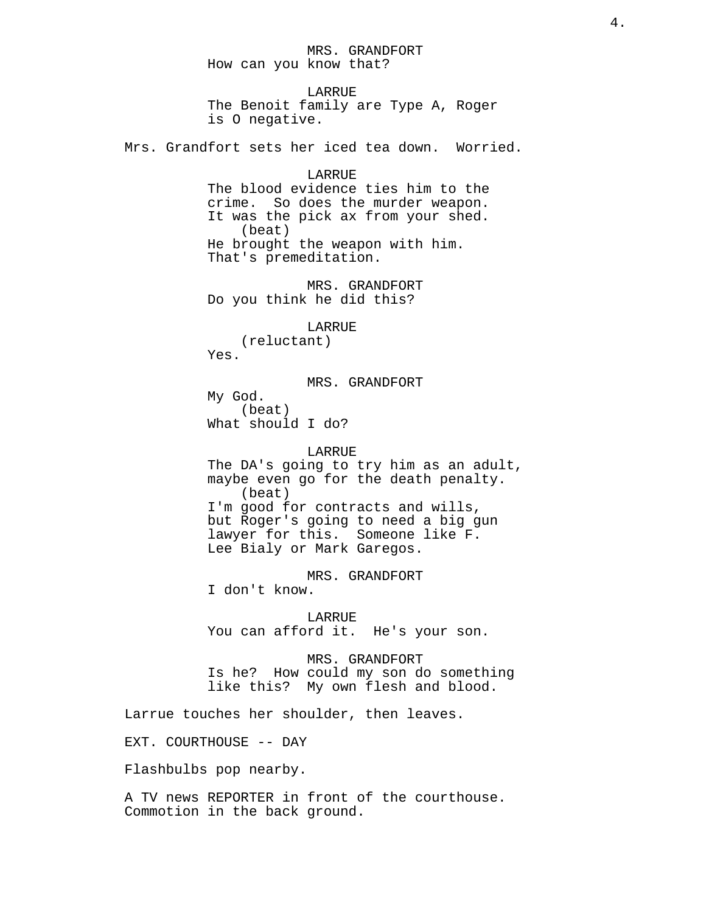MRS. GRANDFORT How can you know that?

LARRUE The Benoit family are Type A, Roger is O negative.

Mrs. Grandfort sets her iced tea down. Worried.

LARRUE The blood evidence ties him to the crime. So does the murder weapon. It was the pick ax from your shed. (beat) He brought the weapon with him. That's premeditation.

MRS. GRANDFORT Do you think he did this?

LARRUE

(reluctant) Yes.

MRS. GRANDFORT

My God. (beat) What should I do?

#### LARRUE

The DA's going to try him as an adult, maybe even go for the death penalty. (beat) I'm good for contracts and wills, but Roger's going to need a big gun lawyer for this. Someone like F. Lee Bialy or Mark Garegos.

MRS. GRANDFORT I don't know.

LARRUE You can afford it. He's your son.

MRS. GRANDFORT Is he? How could my son do something like this? My own flesh and blood.

Larrue touches her shoulder, then leaves.

EXT. COURTHOUSE -- DAY

Flashbulbs pop nearby.

A TV news REPORTER in front of the courthouse. Commotion in the back ground.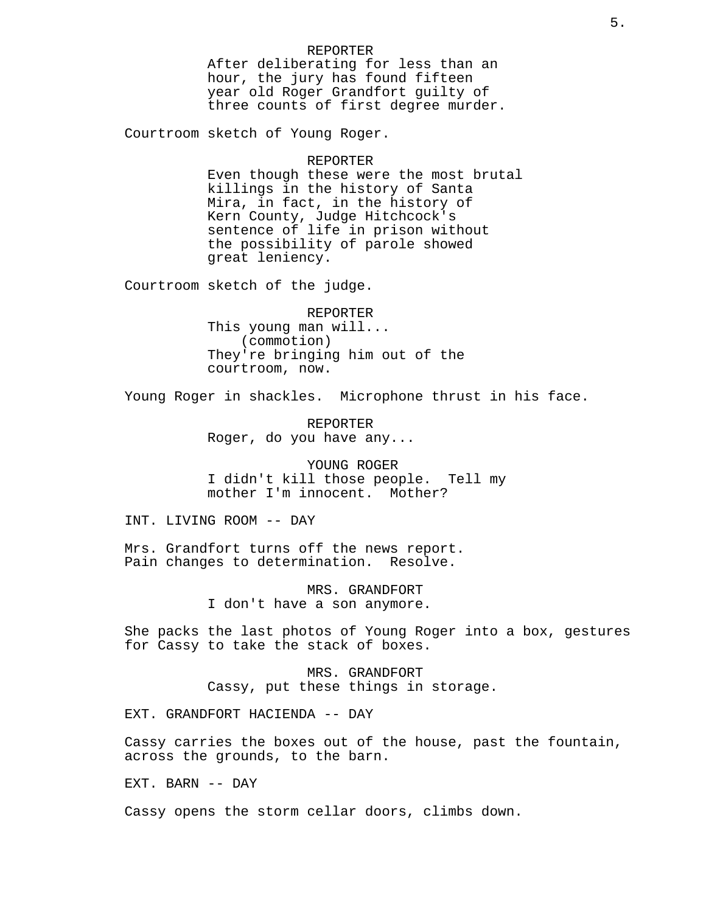# REPORTER

After deliberating for less than an hour, the jury has found fifteen year old Roger Grandfort guilty of three counts of first degree murder.

Courtroom sketch of Young Roger.

#### REPORTER

Even though these were the most brutal killings in the history of Santa Mira, in fact, in the history of Kern County, Judge Hitchcock's sentence of life in prison without the possibility of parole showed great leniency.

Courtroom sketch of the judge.

REPORTER

This young man will... (commotion) They're bringing him out of the courtroom, now.

Young Roger in shackles. Microphone thrust in his face.

REPORTER Roger, do you have any...

YOUNG ROGER I didn't kill those people. Tell my mother I'm innocent. Mother?

INT. LIVING ROOM -- DAY

Mrs. Grandfort turns off the news report. Pain changes to determination. Resolve.

> MRS. GRANDFORT I don't have a son anymore.

She packs the last photos of Young Roger into a box, gestures for Cassy to take the stack of boxes.

> MRS. GRANDFORT Cassy, put these things in storage.

EXT. GRANDFORT HACIENDA -- DAY

Cassy carries the boxes out of the house, past the fountain, across the grounds, to the barn.

EXT. BARN -- DAY

Cassy opens the storm cellar doors, climbs down.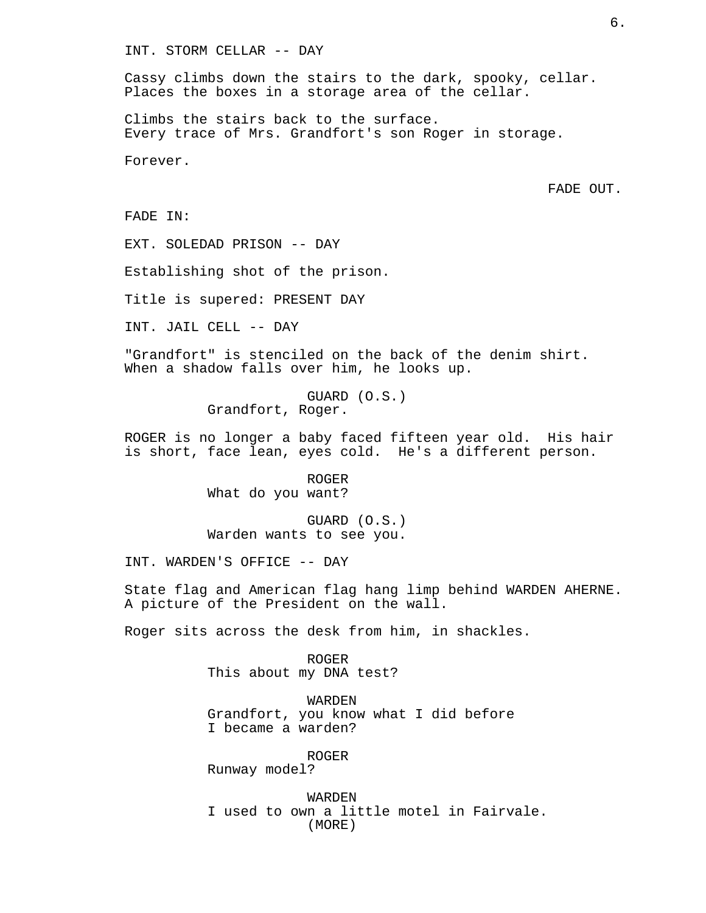Cassy climbs down the stairs to the dark, spooky, cellar. Places the boxes in a storage area of the cellar.

Climbs the stairs back to the surface. Every trace of Mrs. Grandfort's son Roger in storage.

Forever.

FADE OUT.

FADE IN:

EXT. SOLEDAD PRISON -- DAY

Establishing shot of the prison.

Title is supered: PRESENT DAY

INT. JAIL CELL -- DAY

"Grandfort" is stenciled on the back of the denim shirt. When a shadow falls over him, he looks up.

> GUARD (O.S.) Grandfort, Roger.

ROGER is no longer a baby faced fifteen year old. His hair is short, face lean, eyes cold. He's a different person.

> ROGER What do you want?

GUARD (O.S.) Warden wants to see you.

INT. WARDEN'S OFFICE -- DAY

State flag and American flag hang limp behind WARDEN AHERNE. A picture of the President on the wall.

Roger sits across the desk from him, in shackles.

ROGER This about my DNA test?

WARDEN Grandfort, you know what I did before I became a warden?

ROGER

Runway model?

WARDEN I used to own a little motel in Fairvale. (MORE)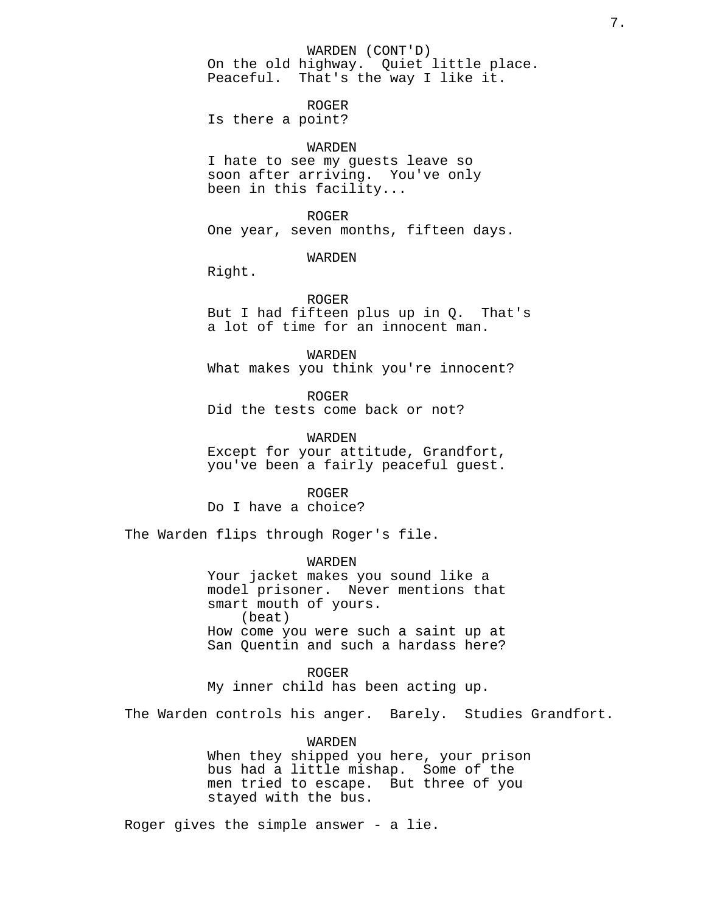WARDEN (CONT'D)

On the old highway. Quiet little place. Peaceful. That's the way I like it.

ROGER Is there a point?

# WARDEN

I hate to see my guests leave so soon after arriving. You've only been in this facility...

ROGER

One year, seven months, fifteen days.

WARDEN

Right.

ROGER

But I had fifteen plus up in Q. That's a lot of time for an innocent man.

WARDEN What makes you think you're innocent?

ROGER Did the tests come back or not?

WARDEN Except for your attitude, Grandfort, you've been a fairly peaceful guest.

ROGER Do I have a choice?

The Warden flips through Roger's file.

WARDEN Your jacket makes you sound like a model prisoner. Never mentions that smart mouth of yours. (beat) How come you were such a saint up at San Quentin and such a hardass here?

ROGER My inner child has been acting up.

The Warden controls his anger. Barely. Studies Grandfort.

WARDEN When they shipped you here, your prison bus had a little mishap. Some of the men tried to escape. But three of you stayed with the bus.

Roger gives the simple answer - a lie.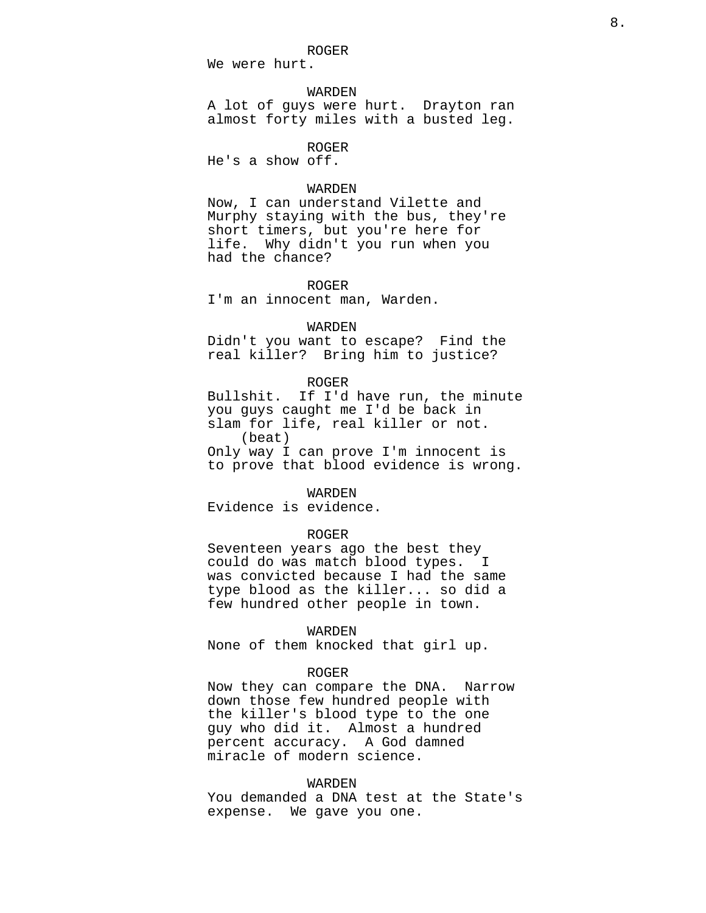ROGER

We were hurt.

## WARDEN

A lot of guys were hurt. Drayton ran almost forty miles with a busted leg.

ROGER

He's a show off.

# WARDEN

Now, I can understand Vilette and Murphy staying with the bus, they're short timers, but you're here for life. Why didn't you run when you had the chance?

#### ROGER

I'm an innocent man, Warden.

#### WARDEN

Didn't you want to escape? Find the real killer? Bring him to justice?

#### ROGER

Bullshit. If I'd have run, the minute you guys caught me I'd be back in slam for life, real killer or not. (beat)

Only way I can prove I'm innocent is to prove that blood evidence is wrong.

# WARDEN

Evidence is evidence.

#### ROGER

Seventeen years ago the best they could do was match blood types. I was convicted because I had the same type blood as the killer... so did a few hundred other people in town.

# WARDEN

None of them knocked that girl up.

# ROGER

Now they can compare the DNA. Narrow down those few hundred people with the killer's blood type to the one guy who did it. Almost a hundred percent accuracy. A God damned miracle of modern science.

#### WARDEN

You demanded a DNA test at the State's expense. We gave you one.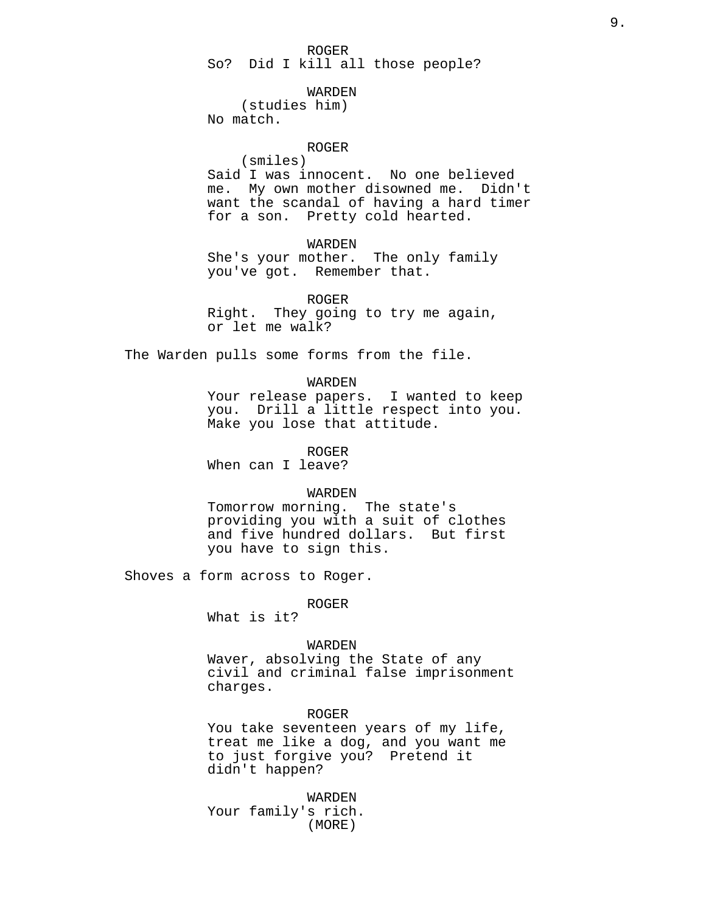# ROGER

So? Did I kill all those people?

#### WARDEN

(studies him) No match.

# ROGER

(smiles) Said I was innocent. No one believed me. My own mother disowned me. Didn't want the scandal of having a hard timer for a son. Pretty cold hearted.

# WARDEN

She's your mother. The only family you've got. Remember that.

ROGER

Right. They going to try me again, or let me walk?

The Warden pulls some forms from the file.

#### WARDEN

Your release papers. I wanted to keep you. Drill a little respect into you. Make you lose that attitude.

ROGER

When can I leave?

# WARDEN

Tomorrow morning. The state's providing you with a suit of clothes and five hundred dollars. But first you have to sign this.

Shoves a form across to Roger.

ROGER

What is it?

#### WARDEN

Waver, absolving the State of any civil and criminal false imprisonment charges.

# ROGER

You take seventeen years of my life, treat me like a dog, and you want me to just forgive you? Pretend it didn't happen?

WARDEN Your family's rich. (MORE)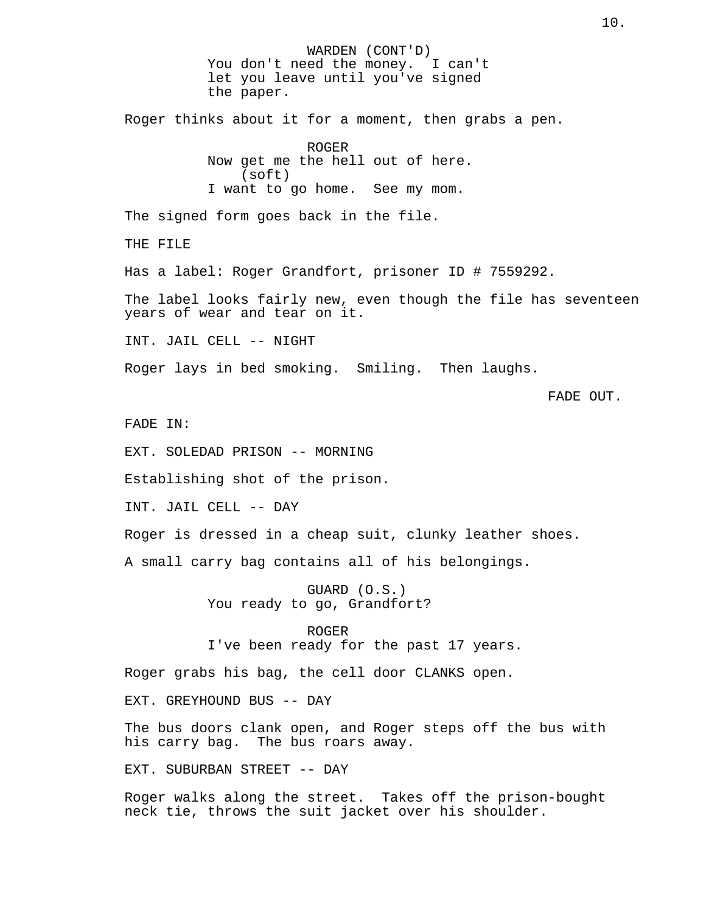WARDEN (CONT'D) You don't need the money. I can't let you leave until you've signed the paper. Roger thinks about it for a moment, then grabs a pen. ROGER Now get me the hell out of here. (soft) I want to go home. See my mom. The signed form goes back in the file. THE FILE Has a label: Roger Grandfort, prisoner ID # 7559292. The label looks fairly new, even though the file has seventeen years of wear and tear on it. INT. JAIL CELL -- NIGHT Roger lays in bed smoking. Smiling. Then laughs. FADE OUT. FADE IN: EXT. SOLEDAD PRISON -- MORNING Establishing shot of the prison. INT. JAIL CELL -- DAY Roger is dressed in a cheap suit, clunky leather shoes. A small carry bag contains all of his belongings. GUARD (O.S.) You ready to go, Grandfort? ROGER I've been ready for the past 17 years. Roger grabs his bag, the cell door CLANKS open. EXT. GREYHOUND BUS -- DAY The bus doors clank open, and Roger steps off the bus with his carry bag. The bus roars away. EXT. SUBURBAN STREET -- DAY

Roger walks along the street. Takes off the prison-bought neck tie, throws the suit jacket over his shoulder.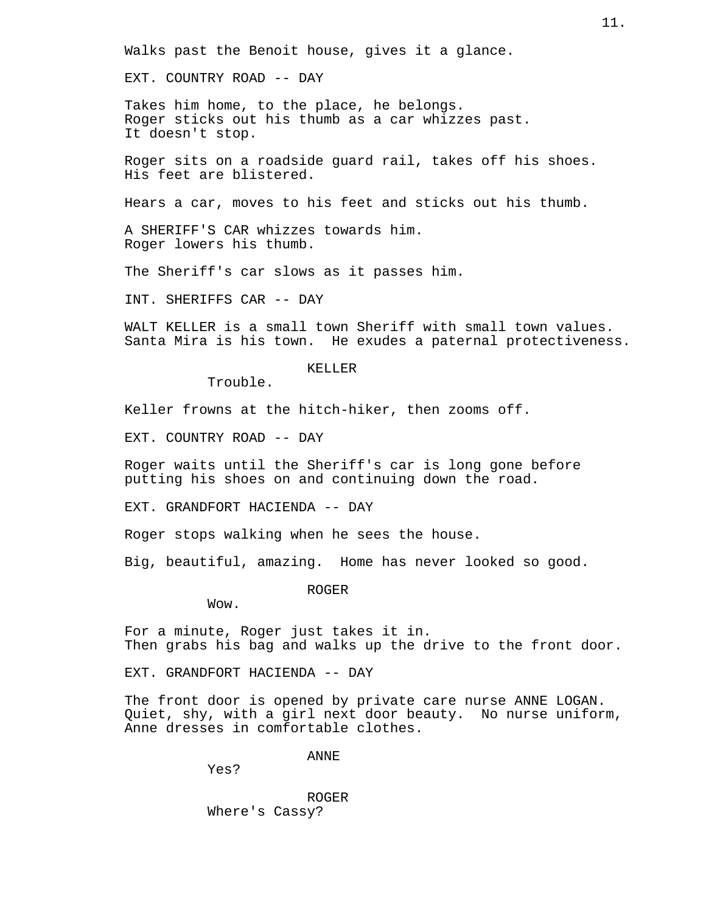Walks past the Benoit house, gives it a glance.

EXT. COUNTRY ROAD -- DAY

Takes him home, to the place, he belongs. Roger sticks out his thumb as a car whizzes past. It doesn't stop.

Roger sits on a roadside guard rail, takes off his shoes. His feet are blistered.

Hears a car, moves to his feet and sticks out his thumb.

A SHERIFF'S CAR whizzes towards him. Roger lowers his thumb.

The Sheriff's car slows as it passes him.

INT. SHERIFFS CAR -- DAY

WALT KELLER is a small town Sheriff with small town values. Santa Mira is his town. He exudes a paternal protectiveness.

# KELLER

Trouble.

Keller frowns at the hitch-hiker, then zooms off.

EXT. COUNTRY ROAD -- DAY

Roger waits until the Sheriff's car is long gone before putting his shoes on and continuing down the road.

EXT. GRANDFORT HACIENDA -- DAY

Roger stops walking when he sees the house.

Big, beautiful, amazing. Home has never looked so good.

ROGER

Wow.

For a minute, Roger just takes it in. Then grabs his bag and walks up the drive to the front door.

EXT. GRANDFORT HACIENDA -- DAY

The front door is opened by private care nurse ANNE LOGAN. Quiet, shy, with a girl next door beauty. No nurse uniform, Anne dresses in comfortable clothes.

ANNE

Yes?

ROGER Where's Cassy?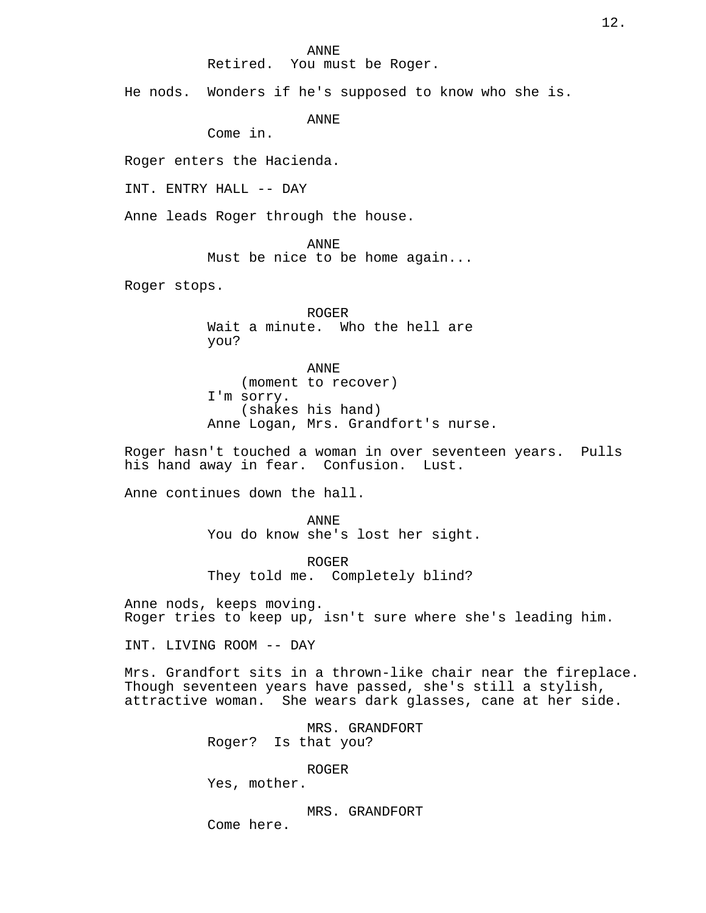#### ANNE

Retired. You must be Roger.

He nods. Wonders if he's supposed to know who she is.

ANNE

Come in.

Roger enters the Hacienda.

INT. ENTRY HALL -- DAY

Anne leads Roger through the house.

ANNE

Must be nice to be home again...

Roger stops.

ROGER Wait a minute. Who the hell are you?

ANNE (moment to recover) I'm sorry. (shakes his hand) Anne Logan, Mrs. Grandfort's nurse.

Roger hasn't touched a woman in over seventeen years. Pulls his hand away in fear. Confusion. Lust.

Anne continues down the hall.

ANNE You do know she's lost her sight.

ROGER They told me. Completely blind?

Anne nods, keeps moving. Roger tries to keep up, isn't sure where she's leading him.

INT. LIVING ROOM -- DAY

Mrs. Grandfort sits in a thrown-like chair near the fireplace. Though seventeen years have passed, she's still a stylish, attractive woman. She wears dark glasses, cane at her side.

> MRS. GRANDFORT Roger? Is that you?

> > ROGER

Yes, mother.

MRS. GRANDFORT Come here.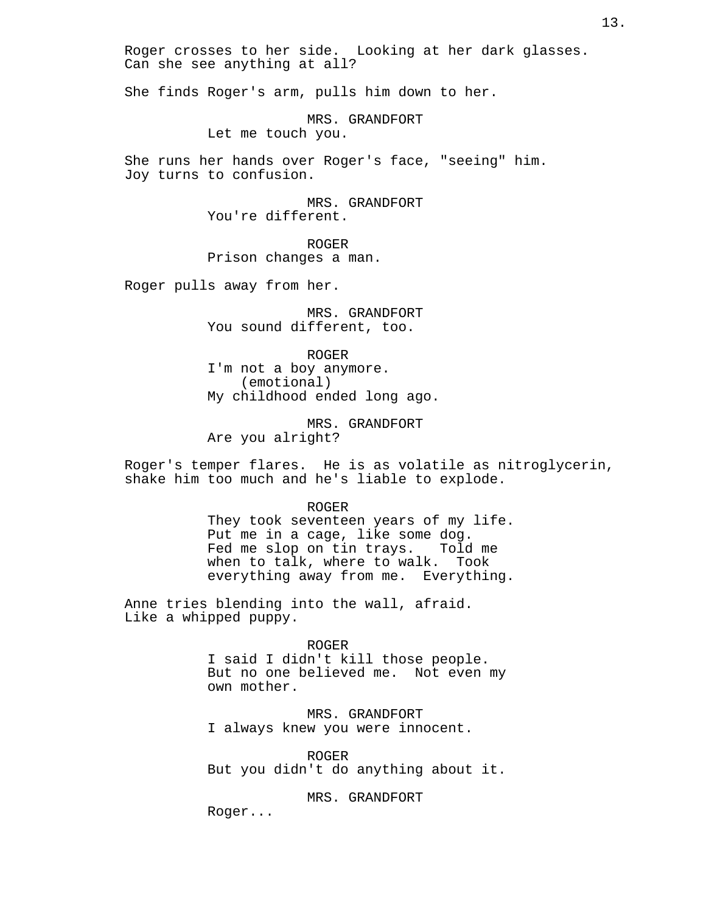Roger crosses to her side. Looking at her dark glasses. Can she see anything at all?

She finds Roger's arm, pulls him down to her.

MRS. GRANDFORT Let me touch you.

She runs her hands over Roger's face, "seeing" him. Joy turns to confusion.

> MRS. GRANDFORT You're different.

ROGER Prison changes a man.

Roger pulls away from her.

MRS. GRANDFORT You sound different, too.

ROGER I'm not a boy anymore. (emotional) My childhood ended long ago.

MRS. GRANDFORT Are you alright?

Roger's temper flares. He is as volatile as nitroglycerin, shake him too much and he's liable to explode.

> ROGER They took seventeen years of my life. Put me in a cage, like some dog. Fed me slop on tin trays. Told me when to talk, where to walk. Took everything away from me. Everything.

Anne tries blending into the wall, afraid. Like a whipped puppy.

ROGER

I said I didn't kill those people. But no one believed me. Not even my own mother.

MRS. GRANDFORT I always knew you were innocent.

ROGER But you didn't do anything about it.

MRS. GRANDFORT

Roger...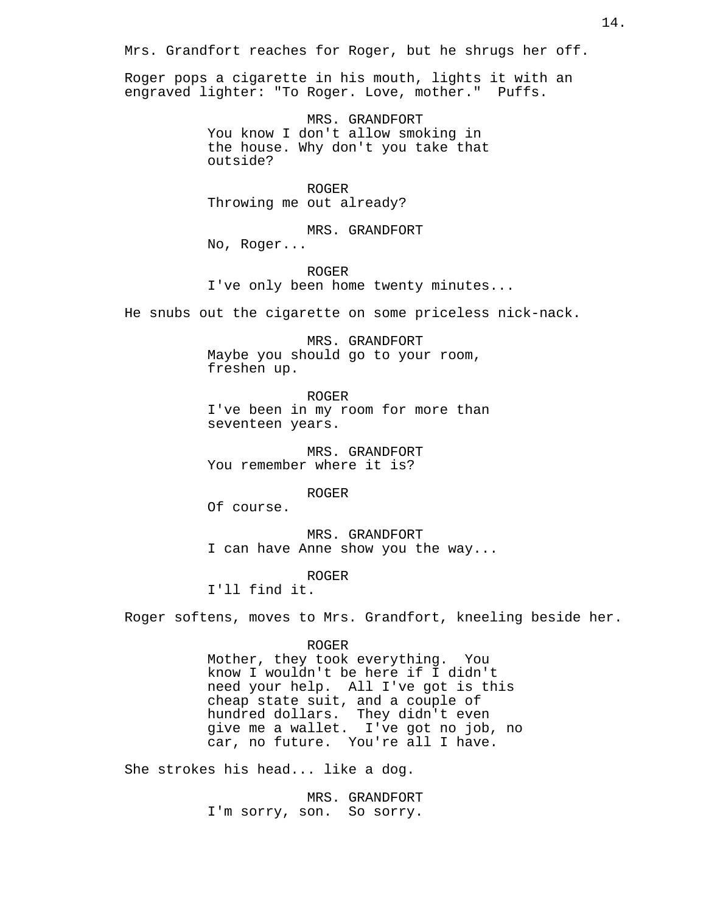Mrs. Grandfort reaches for Roger, but he shrugs her off.

Roger pops a cigarette in his mouth, lights it with an engraved lighter: "To Roger. Love, mother." Puffs.

> MRS. GRANDFORT You know I don't allow smoking in the house. Why don't you take that outside?

ROGER Throwing me out already?

MRS. GRANDFORT No, Roger...

ROGER I've only been home twenty minutes...

He snubs out the cigarette on some priceless nick-nack.

MRS. GRANDFORT Maybe you should go to your room, freshen up.

ROGER I've been in my room for more than seventeen years.

MRS. GRANDFORT You remember where it is?

ROGER

Of course.

MRS. GRANDFORT I can have Anne show you the way...

ROGER

I'll find it.

Roger softens, moves to Mrs. Grandfort, kneeling beside her.

#### ROGER

Mother, they took everything. You know I wouldn't be here if I didn't need your help. All I've got is this cheap state suit, and a couple of hundred dollars. They didn't even give me a wallet. I've got no job, no car, no future. You're all I have.

She strokes his head... like a dog.

MRS. GRANDFORT I'm sorry, son. So sorry.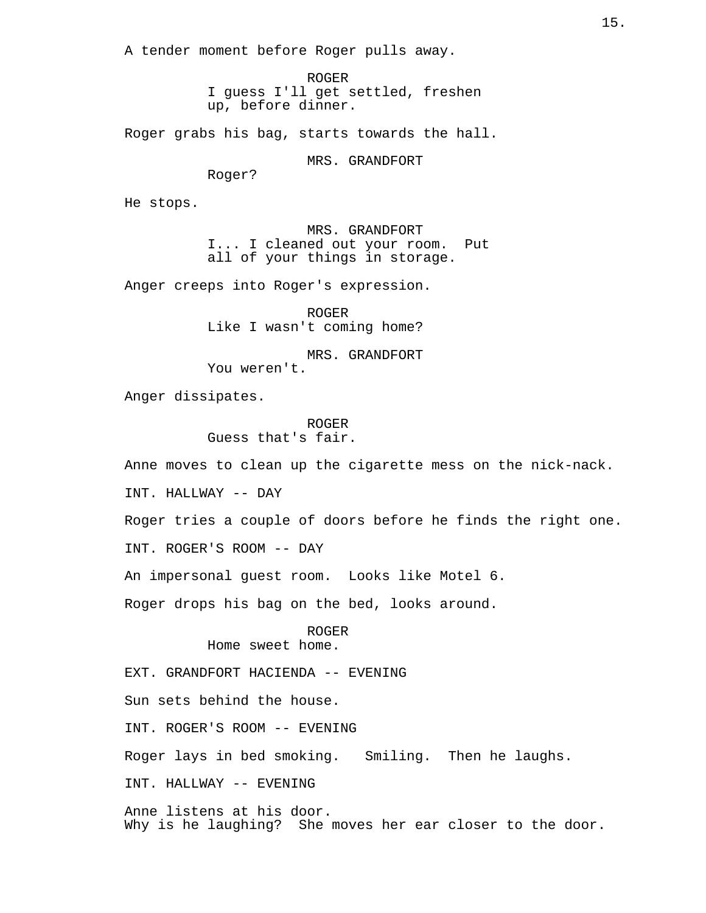A tender moment before Roger pulls away.

ROGER I guess I'll get settled, freshen up, before dinner.

Roger grabs his bag, starts towards the hall.

MRS. GRANDFORT

Roger?

He stops.

MRS. GRANDFORT I... I cleaned out your room. Put all of your things in storage.

Anger creeps into Roger's expression.

ROGER Like I wasn't coming home?

MRS. GRANDFORT You weren't.

Anger dissipates.

ROGER Guess that's fair.

Anne moves to clean up the cigarette mess on the nick-nack.

INT. HALLWAY -- DAY

Roger tries a couple of doors before he finds the right one.

INT. ROGER'S ROOM -- DAY

An impersonal guest room. Looks like Motel 6.

Roger drops his bag on the bed, looks around.

ROGER Home sweet home.

EXT. GRANDFORT HACIENDA -- EVENING

Sun sets behind the house.

INT. ROGER'S ROOM -- EVENING

Roger lays in bed smoking. Smiling. Then he laughs.

INT. HALLWAY -- EVENING

Anne listens at his door. Why is he laughing? She moves her ear closer to the door.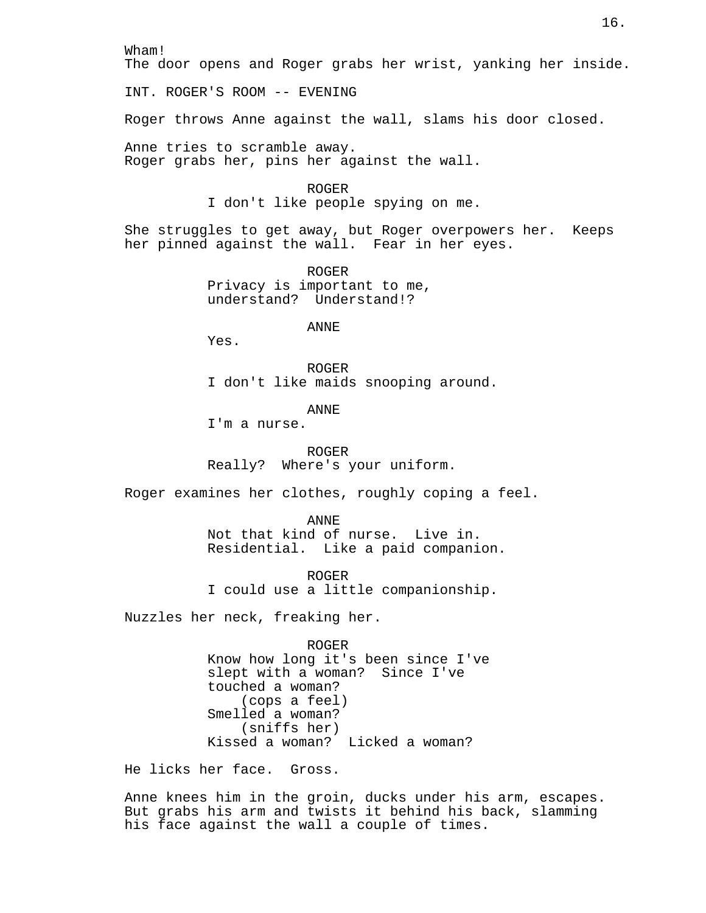Wham!

The door opens and Roger grabs her wrist, yanking her inside.

INT. ROGER'S ROOM -- EVENING

Roger throws Anne against the wall, slams his door closed.

Anne tries to scramble away. Roger grabs her, pins her against the wall.

> ROGER I don't like people spying on me.

She struggles to get away, but Roger overpowers her. Keeps her pinned against the wall. Fear in her eyes.

> ROGER Privacy is important to me, understand? Understand!?

> > ANNE

Yes.

ROGER I don't like maids snooping around.

ANNE

I'm a nurse.

ROGER Really? Where's your uniform.

Roger examines her clothes, roughly coping a feel.

ANNE Not that kind of nurse. Live in. Residential. Like a paid companion.

ROGER I could use a little companionship.

Nuzzles her neck, freaking her.

ROGER

Know how long it's been since I've slept with a woman? Since I've touched a woman? (cops a feel) Smelled a woman? (sniffs her) Kissed a woman? Licked a woman?

He licks her face. Gross.

Anne knees him in the groin, ducks under his arm, escapes. But grabs his arm and twists it behind his back, slamming his face against the wall a couple of times.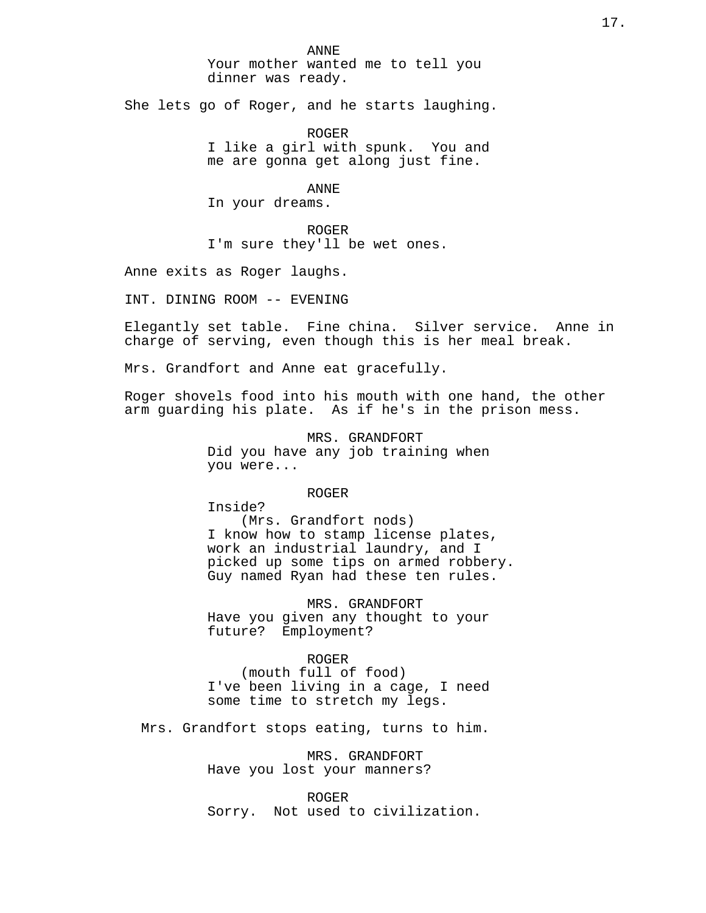ANNE Your mother wanted me to tell you dinner was ready.

She lets go of Roger, and he starts laughing.

ROGER I like a girl with spunk. You and me are gonna get along just fine.

ANNE

In your dreams.

ROGER I'm sure they'll be wet ones.

Anne exits as Roger laughs.

INT. DINING ROOM -- EVENING

Elegantly set table. Fine china. Silver service. Anne in charge of serving, even though this is her meal break.

Mrs. Grandfort and Anne eat gracefully.

Roger shovels food into his mouth with one hand, the other arm guarding his plate. As if he's in the prison mess.

> MRS. GRANDFORT Did you have any job training when you were...

> > ROGER

Inside? (Mrs. Grandfort nods) I know how to stamp license plates, work an industrial laundry, and I picked up some tips on armed robbery. Guy named Ryan had these ten rules.

MRS. GRANDFORT Have you given any thought to your future? Employment?

ROGER (mouth full of food) I've been living in a cage, I need

some time to stretch my legs.

Mrs. Grandfort stops eating, turns to him.

MRS. GRANDFORT Have you lost your manners?

ROGER Sorry. Not used to civilization.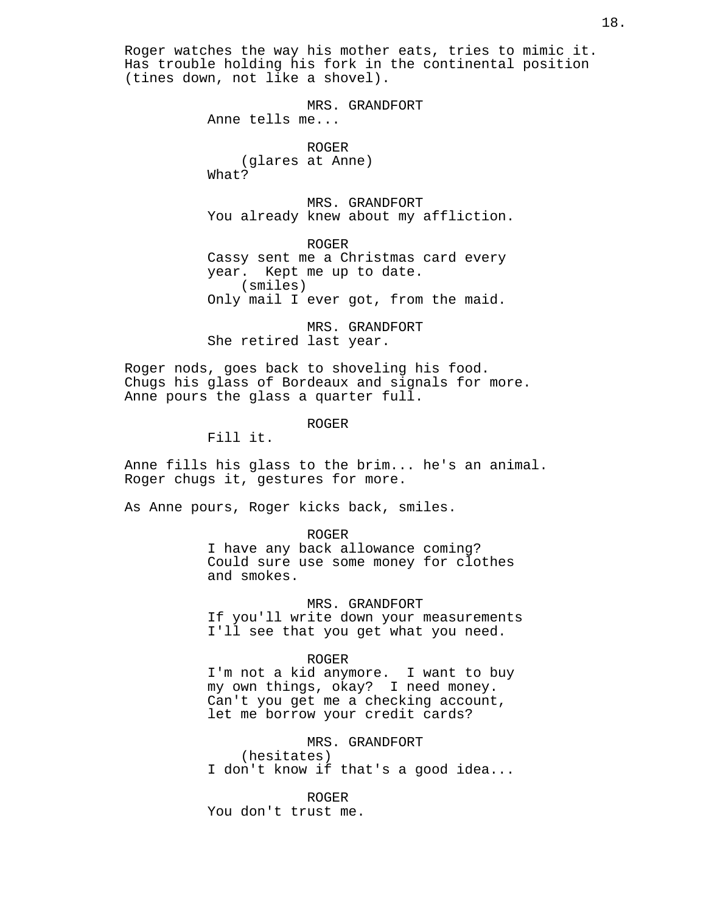Roger watches the way his mother eats, tries to mimic it. Has trouble holding his fork in the continental position (tines down, not like a shovel).

> MRS. GRANDFORT Anne tells me...

ROGER (glares at Anne) What?

MRS. GRANDFORT You already knew about my affliction.

ROGER Cassy sent me a Christmas card every year. Kept me up to date. (smiles) Only mail I ever got, from the maid.

MRS. GRANDFORT She retired last year.

Roger nods, goes back to shoveling his food. Chugs his glass of Bordeaux and signals for more. Anne pours the glass a quarter full.

ROGER

Fill it.

Anne fills his glass to the brim... he's an animal. Roger chugs it, gestures for more.

As Anne pours, Roger kicks back, smiles.

ROGER

I have any back allowance coming? Could sure use some money for clothes and smokes.

MRS. GRANDFORT If you'll write down your measurements I'll see that you get what you need.

ROGER

I'm not a kid anymore. I want to buy my own things, okay? I need money. Can't you get me a checking account, let me borrow your credit cards?

MRS. GRANDFORT (hesitates) I don't know if that's a good idea...

ROGER You don't trust me.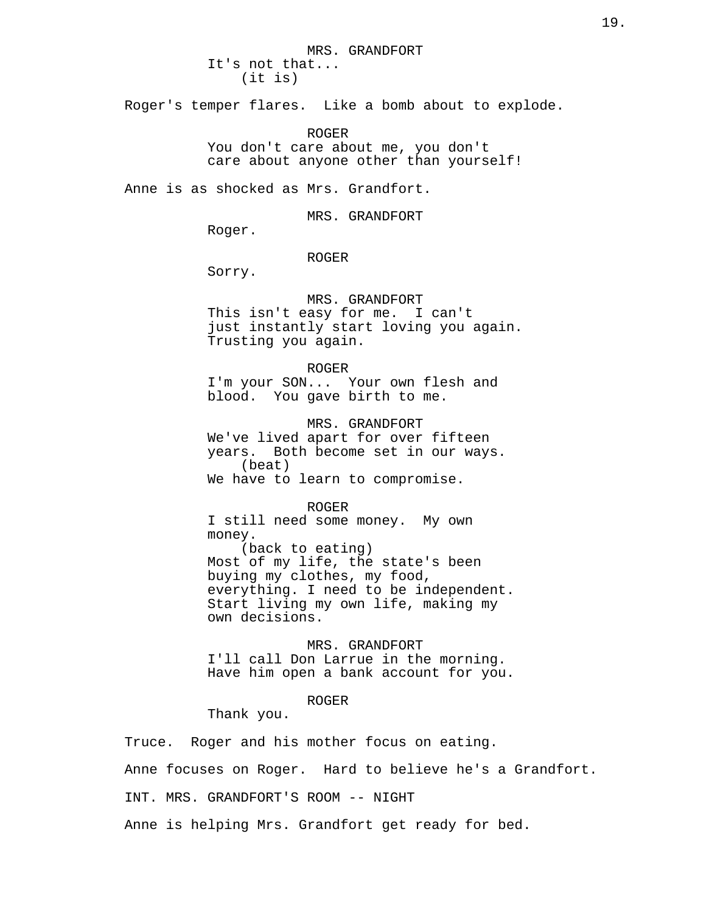MRS. GRANDFORT It's not that... (it is)

Roger's temper flares. Like a bomb about to explode.

ROGER You don't care about me, you don't care about anyone other than yourself!

Anne is as shocked as Mrs. Grandfort.

MRS. GRANDFORT

Roger.

#### ROGER

Sorry.

MRS. GRANDFORT This isn't easy for me. I can't just instantly start loving you again. Trusting you again.

ROGER I'm your SON... Your own flesh and blood. You gave birth to me.

MRS. GRANDFORT We've lived apart for over fifteen years. Both become set in our ways. (beat) We have to learn to compromise.

ROGER I still need some money. My own money. (back to eating) Most of my life, the state's been buying my clothes, my food, everything. I need to be independent. Start living my own life, making my own decisions.

MRS. GRANDFORT I'll call Don Larrue in the morning. Have him open a bank account for you.

# ROGER

Thank you.

Truce. Roger and his mother focus on eating.

Anne focuses on Roger. Hard to believe he's a Grandfort.

INT. MRS. GRANDFORT'S ROOM -- NIGHT

Anne is helping Mrs. Grandfort get ready for bed.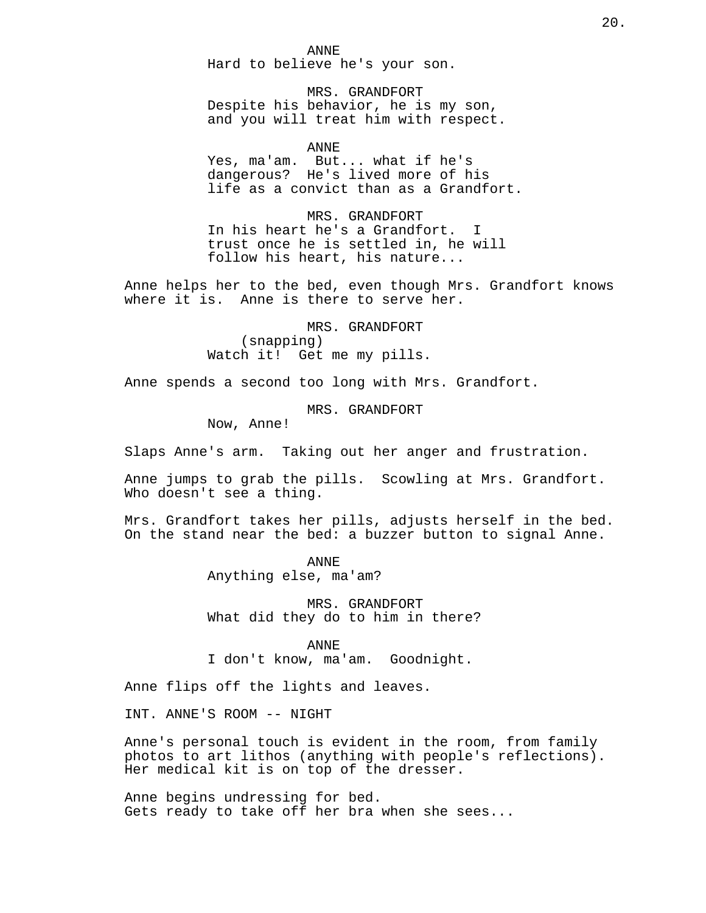ANNE Hard to believe he's your son.

MRS. GRANDFORT Despite his behavior, he is my son, and you will treat him with respect.

ANNE

Yes, ma'am. But... what if he's dangerous? He's lived more of his life as a convict than as a Grandfort.

MRS. GRANDFORT In his heart he's a Grandfort. I trust once he is settled in, he will follow his heart, his nature...

Anne helps her to the bed, even though Mrs. Grandfort knows where it is. Anne is there to serve her.

> MRS. GRANDFORT (snapping) Watch it! Get me my pills.

Anne spends a second too long with Mrs. Grandfort.

MRS. GRANDFORT

Now, Anne!

Slaps Anne's arm. Taking out her anger and frustration.

Anne jumps to grab the pills. Scowling at Mrs. Grandfort. Who doesn't see a thing.

Mrs. Grandfort takes her pills, adjusts herself in the bed. On the stand near the bed: a buzzer button to signal Anne.

> ANNE Anything else, ma'am?

MRS. GRANDFORT What did they do to him in there?

ANNE I don't know, ma'am. Goodnight.

Anne flips off the lights and leaves.

INT. ANNE'S ROOM -- NIGHT

Anne's personal touch is evident in the room, from family photos to art lithos (anything with people's reflections). Her medical kit is on top of the dresser.

Anne begins undressing for bed. Gets ready to take off her bra when she sees...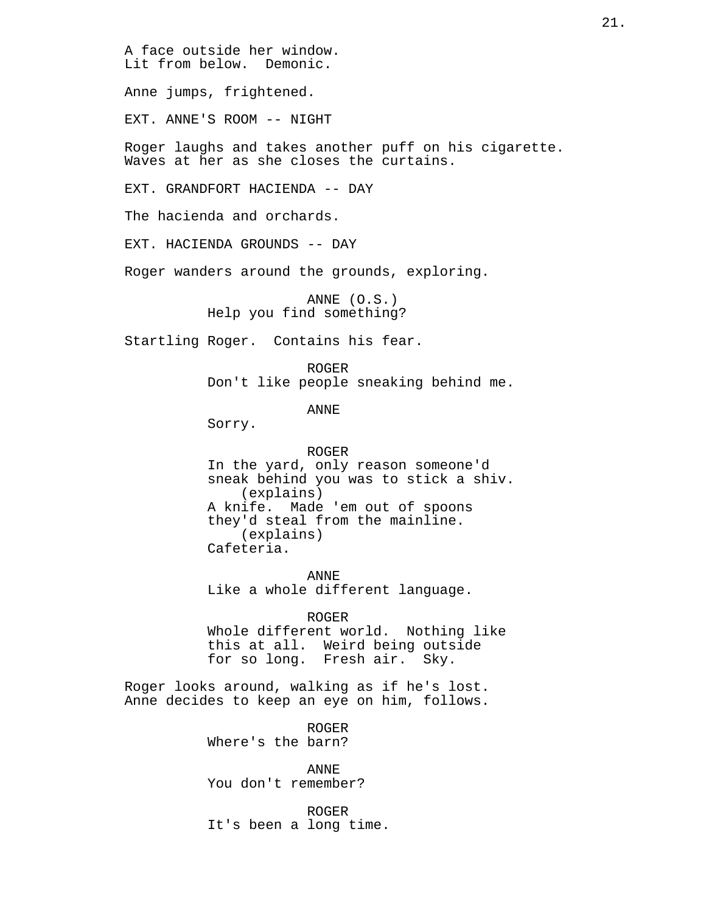A face outside her window. Lit from below. Demonic. Anne jumps, frightened. EXT. ANNE'S ROOM -- NIGHT Roger laughs and takes another puff on his cigarette. Waves at her as she closes the curtains. EXT. GRANDFORT HACIENDA -- DAY The hacienda and orchards. EXT. HACIENDA GROUNDS -- DAY Roger wanders around the grounds, exploring. ANNE (O.S.) Help you find something? Startling Roger. Contains his fear. ROGER Don't like people sneaking behind me. ANNE Sorry. ROGER In the yard, only reason someone'd sneak behind you was to stick a shiv. (explains) A knife. Made 'em out of spoons they'd steal from the mainline. (explains) Cafeteria. ANNE Like a whole different language. ROGER Whole different world. Nothing like this at all. Weird being outside for so long. Fresh air. Sky. Roger looks around, walking as if he's lost. Anne decides to keep an eye on him, follows.

> ROGER Where's the barn?

ANNE You don't remember?

ROGER It's been a long time.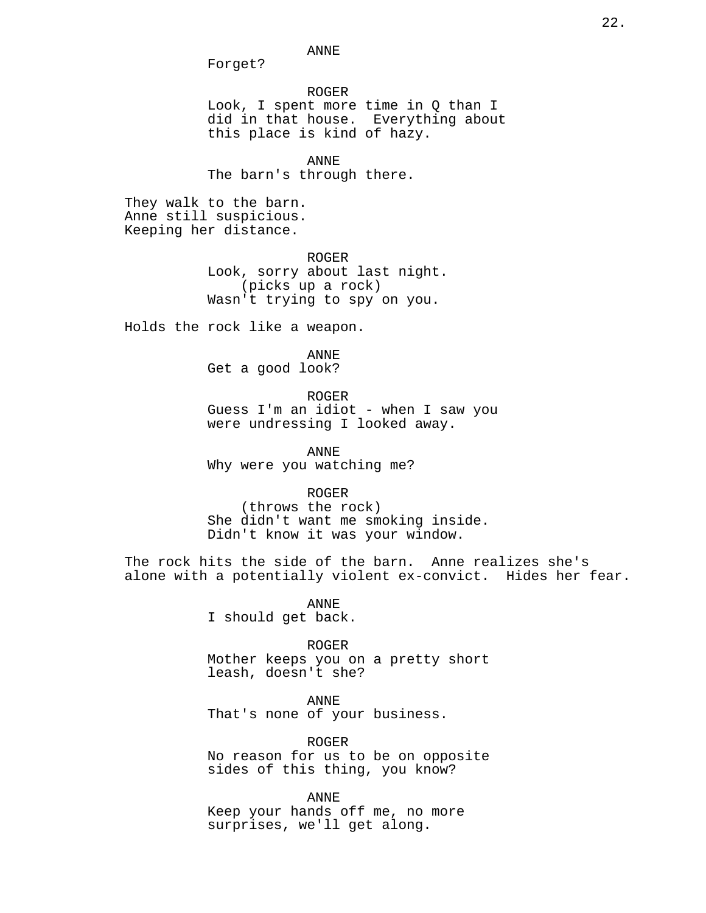ANNE

Forget?

ROGER Look, I spent more time in Q than I did in that house. Everything about this place is kind of hazy.

ANNE The barn's through there.

They walk to the barn. Anne still suspicious. Keeping her distance.

> ROGER Look, sorry about last night. (picks up a rock) Wasn't trying to spy on you.

Holds the rock like a weapon.

ANNE

Get a good look?

ROGER

Guess I'm an idiot - when I saw you were undressing I looked away.

ANNE Why were you watching me?

ROGER

(throws the rock) She didn't want me smoking inside. Didn't know it was your window.

The rock hits the side of the barn. Anne realizes she's alone with a potentially violent ex-convict. Hides her fear.

> ANNE I should get back.

> > ROGER

Mother keeps you on a pretty short leash, doesn't she?

ANNE

That's none of your business.

ROGER

No reason for us to be on opposite sides of this thing, you know?

ANNE

Keep your hands off me, no more surprises, we'll get along.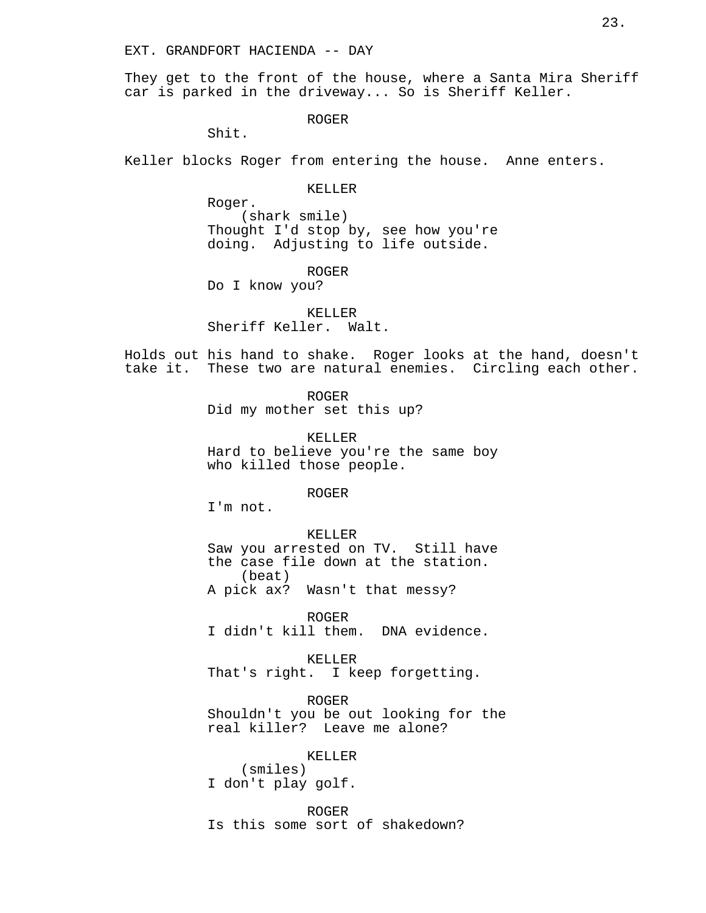They get to the front of the house, where a Santa Mira Sheriff car is parked in the driveway... So is Sheriff Keller.

ROGER

Shit.

Keller blocks Roger from entering the house. Anne enters.

KELLER

Roger. (shark smile) Thought I'd stop by, see how you're doing. Adjusting to life outside.

ROGER

Do I know you?

KELLER Sheriff Keller. Walt.

Holds out his hand to shake. Roger looks at the hand, doesn't take it. These two are natural enemies. Circling each other.

ROGER

Did my mother set this up?

KELLER Hard to believe you're the same boy who killed those people.

ROGER

I'm not.

#### KELLER

Saw you arrested on TV. Still have the case file down at the station. (beat) A pick ax? Wasn't that messy?

ROGER I didn't kill them. DNA evidence.

KELLER That's right. I keep forgetting.

ROGER Shouldn't you be out looking for the real killer? Leave me alone?

KELLER

(smiles) I don't play golf.

ROGER Is this some sort of shakedown?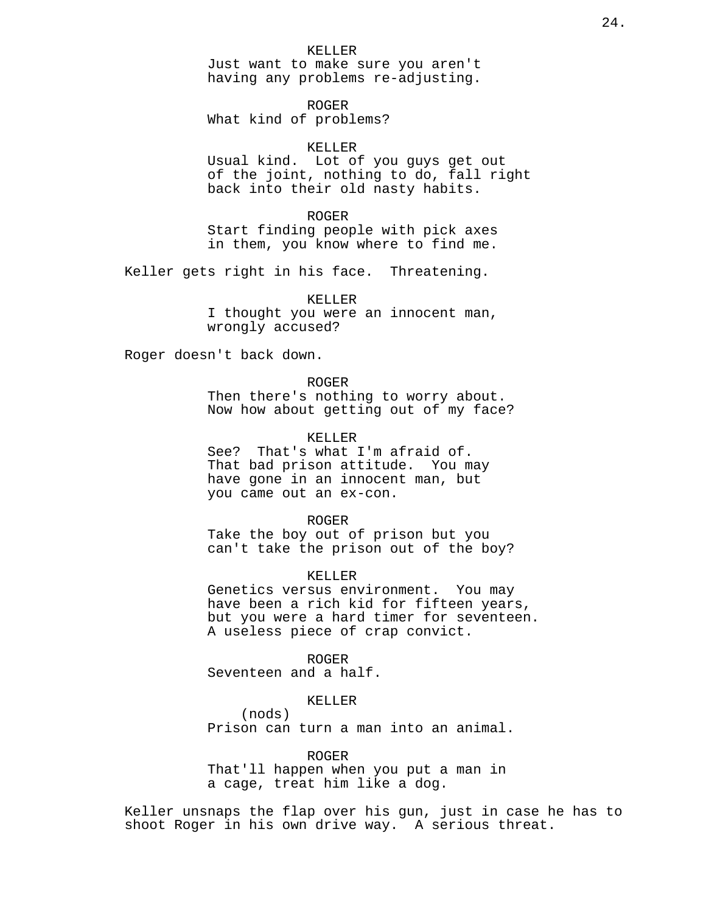#### KELLER

Just want to make sure you aren't having any problems re-adjusting.

ROGER What kind of problems?

# KELLER

Usual kind. Lot of you guys get out of the joint, nothing to do, fall right back into their old nasty habits.

ROGER Start finding people with pick axes in them, you know where to find me.

Keller gets right in his face. Threatening.

KELLER I thought you were an innocent man, wrongly accused?

Roger doesn't back down.

ROGER Then there's nothing to worry about. Now how about getting out of my face?

# KELLER

See? That's what I'm afraid of. That bad prison attitude. You may have gone in an innocent man, but you came out an ex-con.

#### ROGER

Take the boy out of prison but you can't take the prison out of the boy?

KELLER

Genetics versus environment. You may have been a rich kid for fifteen years, but you were a hard timer for seventeen. A useless piece of crap convict.

ROGER

Seventeen and a half.

# KELLER

(nods) Prison can turn a man into an animal.

ROGER

That'll happen when you put a man in a cage, treat him like a dog.

Keller unsnaps the flap over his gun, just in case he has to shoot Roger in his own drive way. A serious threat.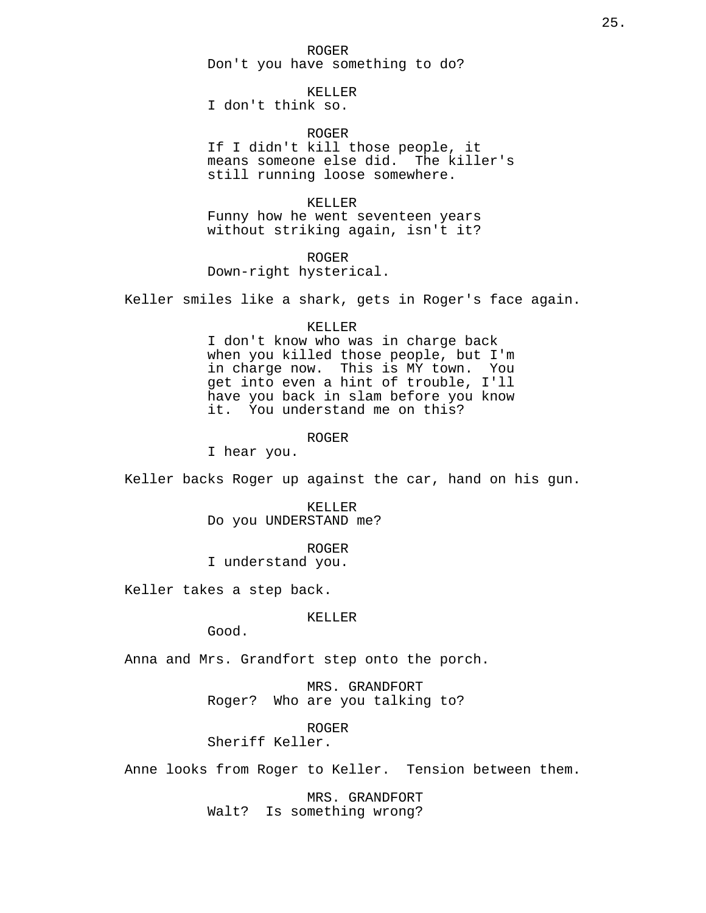#### ROGER

Don't you have something to do?

# KELLER

I don't think so.

# ROGER

If I didn't kill those people, it means someone else did. The killer's still running loose somewhere.

# KELLER

Funny how he went seventeen years without striking again, isn't it?

ROGER Down-right hysterical.

Keller smiles like a shark, gets in Roger's face again.

#### KELLER

I don't know who was in charge back when you killed those people, but I'm in charge now. This is MY town. You get into even a hint of trouble, I'll have you back in slam before you know it. You understand me on this?

# ROGER

I hear you.

Keller backs Roger up against the car, hand on his gun.

KELLER Do you UNDERSTAND me?

ROGER

I understand you.

Keller takes a step back.

#### KELLER

Good.

Anna and Mrs. Grandfort step onto the porch.

MRS. GRANDFORT Roger? Who are you talking to?

ROGER

Sheriff Keller.

Anne looks from Roger to Keller. Tension between them.

MRS. GRANDFORT Walt? Is something wrong?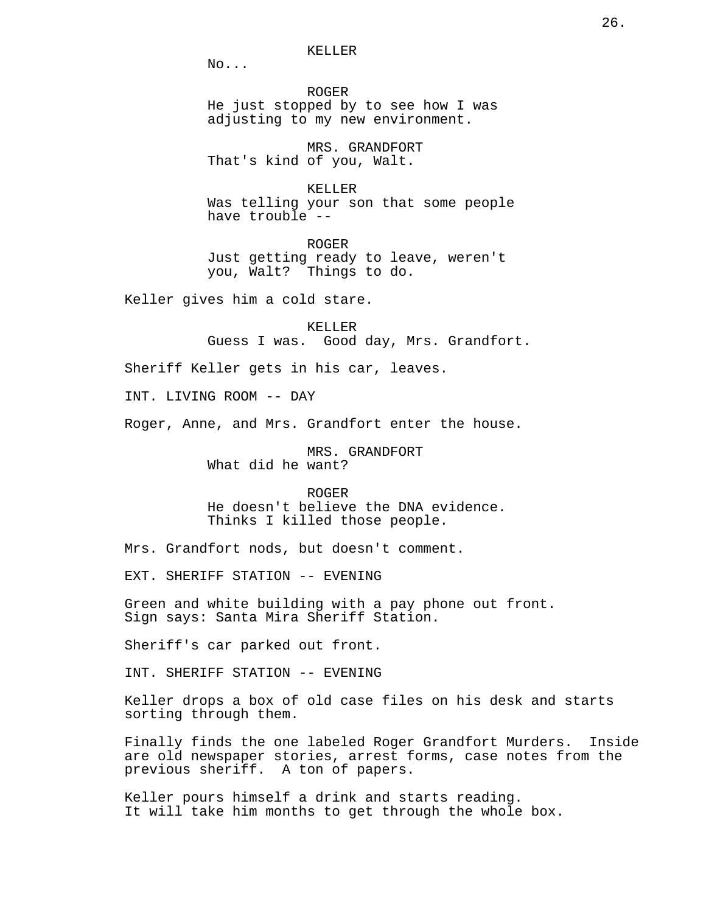No...

ROGER He just stopped by to see how I was adjusting to my new environment.

MRS. GRANDFORT That's kind of you, Walt.

KELLER Was telling your son that some people have trouble --

ROGER Just getting ready to leave, weren't you, Walt? Things to do.

Keller gives him a cold stare.

KELLER Guess I was. Good day, Mrs. Grandfort.

Sheriff Keller gets in his car, leaves.

INT. LIVING ROOM -- DAY

Roger, Anne, and Mrs. Grandfort enter the house.

MRS. GRANDFORT What did he want?

ROGER

He doesn't believe the DNA evidence. Thinks I killed those people.

Mrs. Grandfort nods, but doesn't comment.

EXT. SHERIFF STATION -- EVENING

Green and white building with a pay phone out front. Sign says: Santa Mira Sheriff Station.

Sheriff's car parked out front.

INT. SHERIFF STATION -- EVENING

Keller drops a box of old case files on his desk and starts sorting through them.

Finally finds the one labeled Roger Grandfort Murders. Inside are old newspaper stories, arrest forms, case notes from the previous sheriff. A ton of papers.

Keller pours himself a drink and starts reading. It will take him months to get through the whole box.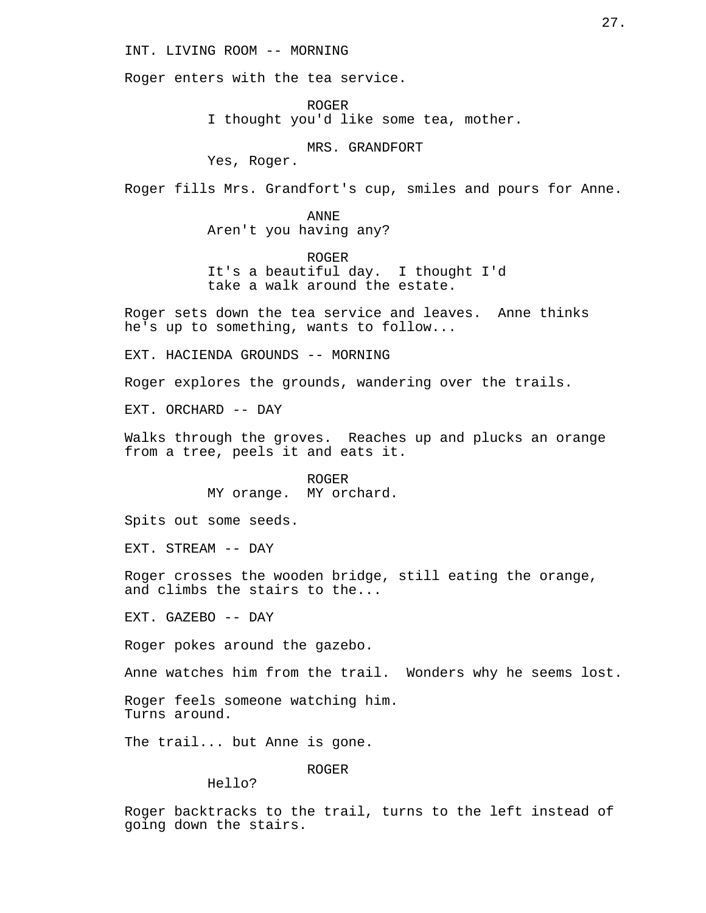# INT. LIVING ROOM -- MORNING

Roger enters with the tea service.

ROGER I thought you'd like some tea, mother.

MRS. GRANDFORT

Yes, Roger.

Roger fills Mrs. Grandfort's cup, smiles and pours for Anne.

ANNE Aren't you having any?

ROGER It's a beautiful day. I thought I'd take a walk around the estate.

Roger sets down the tea service and leaves. Anne thinks he's up to something, wants to follow...

EXT. HACIENDA GROUNDS -- MORNING

Roger explores the grounds, wandering over the trails.

EXT. ORCHARD -- DAY

Walks through the groves. Reaches up and plucks an orange from a tree, peels it and eats it.

> ROGER MY orange. MY orchard.

Spits out some seeds.

EXT. STREAM -- DAY

Roger crosses the wooden bridge, still eating the orange, and climbs the stairs to the...

EXT. GAZEBO -- DAY

Roger pokes around the gazebo.

Anne watches him from the trail. Wonders why he seems lost.

Roger feels someone watching him. Turns around.

The trail... but Anne is gone.

ROGER

Hello?

Roger backtracks to the trail, turns to the left instead of going down the stairs.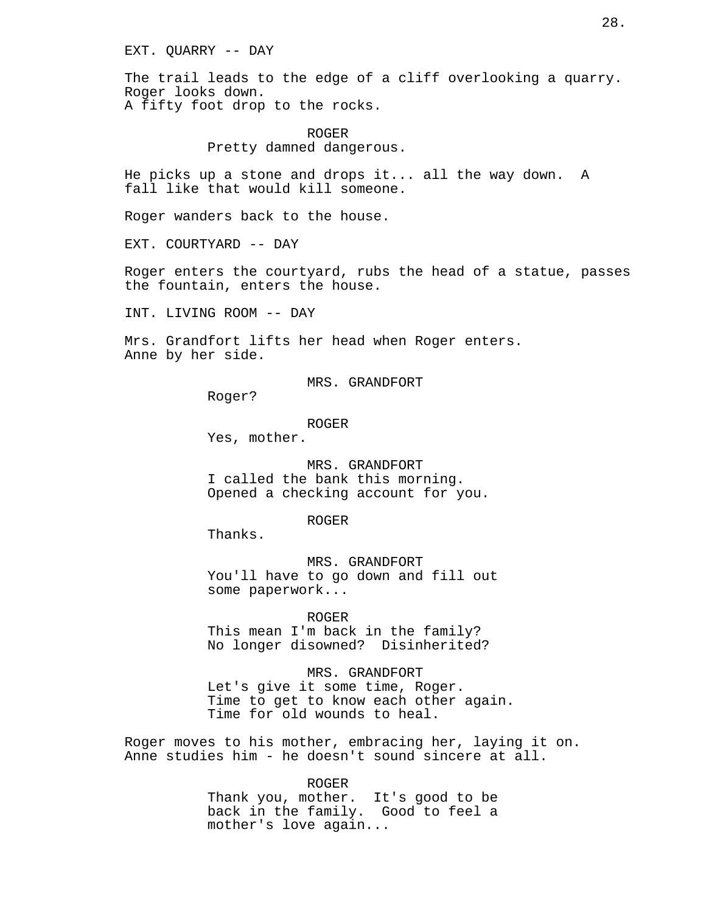EXT. QUARRY -- DAY

The trail leads to the edge of a cliff overlooking a quarry. Roger looks down. A fifty foot drop to the rocks.

> ROGER Pretty damned dangerous.

He picks up a stone and drops it... all the way down. A fall like that would kill someone.

Roger wanders back to the house.

EXT. COURTYARD -- DAY

Roger enters the courtyard, rubs the head of a statue, passes the fountain, enters the house.

INT. LIVING ROOM -- DAY

Mrs. Grandfort lifts her head when Roger enters. Anne by her side.

MRS. GRANDFORT

Roger?

ROGER

Yes, mother.

MRS. GRANDFORT I called the bank this morning. Opened a checking account for you.

ROGER

Thanks.

MRS. GRANDFORT You'll have to go down and fill out some paperwork...

ROGER This mean I'm back in the family? No longer disowned? Disinherited?

MRS. GRANDFORT Let's give it some time, Roger. Time to get to know each other again. Time for old wounds to heal.

Roger moves to his mother, embracing her, laying it on. Anne studies him - he doesn't sound sincere at all.

> ROGER Thank you, mother. It's good to be back in the family. Good to feel a mother's love again...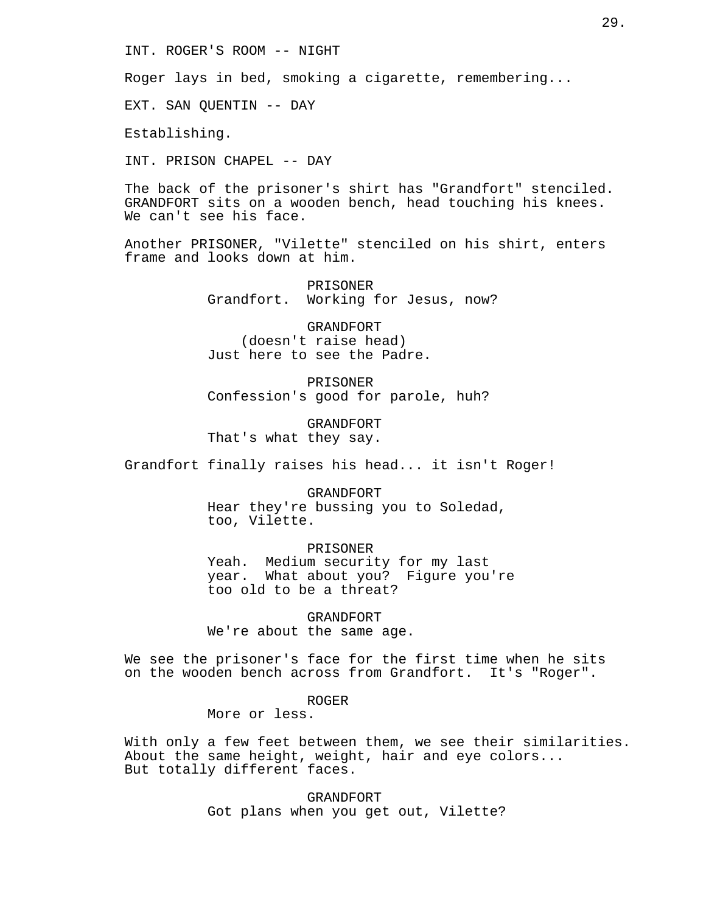INT. ROGER'S ROOM -- NIGHT

Roger lays in bed, smoking a cigarette, remembering...

EXT. SAN QUENTIN -- DAY

Establishing.

INT. PRISON CHAPEL -- DAY

The back of the prisoner's shirt has "Grandfort" stenciled. GRANDFORT sits on a wooden bench, head touching his knees. We can't see his face.

Another PRISONER, "Vilette" stenciled on his shirt, enters frame and looks down at him.

> PRISONER Grandfort. Working for Jesus, now?

GRANDFORT (doesn't raise head) Just here to see the Padre.

PRISONER Confession's good for parole, huh?

GRANDFORT That's what they say.

Grandfort finally raises his head... it isn't Roger!

GRANDFORT Hear they're bussing you to Soledad, too, Vilette.

PRISONER Yeah. Medium security for my last year. What about you? Figure you're too old to be a threat?

GRANDFORT We're about the same age.

We see the prisoner's face for the first time when he sits on the wooden bench across from Grandfort. It's "Roger".

ROGER

More or less.

With only a few feet between them, we see their similarities. About the same height, weight, hair and eye colors... But totally different faces.

> GRANDFORT Got plans when you get out, Vilette?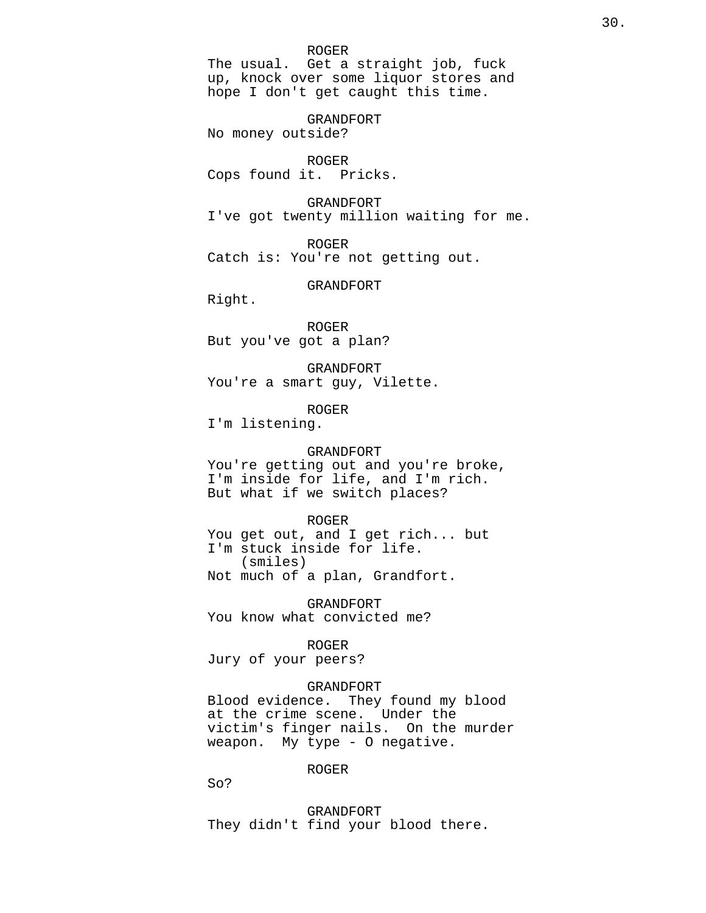#### ROGER

The usual. Get a straight job, fuck up, knock over some liquor stores and hope I don't get caught this time.

GRANDFORT

No money outside?

#### ROGER

Cops found it. Pricks.

GRANDFORT

I've got twenty million waiting for me.

ROGER

Catch is: You're not getting out.

GRANDFORT

Right.

ROGER But you've got a plan?

GRANDFORT You're a smart guy, Vilette.

ROGER

I'm listening.

# GRANDFORT

You're getting out and you're broke, I'm inside for life, and I'm rich. But what if we switch places?

# ROGER

You get out, and I get rich... but I'm stuck inside for life. (smiles) Not much of a plan, Grandfort.

GRANDFORT You know what convicted me?

### ROGER

Jury of your peers?

### GRANDFORT

Blood evidence. They found my blood at the crime scene. Under the victim's finger nails. On the murder weapon. My type - O negative.

#### ROGER

So?

GRANDFORT They didn't find your blood there.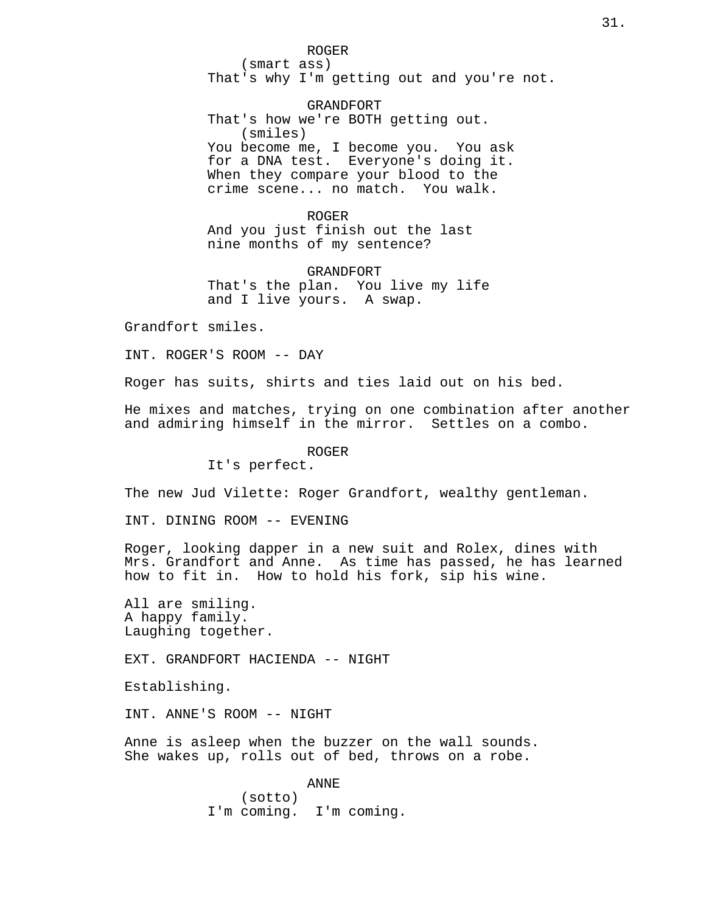ROGER (smart ass) That's why I'm getting out and you're not.

GRANDFORT That's how we're BOTH getting out. (smiles) You become me, I become you. You ask for a DNA test. Everyone's doing it. When they compare your blood to the crime scene... no match. You walk.

ROGER And you just finish out the last nine months of my sentence?

GRANDFORT That's the plan. You live my life and I live yours. A swap.

Grandfort smiles.

INT. ROGER'S ROOM -- DAY

Roger has suits, shirts and ties laid out on his bed.

He mixes and matches, trying on one combination after another and admiring himself in the mirror. Settles on a combo.

ROGER

It's perfect.

The new Jud Vilette: Roger Grandfort, wealthy gentleman.

INT. DINING ROOM -- EVENING

Roger, looking dapper in a new suit and Rolex, dines with Mrs. Grandfort and Anne. As time has passed, he has learned how to fit in. How to hold his fork, sip his wine.

All are smiling. A happy family. Laughing together.

EXT. GRANDFORT HACIENDA -- NIGHT

Establishing.

INT. ANNE'S ROOM -- NIGHT

Anne is asleep when the buzzer on the wall sounds. She wakes up, rolls out of bed, throws on a robe.

> ANNE (sotto) I'm coming. I'm coming.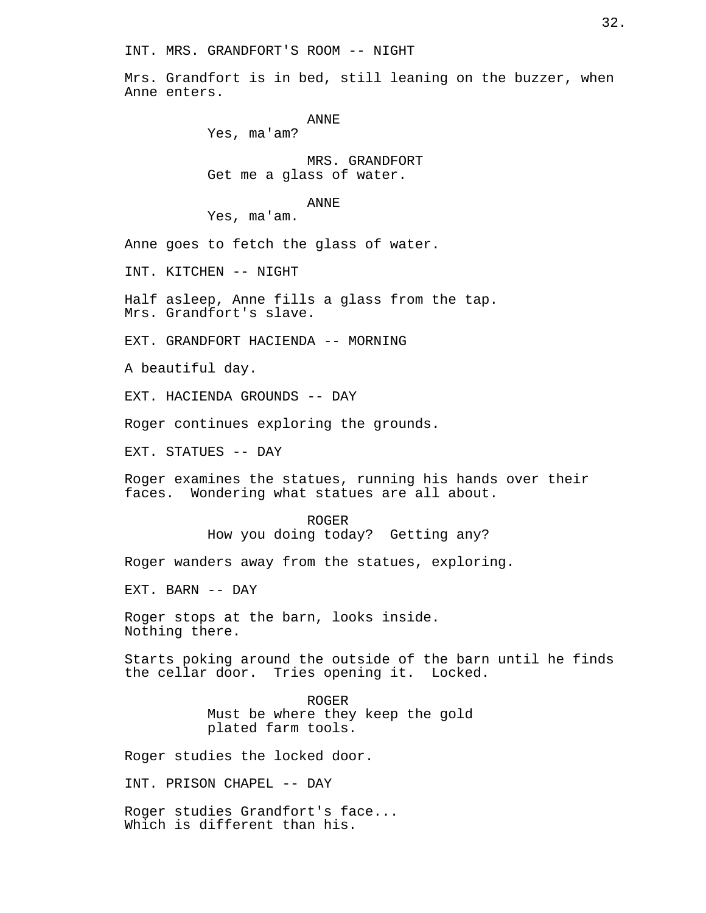INT. MRS. GRANDFORT'S ROOM -- NIGHT

Mrs. Grandfort is in bed, still leaning on the buzzer, when Anne enters.

```
ANNE
```
Yes, ma'am?

MRS. GRANDFORT Get me a glass of water.

# ANNE

Yes, ma'am.

Anne goes to fetch the glass of water.

INT. KITCHEN -- NIGHT

Half asleep, Anne fills a glass from the tap. Mrs. Grandfort's slave.

EXT. GRANDFORT HACIENDA -- MORNING

A beautiful day.

EXT. HACIENDA GROUNDS -- DAY

Roger continues exploring the grounds.

EXT. STATUES -- DAY

Roger examines the statues, running his hands over their faces. Wondering what statues are all about.

> ROGER How you doing today? Getting any?

Roger wanders away from the statues, exploring.

EXT. BARN -- DAY

Roger stops at the barn, looks inside. Nothing there.

Starts poking around the outside of the barn until he finds<br>the cellar door. Tries opening it. Locked. Tries opening it. Locked.

> ROGER Must be where they keep the gold plated farm tools.

Roger studies the locked door.

INT. PRISON CHAPEL -- DAY

Roger studies Grandfort's face... Which is different than his.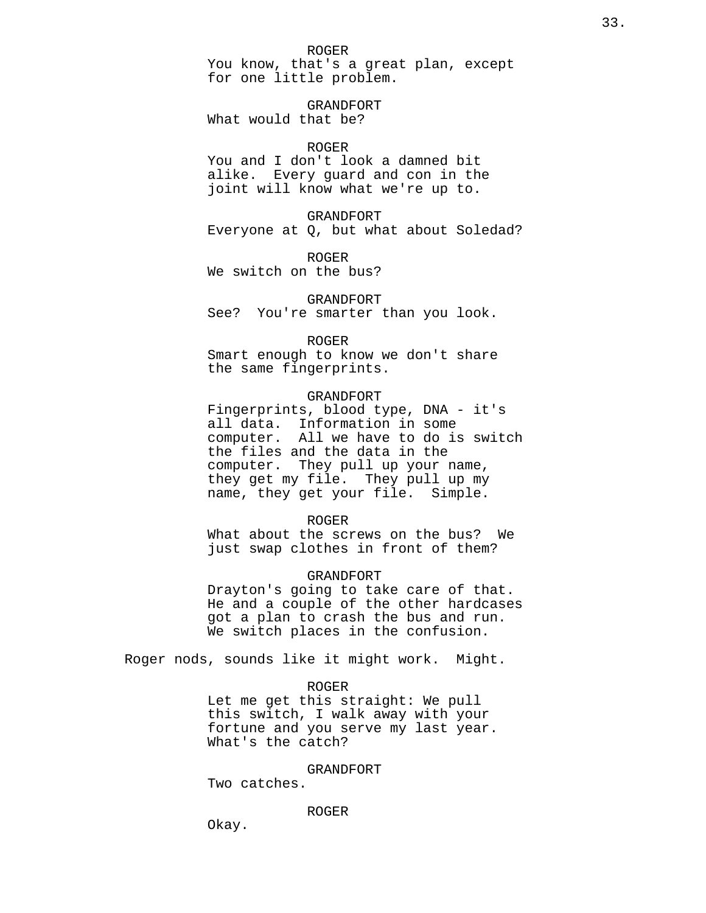You know, that's a great plan, except for one little problem.

GRANDFORT What would that be?

# ROGER

You and I don't look a damned bit alike. Every guard and con in the joint will know what we're up to.

GRANDFORT Everyone at Q, but what about Soledad?

ROGER We switch on the bus?

GRANDFORT See? You're smarter than you look.

#### ROGER

Smart enough to know we don't share the same fingerprints.

# GRANDFORT

Fingerprints, blood type, DNA - it's all data. Information in some computer. All we have to do is switch the files and the data in the computer. They pull up your name, they get my file. They pull up my name, they get your file. Simple.

# ROGER

What about the screws on the bus? We just swap clothes in front of them?

# GRANDFORT

Drayton's going to take care of that. He and a couple of the other hardcases got a plan to crash the bus and run. We switch places in the confusion.

Roger nods, sounds like it might work. Might.

#### ROGER

Let me get this straight: We pull this switch, I walk away with your fortune and you serve my last year. What's the catch?

#### GRANDFORT

Two catches.

#### ROGER

Okay.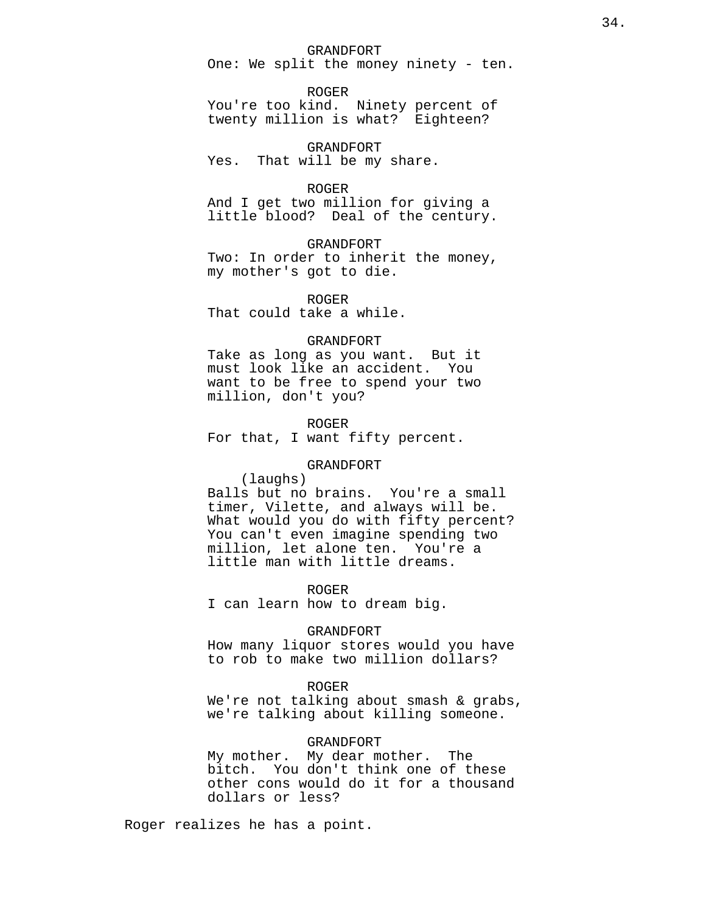#### GRANDFORT

One: We split the money ninety - ten.

ROGER

You're too kind. Ninety percent of twenty million is what? Eighteen?

GRANDFORT Yes. That will be my share.

ROGER

And I get two million for giving a little blood? Deal of the century.

GRANDFORT

Two: In order to inherit the money, my mother's got to die.

ROGER That could take a while.

GRANDFORT Take as long as you want. But it must look like an accident. You want to be free to spend your two million, don't you?

ROGER

For that, I want fifty percent.

# GRANDFORT

(laughs)

Balls but no brains. You're a small timer, Vilette, and always will be. What would you do with fifty percent? You can't even imagine spending two million, let alone ten. You're a little man with little dreams.

ROGER

I can learn how to dream big.

#### GRANDFORT

How many liquor stores would you have to rob to make two million dollars?

# ROGER

We're not talking about smash & grabs, we're talking about killing someone.

# GRANDFORT

My mother. My dear mother. The bitch. You don't think one of these other cons would do it for a thousand dollars or less?

Roger realizes he has a point.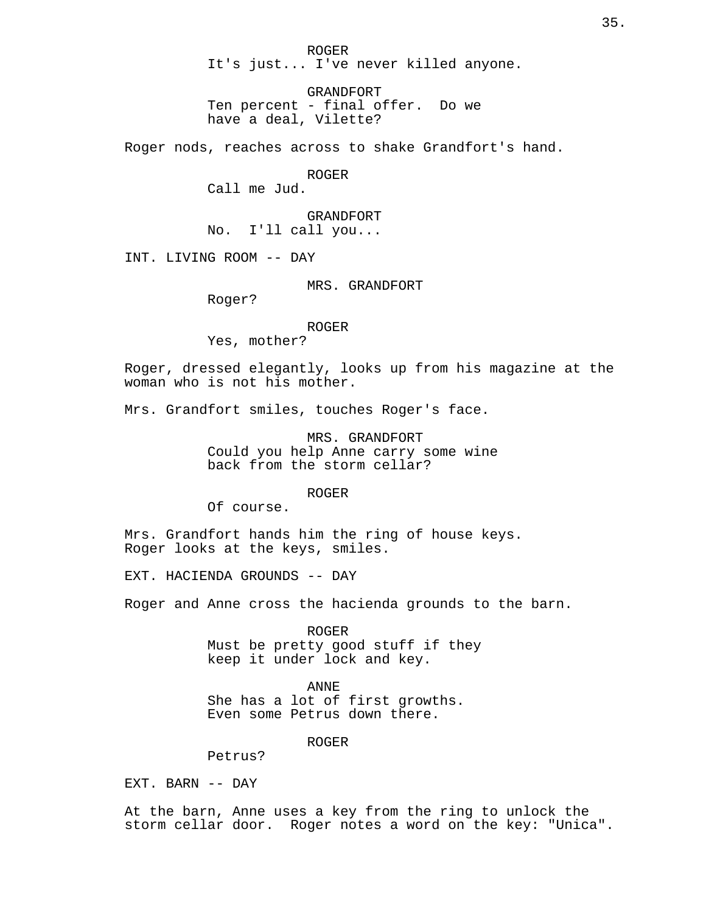ROGER It's just... I've never killed anyone.

GRANDFORT Ten percent - final offer. Do we have a deal, Vilette?

Roger nods, reaches across to shake Grandfort's hand.

ROGER

Call me Jud.

GRANDFORT No. I'll call you...

INT. LIVING ROOM -- DAY

MRS. GRANDFORT

Roger?

ROGER

Yes, mother?

Roger, dressed elegantly, looks up from his magazine at the woman who is not his mother.

Mrs. Grandfort smiles, touches Roger's face.

MRS. GRANDFORT Could you help Anne carry some wine back from the storm cellar?

ROGER

Of course.

Mrs. Grandfort hands him the ring of house keys. Roger looks at the keys, smiles.

EXT. HACIENDA GROUNDS -- DAY

Roger and Anne cross the hacienda grounds to the barn.

ROGER Must be pretty good stuff if they keep it under lock and key.

ANNE She has a lot of first growths. Even some Petrus down there.

ROGER

Petrus?

EXT. BARN -- DAY

At the barn, Anne uses a key from the ring to unlock the storm cellar door. Roger notes a word on the key: "Unica".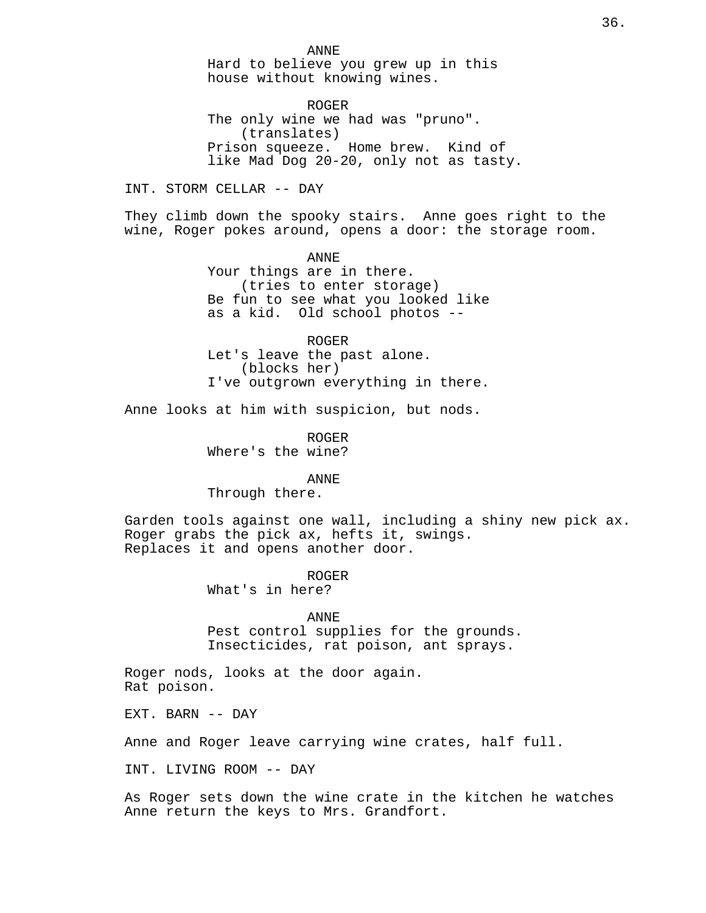ANNE Hard to believe you grew up in this house without knowing wines.

ROGER The only wine we had was "pruno". (translates) Prison squeeze. Home brew. Kind of like Mad Dog 20-20, only not as tasty.

INT. STORM CELLAR -- DAY

They climb down the spooky stairs. Anne goes right to the wine, Roger pokes around, opens a door: the storage room.

> ANNE Your things are in there. (tries to enter storage) Be fun to see what you looked like as a kid. Old school photos --

> ROGER Let's leave the past alone. (blocks her) I've outgrown everything in there.

Anne looks at him with suspicion, but nods.

ROGER Where's the wine?

ANNE

Through there.

Garden tools against one wall, including a shiny new pick ax. Roger grabs the pick ax, hefts it, swings. Replaces it and opens another door.

> ROGER What's in here?

ANNE Pest control supplies for the grounds. Insecticides, rat poison, ant sprays.

Roger nods, looks at the door again. Rat poison.

EXT. BARN -- DAY

Anne and Roger leave carrying wine crates, half full.

INT. LIVING ROOM -- DAY

As Roger sets down the wine crate in the kitchen he watches Anne return the keys to Mrs. Grandfort.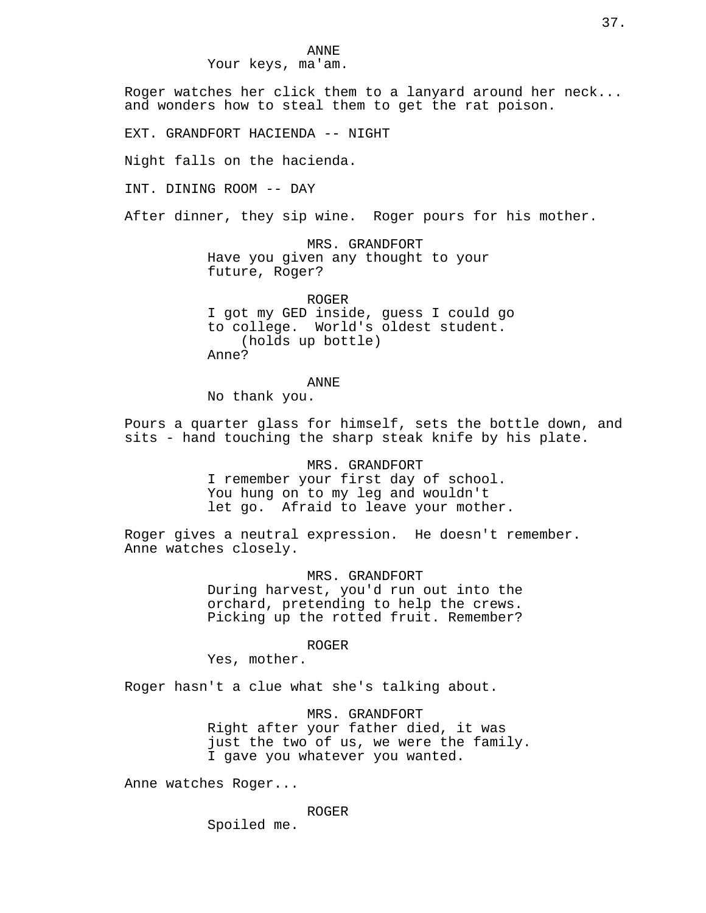Your keys, ma'am.

Roger watches her click them to a lanyard around her neck... and wonders how to steal them to get the rat poison.

EXT. GRANDFORT HACIENDA -- NIGHT

Night falls on the hacienda.

INT. DINING ROOM -- DAY

After dinner, they sip wine. Roger pours for his mother.

MRS. GRANDFORT Have you given any thought to your future, Roger?

ROGER I got my GED inside, guess I could go to college. World's oldest student. (holds up bottle) Anne?

# ANNE

No thank you.

Pours a quarter glass for himself, sets the bottle down, and sits - hand touching the sharp steak knife by his plate.

> MRS. GRANDFORT I remember your first day of school. You hung on to my leg and wouldn't let go. Afraid to leave your mother.

Roger gives a neutral expression. He doesn't remember. Anne watches closely.

> MRS. GRANDFORT During harvest, you'd run out into the orchard, pretending to help the crews. Picking up the rotted fruit. Remember?

> > ROGER

Yes, mother.

Roger hasn't a clue what she's talking about.

MRS. GRANDFORT Right after your father died, it was just the two of us, we were the family. I gave you whatever you wanted.

Anne watches Roger...

ROGER

Spoiled me.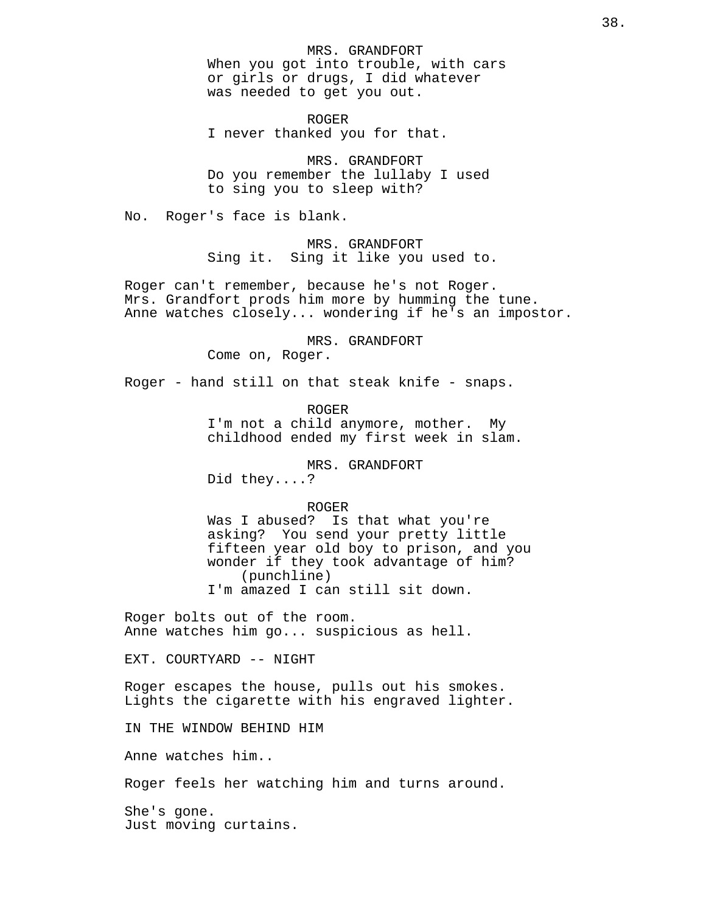MRS. GRANDFORT When you got into trouble, with cars or girls or drugs, I did whatever was needed to get you out.

ROGER I never thanked you for that.

MRS. GRANDFORT Do you remember the lullaby I used to sing you to sleep with?

No. Roger's face is blank.

MRS. GRANDFORT Sing it. Sing it like you used to.

Roger can't remember, because he's not Roger. Mrs. Grandfort prods him more by humming the tune. Anne watches closely... wondering if he's an impostor.

> MRS. GRANDFORT Come on, Roger.

Roger - hand still on that steak knife - snaps.

ROGER I'm not a child anymore, mother. My childhood ended my first week in slam.

MRS. GRANDFORT Did they....?

### ROGER

Was I abused? Is that what you're asking? You send your pretty little fifteen year old boy to prison, and you wonder if they took advantage of him? (punchline) I'm amazed I can still sit down.

Roger bolts out of the room. Anne watches him go... suspicious as hell.

EXT. COURTYARD -- NIGHT

Roger escapes the house, pulls out his smokes. Lights the cigarette with his engraved lighter.

IN THE WINDOW BEHIND HIM

Anne watches him..

Roger feels her watching him and turns around.

She's gone. Just moving curtains.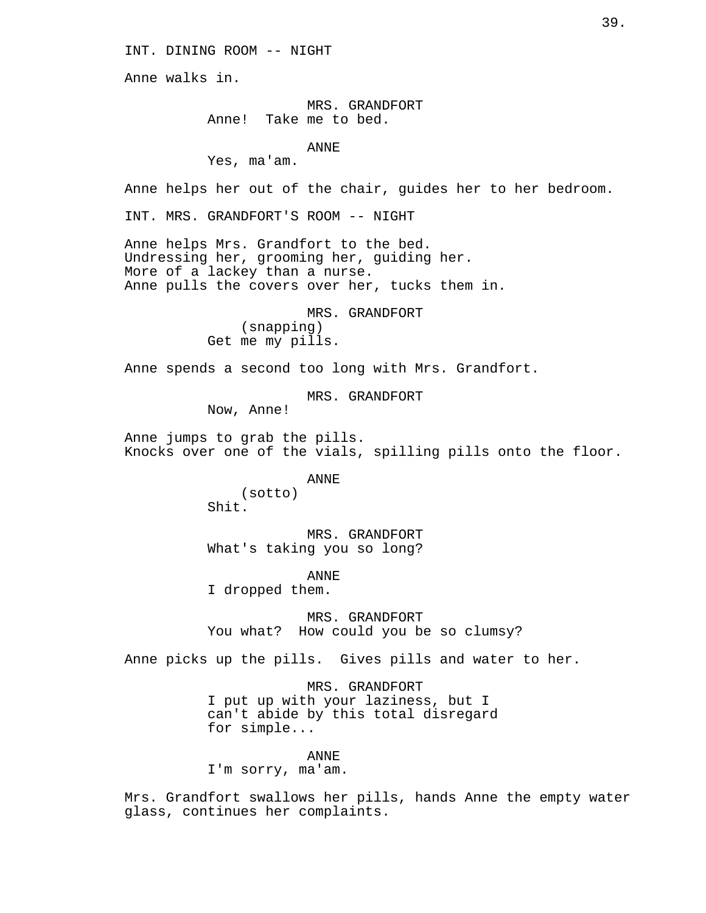INT. DINING ROOM -- NIGHT

Anne walks in.

MRS. GRANDFORT Anne! Take me to bed.

ANNE

Yes, ma'am.

Anne helps her out of the chair, guides her to her bedroom.

INT. MRS. GRANDFORT'S ROOM -- NIGHT

Anne helps Mrs. Grandfort to the bed. Undressing her, grooming her, guiding her. More of a lackey than a nurse. Anne pulls the covers over her, tucks them in.

> MRS. GRANDFORT (snapping) Get me my pills.

Anne spends a second too long with Mrs. Grandfort.

MRS. GRANDFORT

Now, Anne!

Anne jumps to grab the pills. Knocks over one of the vials, spilling pills onto the floor.

ANNE

(sotto) Shit.

MRS. GRANDFORT What's taking you so long?

ANNE

I dropped them.

MRS. GRANDFORT You what? How could you be so clumsy?

Anne picks up the pills. Gives pills and water to her.

MRS. GRANDFORT I put up with your laziness, but I can't abide by this total disregard for simple...

ANNE I'm sorry, ma'am.

Mrs. Grandfort swallows her pills, hands Anne the empty water glass, continues her complaints.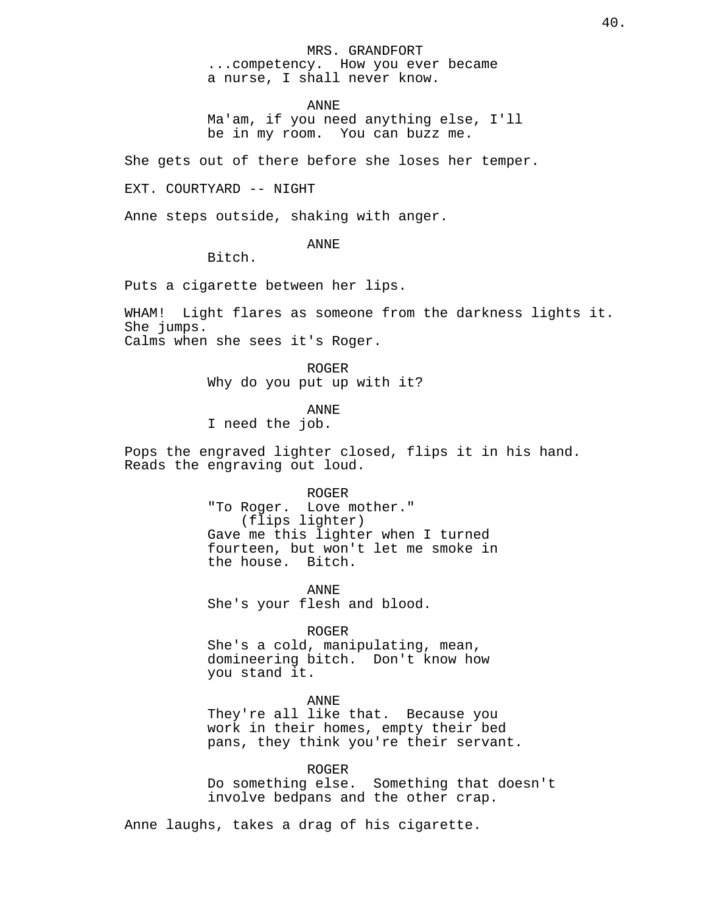#### MRS. GRANDFORT

...competency. How you ever became a nurse, I shall never know.

ANNE

Ma'am, if you need anything else, I'll be in my room. You can buzz me.

She gets out of there before she loses her temper.

EXT. COURTYARD -- NIGHT

Anne steps outside, shaking with anger.

ANNE

Bitch.

Puts a cigarette between her lips.

WHAM! Light flares as someone from the darkness lights it. She jumps. Calms when she sees it's Roger.

> ROGER Why do you put up with it?

> > ANNE

I need the job.

Pops the engraved lighter closed, flips it in his hand. Reads the engraving out loud.

ROGER

"To Roger. Love mother." (flips lighter) Gave me this lighter when I turned fourteen, but won't let me smoke in the house. Bitch.

ANNE She's your flesh and blood.

ROGER

She's a cold, manipulating, mean, domineering bitch. Don't know how you stand it.

#### ANNE

They're all like that. Because you work in their homes, empty their bed pans, they think you're their servant.

ROGER

Do something else. Something that doesn't involve bedpans and the other crap.

Anne laughs, takes a drag of his cigarette.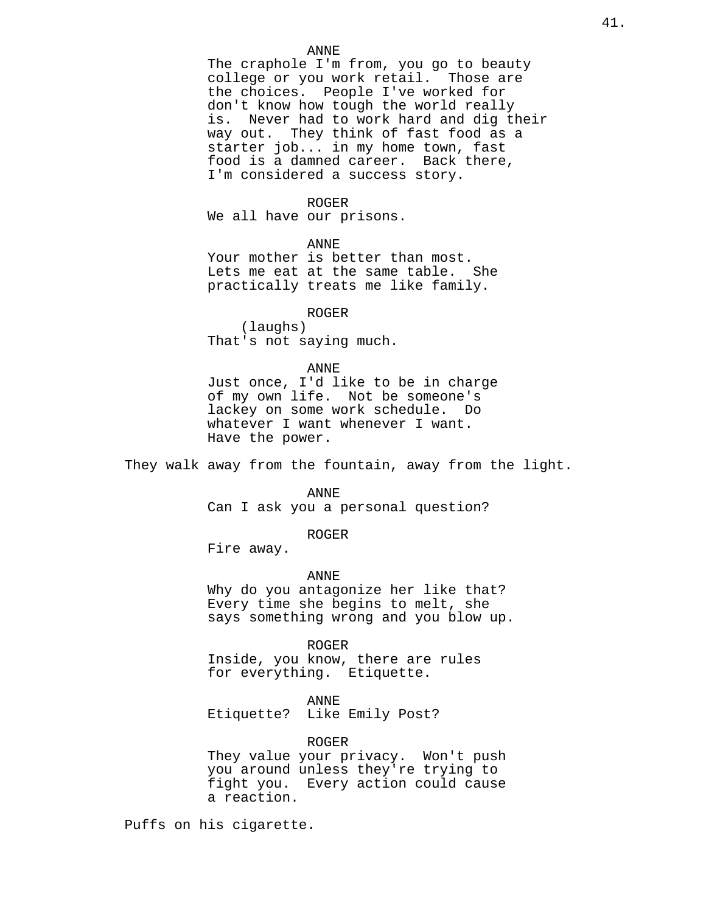### ANNE

The craphole I'm from, you go to beauty college or you work retail. Those are the choices. People I've worked for don't know how tough the world really is. Never had to work hard and dig their way out. They think of fast food as a starter job... in my home town, fast food is a damned career. Back there, I'm considered a success story.

#### ROGER

We all have our prisons.

ANNE

Your mother is better than most. Lets me eat at the same table. She practically treats me like family.

ROGER

(laughs) That's not saying much.

# ANNE

Just once, I'd like to be in charge of my own life. Not be someone's lackey on some work schedule. Do whatever I want whenever I want. Have the power.

They walk away from the fountain, away from the light.

ANNE

Can I ask you a personal question?

ROGER

Fire away.

ANNE

Why do you antagonize her like that? Every time she begins to melt, she says something wrong and you blow up.

ROGER

Inside, you know, there are rules for everything. Etiquette.

# ANNE

Etiquette? Like Emily Post?

### ROGER

They value your privacy. Won't push you around unless they're trying to fight you. Every action could cause a reaction.

Puffs on his cigarette.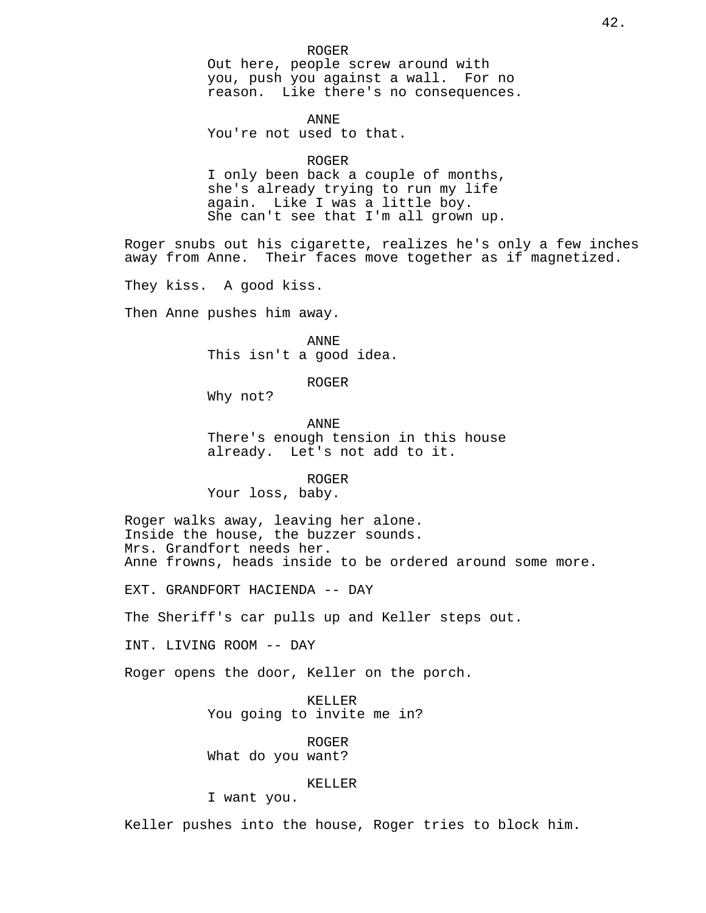ANNE You're not used to that.

#### ROGER

I only been back a couple of months, she's already trying to run my life again. Like I was a little boy. She can't see that I'm all grown up.

Roger snubs out his cigarette, realizes he's only a few inches away from Anne. Their faces move together as if magnetized.

They kiss. A good kiss.

Then Anne pushes him away.

ANNE This isn't a good idea.

# ROGER

Why not?

ANNE There's enough tension in this house already. Let's not add to it.

ROGER

Your loss, baby.

Roger walks away, leaving her alone. Inside the house, the buzzer sounds. Mrs. Grandfort needs her. Anne frowns, heads inside to be ordered around some more.

EXT. GRANDFORT HACIENDA -- DAY

The Sheriff's car pulls up and Keller steps out.

INT. LIVING ROOM -- DAY

Roger opens the door, Keller on the porch.

KELLER You going to invite me in?

ROGER What do you want?

### KELLER

I want you.

Keller pushes into the house, Roger tries to block him.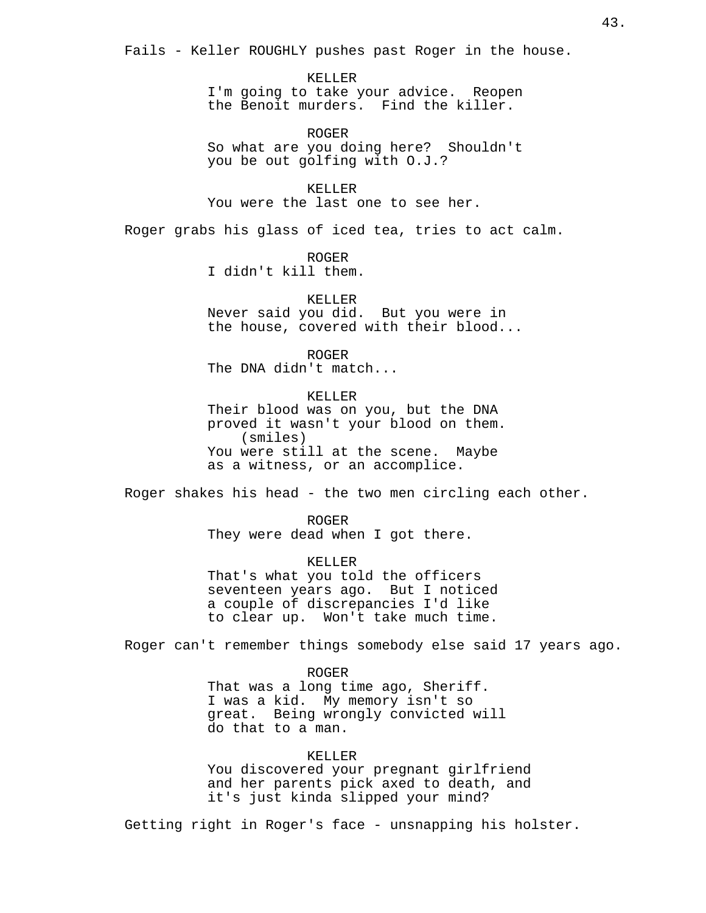Fails - Keller ROUGHLY pushes past Roger in the house.

KELLER I'm going to take your advice. Reopen the Benoit murders. Find the killer.

ROGER So what are you doing here? Shouldn't you be out golfing with O.J.?

KELLER You were the last one to see her.

Roger grabs his glass of iced tea, tries to act calm.

ROGER I didn't kill them.

KELLER Never said you did. But you were in the house, covered with their blood...

ROGER The DNA didn't match...

KELLER Their blood was on you, but the DNA proved it wasn't your blood on them. (smiles) You were still at the scene. Maybe as a witness, or an accomplice.

Roger shakes his head - the two men circling each other.

ROGER They were dead when I got there.

KELLER That's what you told the officers seventeen years ago. But I noticed a couple of discrepancies I'd like to clear up. Won't take much time.

Roger can't remember things somebody else said 17 years ago.

ROGER That was a long time ago, Sheriff. I was a kid. My memory isn't so great. Being wrongly convicted will do that to a man.

KELLER You discovered your pregnant girlfriend and her parents pick axed to death, and it's just kinda slipped your mind?

Getting right in Roger's face - unsnapping his holster.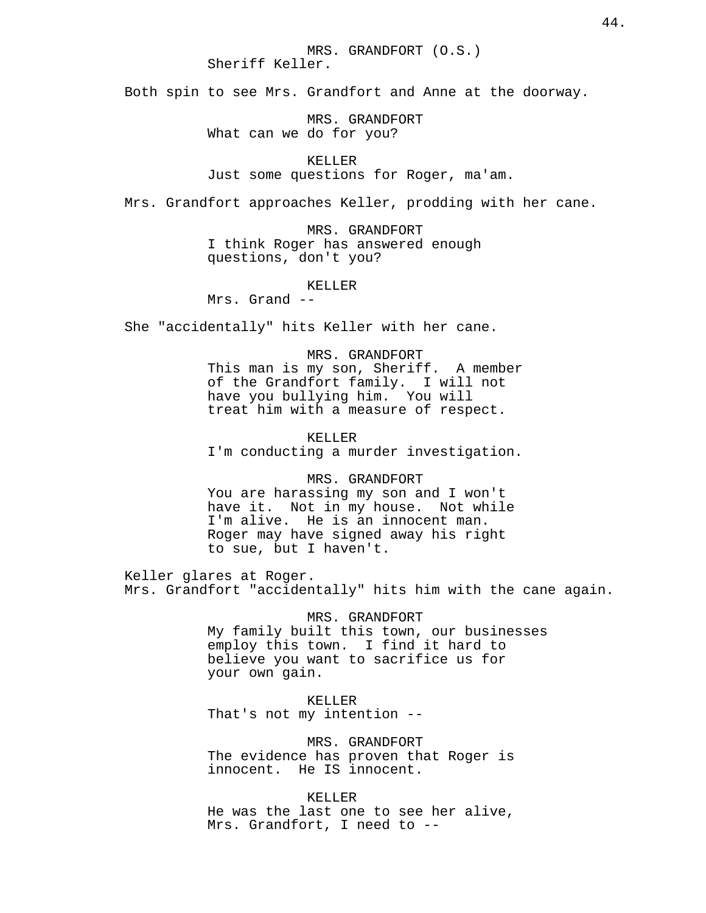Both spin to see Mrs. Grandfort and Anne at the doorway.

MRS. GRANDFORT What can we do for you?

KELLER Just some questions for Roger, ma'am.

Mrs. Grandfort approaches Keller, prodding with her cane.

MRS. GRANDFORT I think Roger has answered enough questions, don't you?

KELLER

Mrs. Grand --

She "accidentally" hits Keller with her cane.

MRS. GRANDFORT

This man is my son, Sheriff. A member of the Grandfort family. I will not have you bullying him. You will treat him with a measure of respect.

KELLER I'm conducting a murder investigation.

MRS. GRANDFORT You are harassing my son and I won't have it. Not in my house. Not while I'm alive. He is an innocent man. Roger may have signed away his right to sue, but I haven't.

Keller glares at Roger. Mrs. Grandfort "accidentally" hits him with the cane again.

> MRS. GRANDFORT My family built this town, our businesses employ this town. I find it hard to believe you want to sacrifice us for your own gain.

KELLER That's not my intention --

MRS. GRANDFORT The evidence has proven that Roger is innocent. He IS innocent.

KELLER He was the last one to see her alive, Mrs. Grandfort, I need to --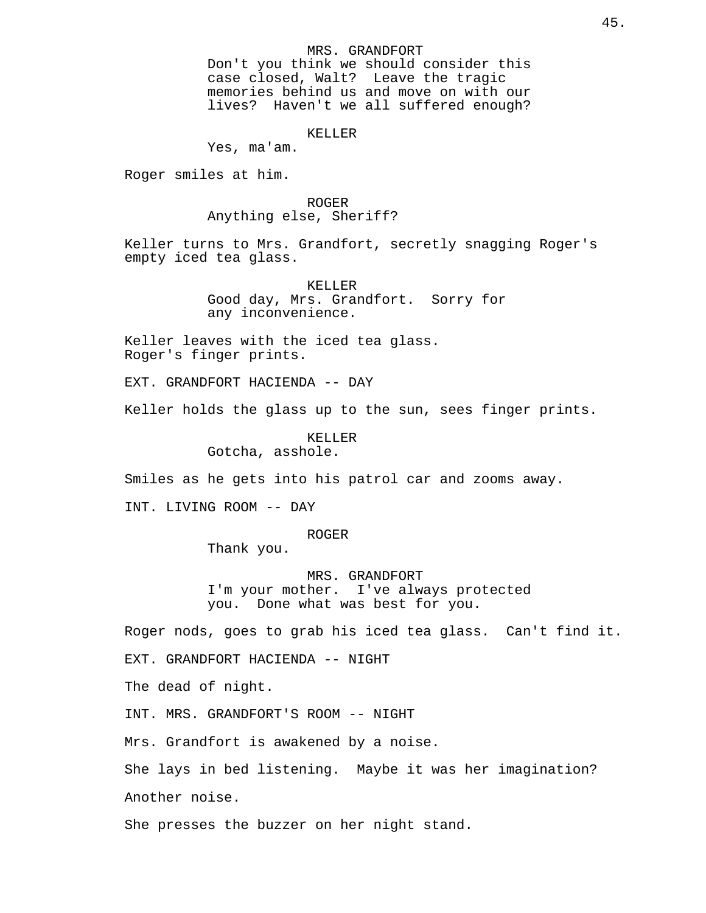### MRS. GRANDFORT

Don't you think we should consider this case closed, Walt? Leave the tragic memories behind us and move on with our lives? Haven't we all suffered enough?

# KELLER

Yes, ma'am.

Roger smiles at him.

# ROGER

Anything else, Sheriff?

Keller turns to Mrs. Grandfort, secretly snagging Roger's empty iced tea glass.

> KELLER Good day, Mrs. Grandfort. Sorry for any inconvenience.

Keller leaves with the iced tea glass. Roger's finger prints.

EXT. GRANDFORT HACIENDA -- DAY

Keller holds the glass up to the sun, sees finger prints.

KELLER Gotcha, asshole.

Smiles as he gets into his patrol car and zooms away.

INT. LIVING ROOM -- DAY

#### ROGER

Thank you.

MRS. GRANDFORT I'm your mother. I've always protected you. Done what was best for you.

Roger nods, goes to grab his iced tea glass. Can't find it.

EXT. GRANDFORT HACIENDA -- NIGHT

The dead of night.

INT. MRS. GRANDFORT'S ROOM -- NIGHT

Mrs. Grandfort is awakened by a noise.

She lays in bed listening. Maybe it was her imagination? Another noise.

She presses the buzzer on her night stand.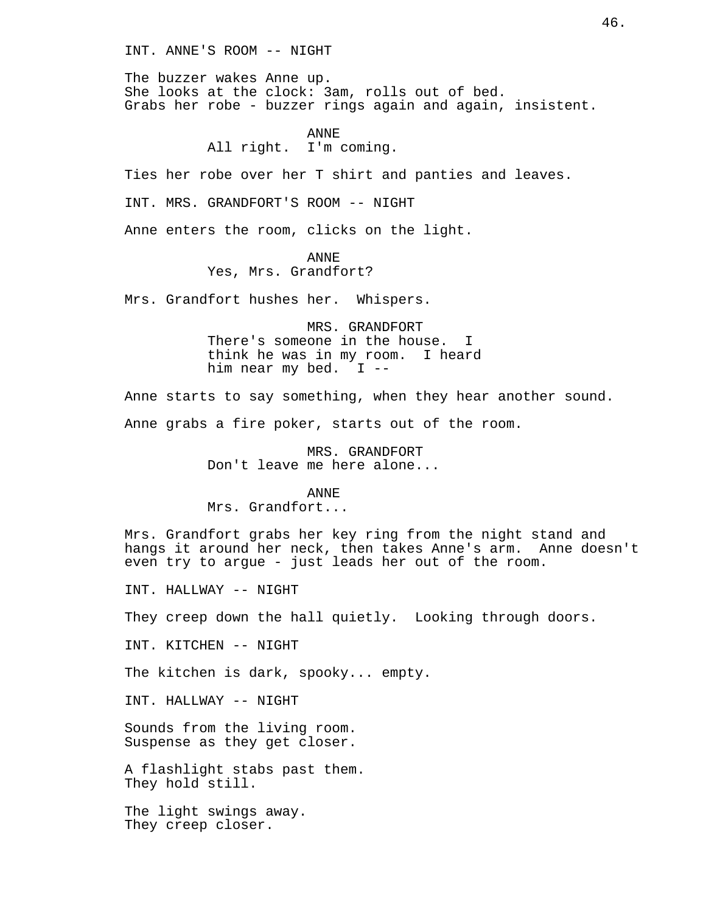INT. ANNE'S ROOM -- NIGHT

The buzzer wakes Anne up. She looks at the clock: 3am, rolls out of bed. Grabs her robe - buzzer rings again and again, insistent.

> ANNE All right. I'm coming.

Ties her robe over her T shirt and panties and leaves.

INT. MRS. GRANDFORT'S ROOM -- NIGHT

Anne enters the room, clicks on the light.

ANNE

Yes, Mrs. Grandfort?

Mrs. Grandfort hushes her. Whispers.

MRS. GRANDFORT There's someone in the house. I think he was in my room. I heard him near my bed. I --

Anne starts to say something, when they hear another sound.

Anne grabs a fire poker, starts out of the room.

MRS. GRANDFORT Don't leave me here alone...

ANNE

Mrs. Grandfort...

Mrs. Grandfort grabs her key ring from the night stand and hangs it around her neck, then takes Anne's arm. Anne doesn't even try to argue - just leads her out of the room.

INT. HALLWAY -- NIGHT

They creep down the hall quietly. Looking through doors.

INT. KITCHEN -- NIGHT

The kitchen is dark, spooky... empty.

INT. HALLWAY -- NIGHT

Sounds from the living room. Suspense as they get closer.

A flashlight stabs past them. They hold still.

The light swings away. They creep closer.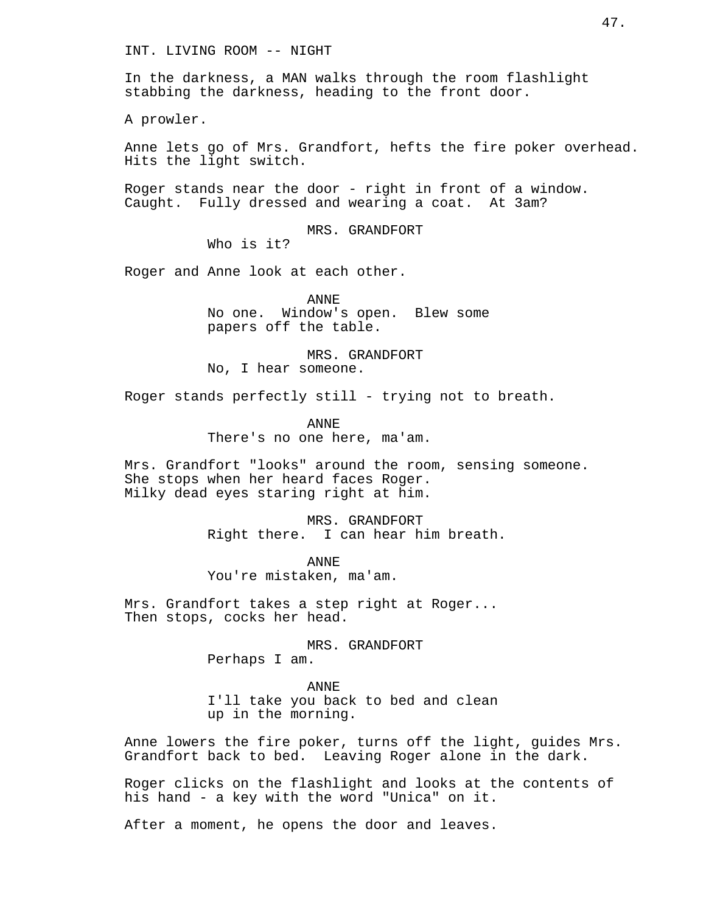INT. LIVING ROOM -- NIGHT

In the darkness, a MAN walks through the room flashlight stabbing the darkness, heading to the front door.

A prowler.

Anne lets go of Mrs. Grandfort, hefts the fire poker overhead. Hits the light switch.

Roger stands near the door - right in front of a window. Caught. Fully dressed and wearing a coat. At 3am?

MRS. GRANDFORT

Who is it?

Roger and Anne look at each other.

ANNE No one. Window's open. Blew some papers off the table.

MRS. GRANDFORT No, I hear someone.

Roger stands perfectly still - trying not to breath.

ANNE There's no one here, ma'am.

Mrs. Grandfort "looks" around the room, sensing someone. She stops when her heard faces Roger. Milky dead eyes staring right at him.

> MRS. GRANDFORT Right there. I can hear him breath.

ANNE You're mistaken, ma'am.

Mrs. Grandfort takes a step right at Roger... Then stops, cocks her head.

> MRS. GRANDFORT Perhaps I am.

ANNE I'll take you back to bed and clean up in the morning.

Anne lowers the fire poker, turns off the light, guides Mrs. Grandfort back to bed. Leaving Roger alone in the dark.

Roger clicks on the flashlight and looks at the contents of his hand - a key with the word "Unica" on it.

After a moment, he opens the door and leaves.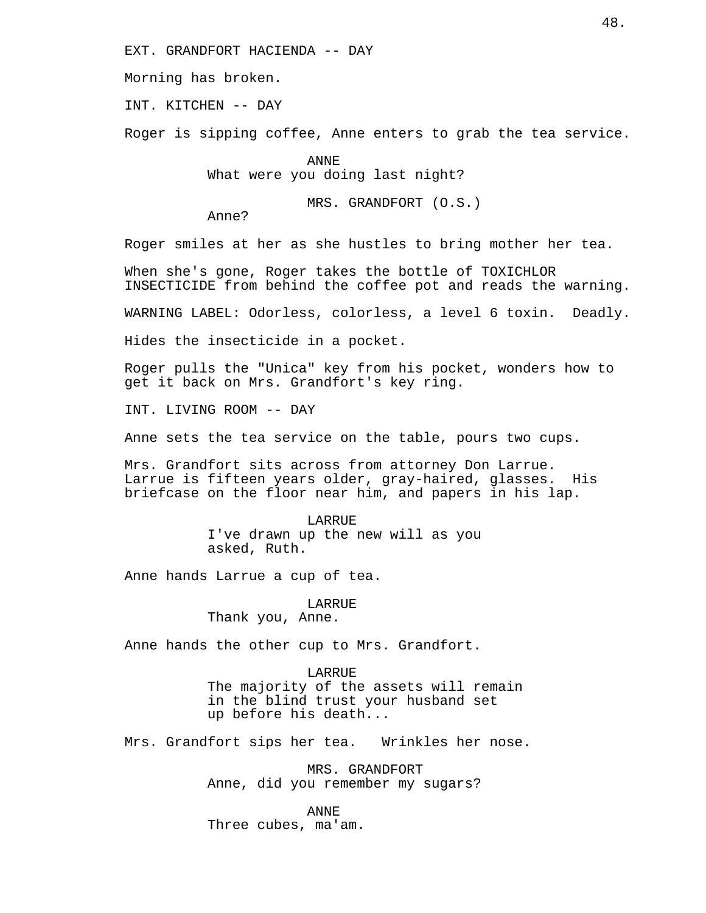EXT. GRANDFORT HACIENDA -- DAY

Morning has broken.

INT. KITCHEN -- DAY

Roger is sipping coffee, Anne enters to grab the tea service.

ANNE What were you doing last night?

MRS. GRANDFORT (O.S.)

Anne?

Roger smiles at her as she hustles to bring mother her tea.

When she's gone, Roger takes the bottle of TOXICHLOR INSECTICIDE from behind the coffee pot and reads the warning.

WARNING LABEL: Odorless, colorless, a level 6 toxin. Deadly.

Hides the insecticide in a pocket.

Roger pulls the "Unica" key from his pocket, wonders how to get it back on Mrs. Grandfort's key ring.

INT. LIVING ROOM -- DAY

Anne sets the tea service on the table, pours two cups.

Mrs. Grandfort sits across from attorney Don Larrue. Larrue is fifteen years older, gray-haired, glasses. His briefcase on the floor near him, and papers in his lap.

> LARRUE I've drawn up the new will as you asked, Ruth.

Anne hands Larrue a cup of tea.

LARRUE Thank you, Anne.

Anne hands the other cup to Mrs. Grandfort.

LARRUE The majority of the assets will remain in the blind trust your husband set up before his death...

Mrs. Grandfort sips her tea. Wrinkles her nose.

MRS. GRANDFORT Anne, did you remember my sugars?

ANNE Three cubes, ma'am.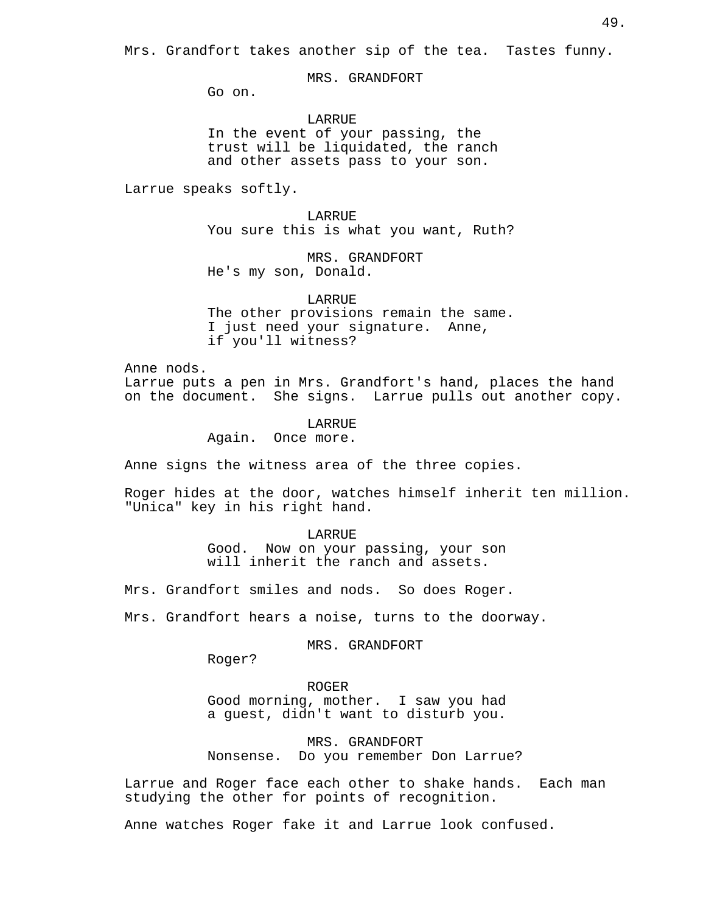MRS. GRANDFORT

Go on.

LARRUE In the event of your passing, the trust will be liquidated, the ranch and other assets pass to your son.

Larrue speaks softly.

LARRUE You sure this is what you want, Ruth?

MRS. GRANDFORT He's my son, Donald.

LARRUE The other provisions remain the same. I just need your signature. Anne, if you'll witness?

Anne nods.

Larrue puts a pen in Mrs. Grandfort's hand, places the hand on the document. She signs. Larrue pulls out another copy.

> LARRUE Again. Once more.

Anne signs the witness area of the three copies.

Roger hides at the door, watches himself inherit ten million. "Unica" key in his right hand.

> LARRUE Good. Now on your passing, your son will inherit the ranch and assets.

Mrs. Grandfort smiles and nods. So does Roger.

Mrs. Grandfort hears a noise, turns to the doorway.

MRS. GRANDFORT

Roger?

ROGER

Good morning, mother. I saw you had a guest, didn't want to disturb you.

MRS. GRANDFORT Nonsense. Do you remember Don Larrue?

Larrue and Roger face each other to shake hands. Each man studying the other for points of recognition.

Anne watches Roger fake it and Larrue look confused.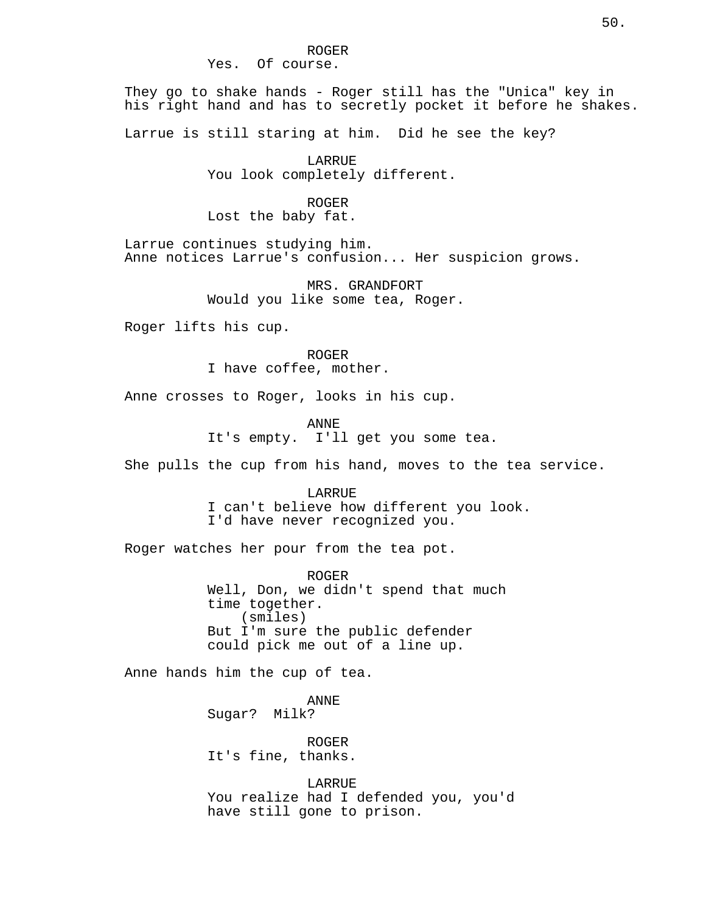#### ROGER Yes. Of course.

They go to shake hands - Roger still has the "Unica" key in his right hand and has to secretly pocket it before he shakes.

Larrue is still staring at him. Did he see the key?

LARRUE You look completely different.

# ROGER

Lost the baby fat.

Larrue continues studying him. Anne notices Larrue's confusion... Her suspicion grows.

> MRS. GRANDFORT Would you like some tea, Roger.

Roger lifts his cup.

ROGER I have coffee, mother.

Anne crosses to Roger, looks in his cup.

ANNE

It's empty. I'll get you some tea.

She pulls the cup from his hand, moves to the tea service.

LARRUE

I can't believe how different you look. I'd have never recognized you.

Roger watches her pour from the tea pot.

ROGER Well, Don, we didn't spend that much time together. (smiles) But I'm sure the public defender could pick me out of a line up.

Anne hands him the cup of tea.

ANNE Sugar? Milk?

ROGER It's fine, thanks.

LARRUE You realize had I defended you, you'd have still gone to prison.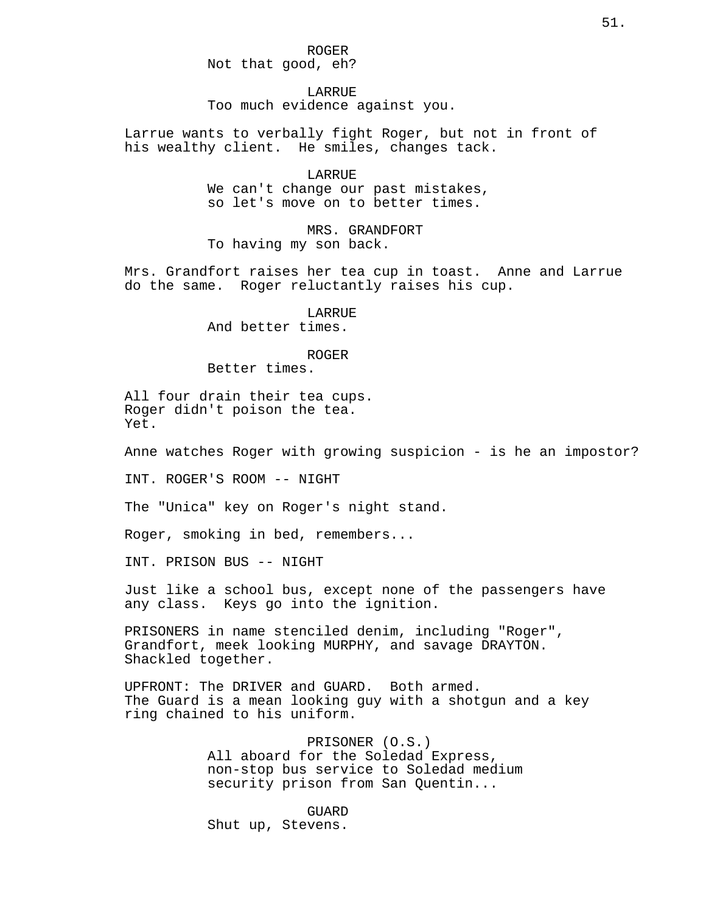ROGER Not that good, eh?

LARRUE Too much evidence against you.

Larrue wants to verbally fight Roger, but not in front of his wealthy client. He smiles, changes tack.

> LARRUE We can't change our past mistakes, so let's move on to better times.

MRS. GRANDFORT To having my son back.

Mrs. Grandfort raises her tea cup in toast. Anne and Larrue do the same. Roger reluctantly raises his cup.

> LARRIJE And better times.

### ROGER

Better times.

All four drain their tea cups. Roger didn't poison the tea. Yet.

Anne watches Roger with growing suspicion - is he an impostor?

INT. ROGER'S ROOM -- NIGHT

The "Unica" key on Roger's night stand.

Roger, smoking in bed, remembers...

INT. PRISON BUS -- NIGHT

Just like a school bus, except none of the passengers have any class. Keys go into the ignition.

PRISONERS in name stenciled denim, including "Roger", Grandfort, meek looking MURPHY, and savage DRAYTON. Shackled together.

UPFRONT: The DRIVER and GUARD. Both armed. The Guard is a mean looking guy with a shotgun and a key ring chained to his uniform.

> PRISONER (O.S.) All aboard for the Soledad Express, non-stop bus service to Soledad medium security prison from San Quentin...

GUARD Shut up, Stevens.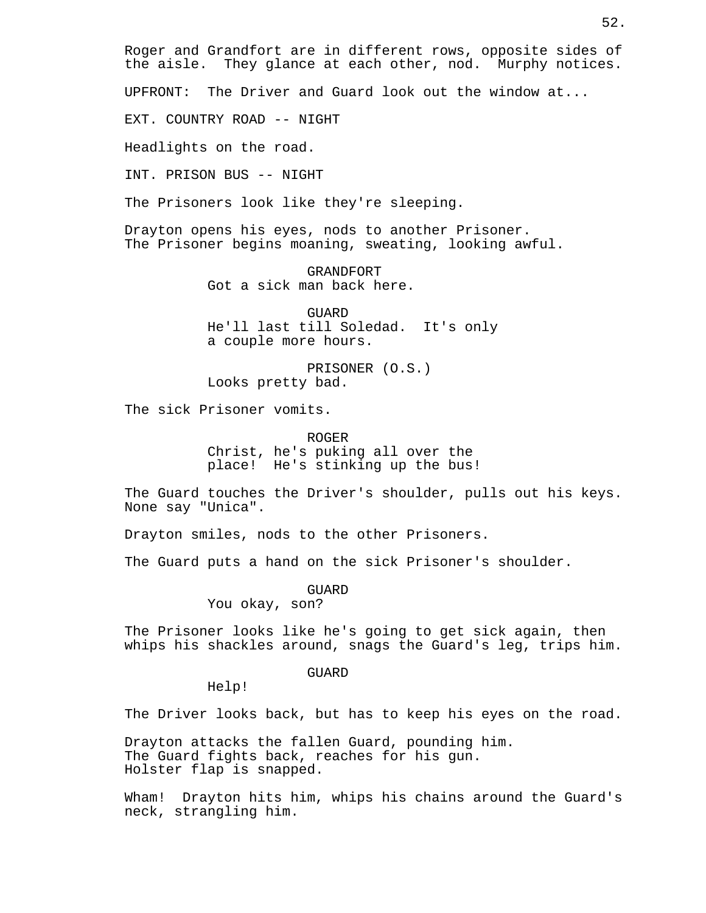Roger and Grandfort are in different rows, opposite sides of the aisle. They glance at each other, nod. Murphy notices.

UPFRONT: The Driver and Guard look out the window at...

EXT. COUNTRY ROAD -- NIGHT

Headlights on the road.

INT. PRISON BUS -- NIGHT

The Prisoners look like they're sleeping.

Drayton opens his eyes, nods to another Prisoner. The Prisoner begins moaning, sweating, looking awful.

> GRANDFORT Got a sick man back here.

GUARD He'll last till Soledad. It's only a couple more hours.

PRISONER (O.S.) Looks pretty bad.

The sick Prisoner vomits.

ROGER

Christ, he's puking all over the place! He's stinking up the bus!

The Guard touches the Driver's shoulder, pulls out his keys. None say "Unica".

Drayton smiles, nods to the other Prisoners.

The Guard puts a hand on the sick Prisoner's shoulder.

GUARD

You okay, son?

The Prisoner looks like he's going to get sick again, then whips his shackles around, snags the Guard's leg, trips him.

GUARD

Help!

The Driver looks back, but has to keep his eyes on the road.

Drayton attacks the fallen Guard, pounding him. The Guard fights back, reaches for his gun. Holster flap is snapped.

Wham! Drayton hits him, whips his chains around the Guard's neck, strangling him.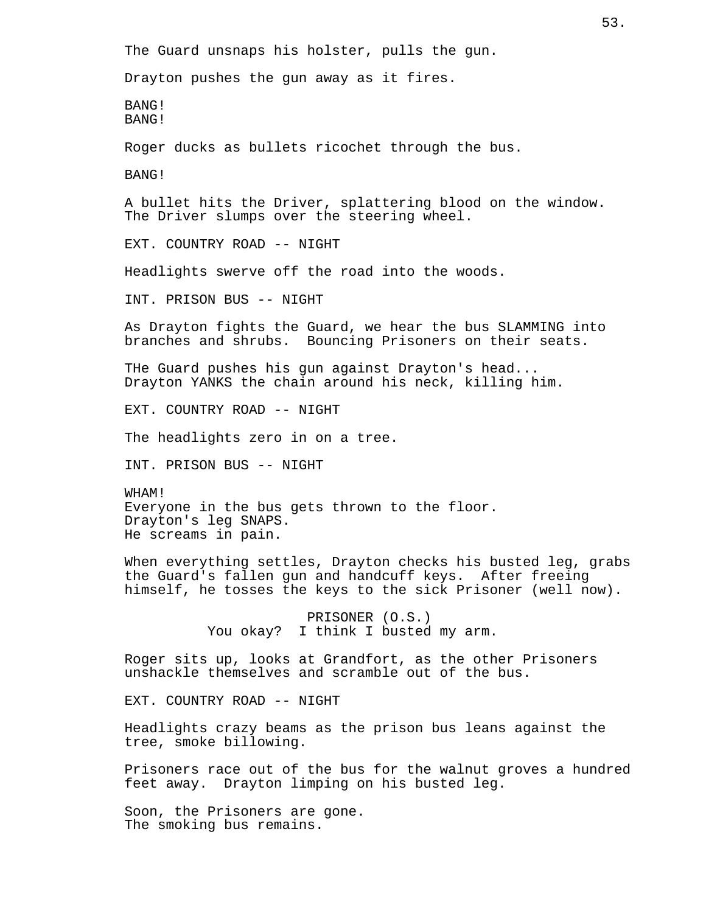The Guard unsnaps his holster, pulls the gun. Drayton pushes the gun away as it fires. BANG! BANG! Roger ducks as bullets ricochet through the bus. BANG! A bullet hits the Driver, splattering blood on the window. The Driver slumps over the steering wheel. EXT. COUNTRY ROAD -- NIGHT Headlights swerve off the road into the woods. INT. PRISON BUS -- NIGHT As Drayton fights the Guard, we hear the bus SLAMMING into branches and shrubs. Bouncing Prisoners on their seats. THe Guard pushes his gun against Drayton's head... Drayton YANKS the chain around his neck, killing him. EXT. COUNTRY ROAD -- NIGHT The headlights zero in on a tree. INT. PRISON BUS -- NIGHT WHAM! Everyone in the bus gets thrown to the floor. Drayton's leg SNAPS. He screams in pain. When everything settles, Drayton checks his busted leg, grabs the Guard's fallen gun and handcuff keys. After freeing himself, he tosses the keys to the sick Prisoner (well now). PRISONER (O.S.) You okay? I think I busted my arm. Roger sits up, looks at Grandfort, as the other Prisoners unshackle themselves and scramble out of the bus. EXT. COUNTRY ROAD -- NIGHT Headlights crazy beams as the prison bus leans against the tree, smoke billowing. Prisoners race out of the bus for the walnut groves a hundred feet away. Drayton limping on his busted leg. Soon, the Prisoners are gone. The smoking bus remains.

53.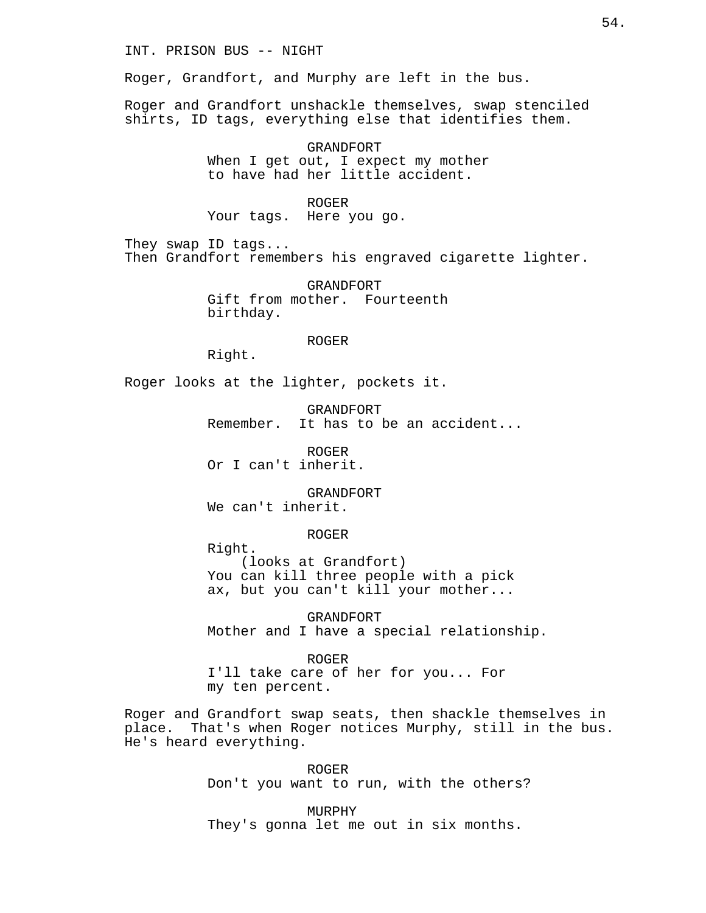# INT. PRISON BUS -- NIGHT

Roger, Grandfort, and Murphy are left in the bus.

Roger and Grandfort unshackle themselves, swap stenciled shirts, ID tags, everything else that identifies them.

> GRANDFORT When I get out, I expect my mother to have had her little accident.

### ROGER

Your tags. Here you go.

They swap ID tags... Then Grandfort remembers his engraved cigarette lighter.

> GRANDFORT Gift from mother. Fourteenth birthday.

> > ROGER

Right.

Roger looks at the lighter, pockets it.

GRANDFORT Remember. It has to be an accident...

ROGER Or I can't inherit.

GRANDFORT We can't inherit.

ROGER

Right. (looks at Grandfort) You can kill three people with a pick ax, but you can't kill your mother...

GRANDFORT Mother and I have a special relationship.

ROGER I'll take care of her for you... For my ten percent.

Roger and Grandfort swap seats, then shackle themselves in place. That's when Roger notices Murphy, still in the bus. He's heard everything.

> ROGER Don't you want to run, with the others?

MURPHY They's gonna let me out in six months.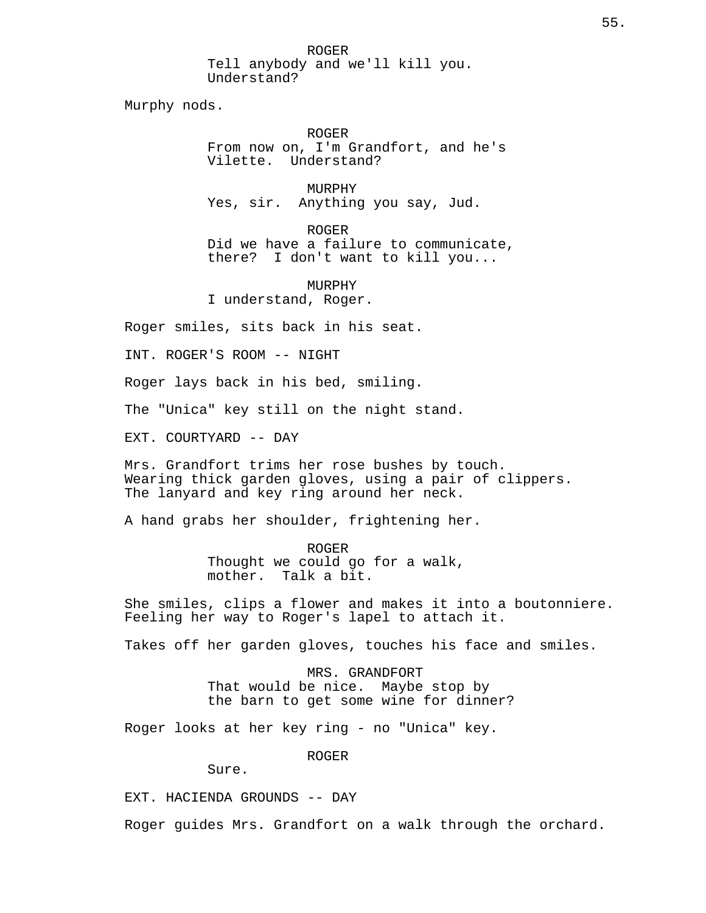ROGER Tell anybody and we'll kill you. Understand?

Murphy nods.

ROGER From now on, I'm Grandfort, and he's Vilette. Understand?

MURPHY Yes, sir. Anything you say, Jud.

ROGER Did we have a failure to communicate, there? I don't want to kill you...

MURPHY I understand, Roger.

Roger smiles, sits back in his seat.

INT. ROGER'S ROOM -- NIGHT

Roger lays back in his bed, smiling.

The "Unica" key still on the night stand.

EXT. COURTYARD -- DAY

Mrs. Grandfort trims her rose bushes by touch. Wearing thick garden gloves, using a pair of clippers. The lanyard and key ring around her neck.

A hand grabs her shoulder, frightening her.

ROGER Thought we could go for a walk, mother. Talk a bit.

She smiles, clips a flower and makes it into a boutonniere. Feeling her way to Roger's lapel to attach it.

Takes off her garden gloves, touches his face and smiles.

MRS. GRANDFORT That would be nice. Maybe stop by the barn to get some wine for dinner?

Roger looks at her key ring - no "Unica" key.

ROGER

Sure.

EXT. HACIENDA GROUNDS -- DAY

Roger guides Mrs. Grandfort on a walk through the orchard.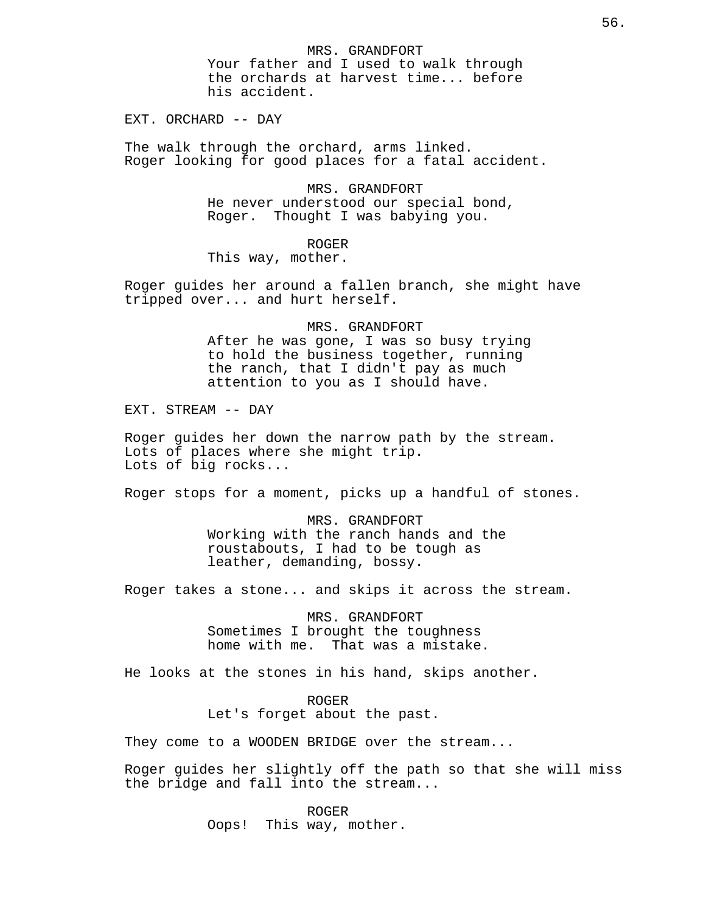MRS. GRANDFORT Your father and I used to walk through the orchards at harvest time... before his accident.

EXT. ORCHARD -- DAY

The walk through the orchard, arms linked. Roger looking for good places for a fatal accident.

> MRS. GRANDFORT He never understood our special bond, Roger. Thought I was babying you.

> > ROGER

This way, mother.

Roger guides her around a fallen branch, she might have tripped over... and hurt herself.

# MRS. GRANDFORT

After he was gone, I was so busy trying to hold the business together, running the ranch, that I didn't pay as much attention to you as I should have.

EXT. STREAM -- DAY

Roger guides her down the narrow path by the stream. Lots of places where she might trip. Lots of big rocks...

Roger stops for a moment, picks up a handful of stones.

MRS. GRANDFORT Working with the ranch hands and the roustabouts, I had to be tough as leather, demanding, bossy.

Roger takes a stone... and skips it across the stream.

MRS. GRANDFORT Sometimes I brought the toughness home with me. That was a mistake.

He looks at the stones in his hand, skips another.

ROGER Let's forget about the past.

They come to a WOODEN BRIDGE over the stream...

Roger guides her slightly off the path so that she will miss the bridge and fall into the stream...

> ROGER Oops! This way, mother.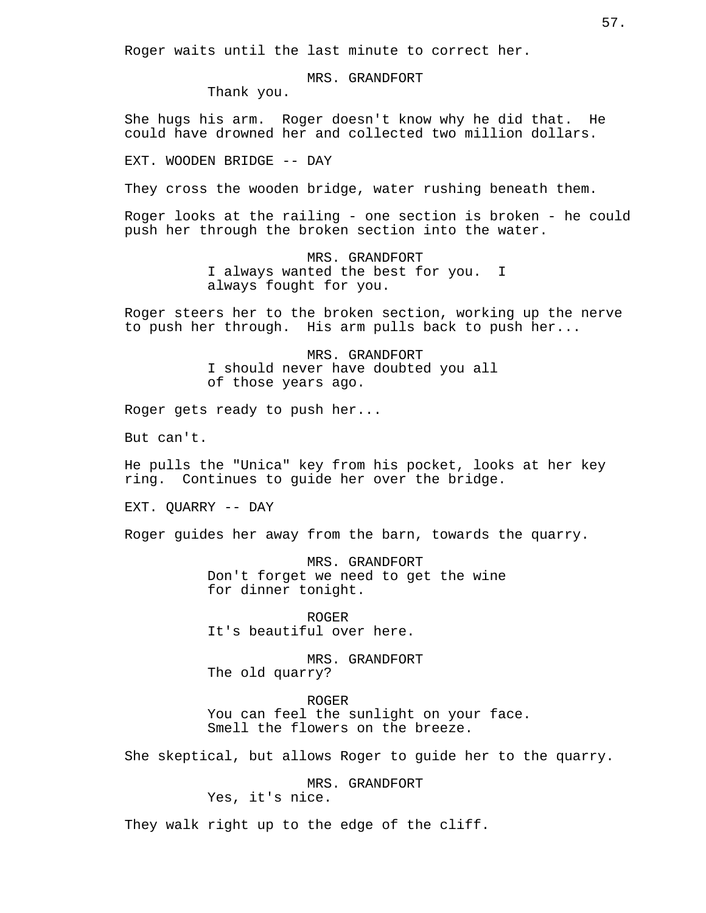Roger waits until the last minute to correct her.

MRS. GRANDFORT

Thank you.

She hugs his arm. Roger doesn't know why he did that. He could have drowned her and collected two million dollars.

EXT. WOODEN BRIDGE -- DAY

They cross the wooden bridge, water rushing beneath them.

Roger looks at the railing - one section is broken - he could push her through the broken section into the water.

> MRS. GRANDFORT I always wanted the best for you. I always fought for you.

Roger steers her to the broken section, working up the nerve to push her through. His arm pulls back to push her...

> MRS. GRANDFORT I should never have doubted you all of those years ago.

Roger gets ready to push her...

But can't.

He pulls the "Unica" key from his pocket, looks at her key ring. Continues to guide her over the bridge.

EXT. QUARRY -- DAY

Roger guides her away from the barn, towards the quarry.

MRS. GRANDFORT Don't forget we need to get the wine for dinner tonight.

ROGER It's beautiful over here.

MRS. GRANDFORT The old quarry?

ROGER You can feel the sunlight on your face. Smell the flowers on the breeze.

She skeptical, but allows Roger to guide her to the quarry.

MRS. GRANDFORT Yes, it's nice.

They walk right up to the edge of the cliff.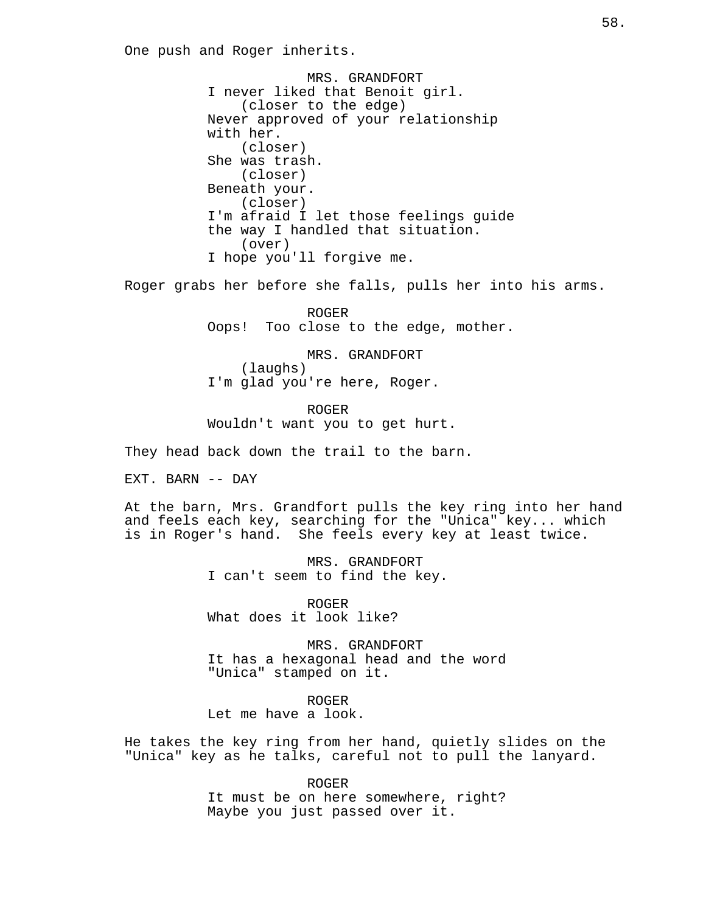One push and Roger inherits.

MRS. GRANDFORT I never liked that Benoit girl. (closer to the edge) Never approved of your relationship with her. (closer) She was trash. (closer) Beneath your. (closer) I'm afraid I let those feelings guide the way I handled that situation. (over) I hope you'll forgive me.

Roger grabs her before she falls, pulls her into his arms.

ROGER Oops! Too close to the edge, mother.

MRS. GRANDFORT (laughs) I'm glad you're here, Roger.

ROGER Wouldn't want you to get hurt.

They head back down the trail to the barn.

EXT. BARN -- DAY

At the barn, Mrs. Grandfort pulls the key ring into her hand and feels each key, searching for the "Unica" key... which is in Roger's hand. She feels every key at least twice.

> MRS. GRANDFORT I can't seem to find the key.

ROGER What does it look like?

MRS. GRANDFORT It has a hexagonal head and the word "Unica" stamped on it.

ROGER Let me have a look.

He takes the key ring from her hand, quietly slides on the "Unica" key as he talks, careful not to pull the lanyard.

> ROGER It must be on here somewhere, right? Maybe you just passed over it.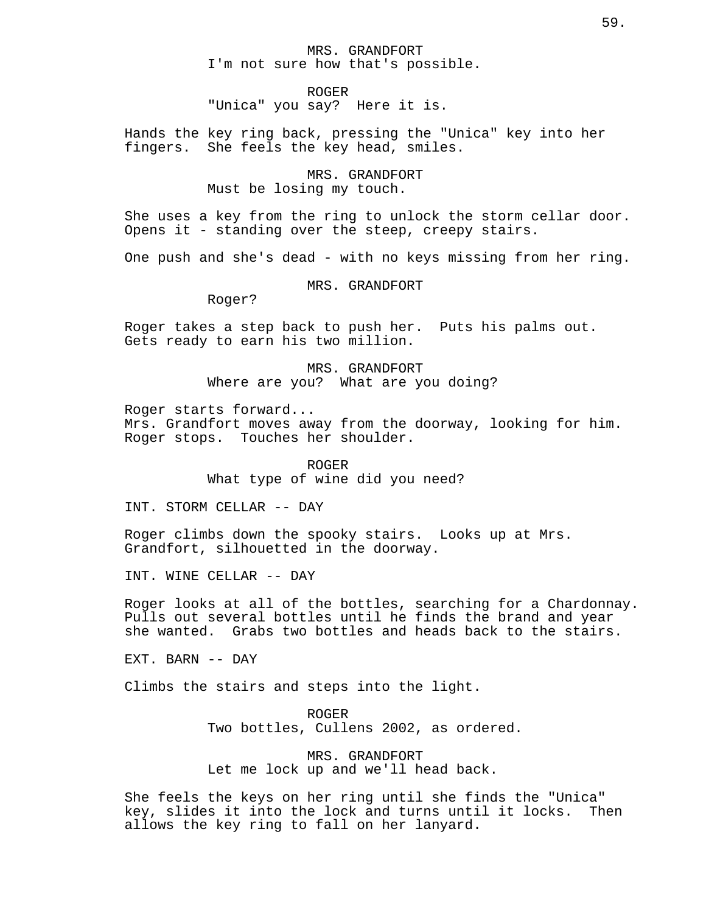# MRS. GRANDFORT I'm not sure how that's possible.

ROGER

"Unica" you say? Here it is.

Hands the key ring back, pressing the "Unica" key into her She feels the key head, smiles.

# MRS. GRANDFORT Must be losing my touch.

She uses a key from the ring to unlock the storm cellar door. Opens it - standing over the steep, creepy stairs.

One push and she's dead - with no keys missing from her ring.

# MRS. GRANDFORT

Roger?

Roger takes a step back to push her. Puts his palms out. Gets ready to earn his two million.

> MRS. GRANDFORT Where are you? What are you doing?

Roger starts forward...

Mrs. Grandfort moves away from the doorway, looking for him. Roger stops. Touches her shoulder.

> ROGER What type of wine did you need?

INT. STORM CELLAR -- DAY

Roger climbs down the spooky stairs. Looks up at Mrs. Grandfort, silhouetted in the doorway.

INT. WINE CELLAR -- DAY

Roger looks at all of the bottles, searching for a Chardonnay. Pulls out several bottles until he finds the brand and year she wanted. Grabs two bottles and heads back to the stairs.

EXT. BARN -- DAY

Climbs the stairs and steps into the light.

ROGER Two bottles, Cullens 2002, as ordered.

MRS. GRANDFORT Let me lock up and we'll head back.

She feels the keys on her ring until she finds the "Unica" key, slides it into the lock and turns until it locks. Then allows the key ring to fall on her lanyard.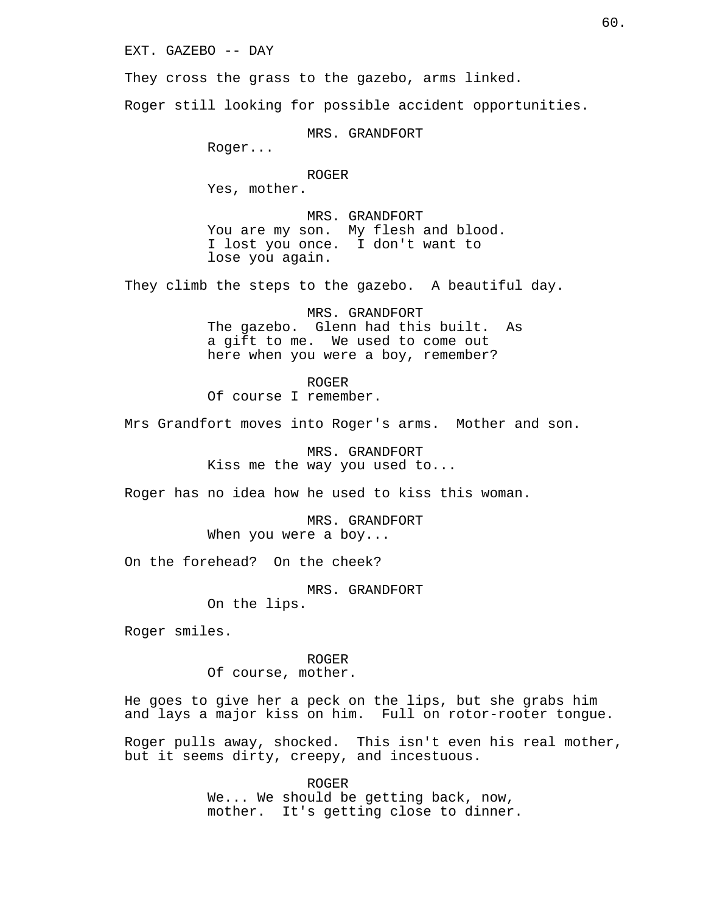EXT. GAZEBO -- DAY

They cross the grass to the gazebo, arms linked.

Roger still looking for possible accident opportunities.

MRS. GRANDFORT

Roger...

ROGER

Yes, mother.

MRS. GRANDFORT You are my son. My flesh and blood. I lost you once. I don't want to lose you again.

They climb the steps to the gazebo. A beautiful day.

MRS. GRANDFORT The gazebo. Glenn had this built. As a gift to me. We used to come out here when you were a boy, remember?

ROGER Of course I remember.

Mrs Grandfort moves into Roger's arms. Mother and son.

MRS. GRANDFORT Kiss me the way you used to...

Roger has no idea how he used to kiss this woman.

MRS. GRANDFORT When you were a boy...

On the forehead? On the cheek?

MRS. GRANDFORT

On the lips.

Roger smiles.

ROGER

Of course, mother.

He goes to give her a peck on the lips, but she grabs him and lays a major kiss on him. Full on rotor-rooter tongue.

Roger pulls away, shocked. This isn't even his real mother, but it seems dirty, creepy, and incestuous.

> ROGER We... We should be getting back, now, mother. It's getting close to dinner.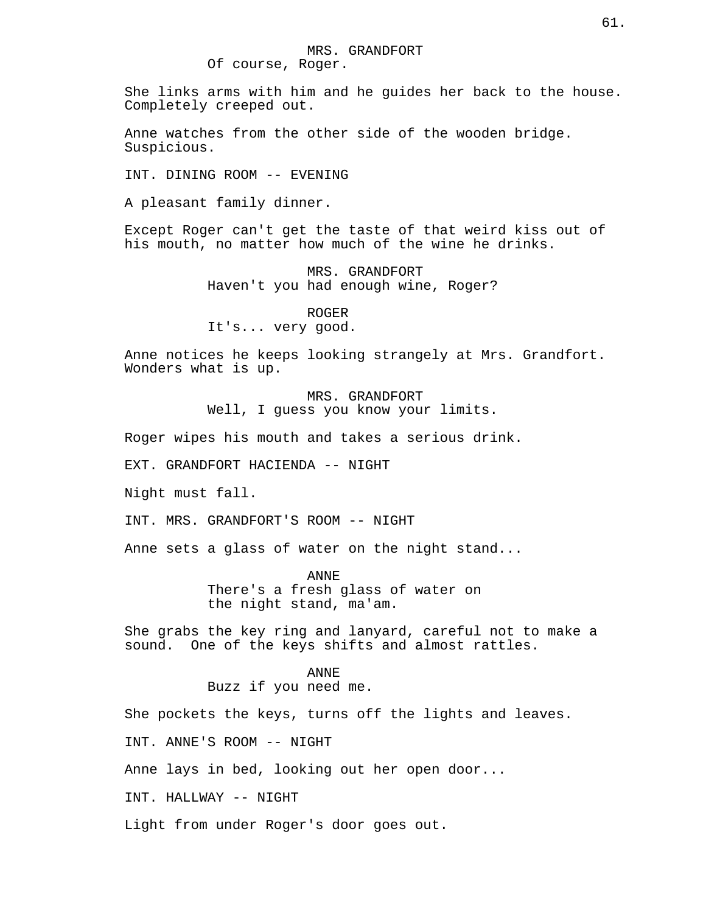She links arms with him and he guides her back to the house. Completely creeped out.

Anne watches from the other side of the wooden bridge. Suspicious.

INT. DINING ROOM -- EVENING

A pleasant family dinner.

Except Roger can't get the taste of that weird kiss out of his mouth, no matter how much of the wine he drinks.

> MRS. GRANDFORT Haven't you had enough wine, Roger?

### ROGER

It's... very good.

Anne notices he keeps looking strangely at Mrs. Grandfort. Wonders what is up.

> MRS. GRANDFORT Well, I guess you know your limits.

Roger wipes his mouth and takes a serious drink.

EXT. GRANDFORT HACIENDA -- NIGHT

Night must fall.

INT. MRS. GRANDFORT'S ROOM -- NIGHT

Anne sets a glass of water on the night stand...

ANNE There's a fresh glass of water on the night stand, ma'am.

She grabs the key ring and lanyard, careful not to make a sound. One of the keys shifts and almost rattles.

## ANNE

Buzz if you need me.

She pockets the keys, turns off the lights and leaves.

INT. ANNE'S ROOM -- NIGHT

Anne lays in bed, looking out her open door...

INT. HALLWAY -- NIGHT

Light from under Roger's door goes out.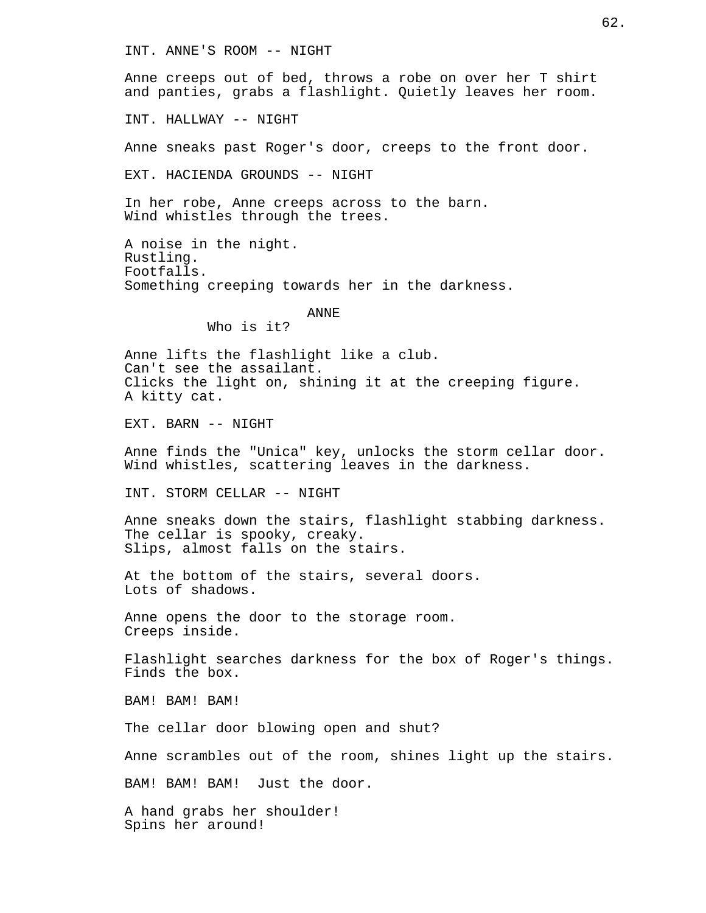INT. ANNE'S ROOM -- NIGHT

Anne creeps out of bed, throws a robe on over her T shirt and panties, grabs a flashlight. Quietly leaves her room.

INT. HALLWAY -- NIGHT

Anne sneaks past Roger's door, creeps to the front door.

EXT. HACIENDA GROUNDS -- NIGHT

In her robe, Anne creeps across to the barn. Wind whistles through the trees.

A noise in the night. Rustling. Footfalls. Something creeping towards her in the darkness.

ANNE

Who is it?

Anne lifts the flashlight like a club. Can't see the assailant. Clicks the light on, shining it at the creeping figure. A kitty cat.

EXT. BARN -- NIGHT

Anne finds the "Unica" key, unlocks the storm cellar door. Wind whistles, scattering leaves in the darkness.

INT. STORM CELLAR -- NIGHT

Anne sneaks down the stairs, flashlight stabbing darkness. The cellar is spooky, creaky. Slips, almost falls on the stairs.

At the bottom of the stairs, several doors. Lots of shadows.

Anne opens the door to the storage room. Creeps inside.

Flashlight searches darkness for the box of Roger's things. Finds the box.

BAM! BAM! BAM!

The cellar door blowing open and shut?

Anne scrambles out of the room, shines light up the stairs.

BAM! BAM! BAM! Just the door.

A hand grabs her shoulder! Spins her around!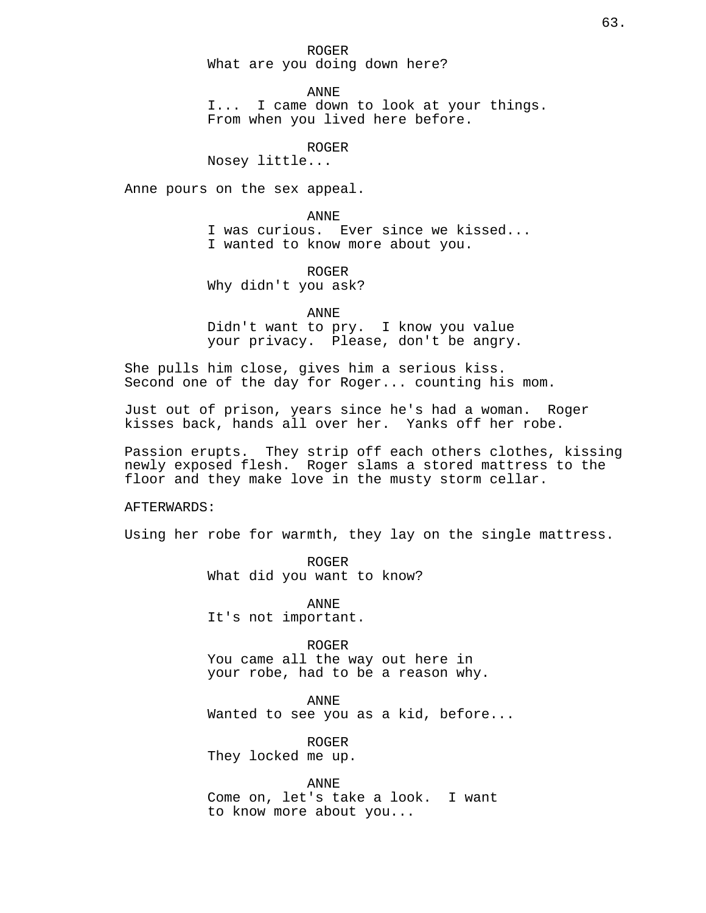ROGER What are you doing down here?

ANNE

I... I came down to look at your things. From when you lived here before.

ROGER

Nosey little...

Anne pours on the sex appeal.

ANNE

I was curious. Ever since we kissed... I wanted to know more about you.

ROGER Why didn't you ask?

ANNE

Didn't want to pry. I know you value your privacy. Please, don't be angry.

She pulls him close, gives him a serious kiss. Second one of the day for Roger... counting his mom.

Just out of prison, years since he's had a woman. Roger kisses back, hands all over her. Yanks off her robe.

Passion erupts. They strip off each others clothes, kissing newly exposed flesh. Roger slams a stored mattress to the floor and they make love in the musty storm cellar.

AFTERWARDS:

Using her robe for warmth, they lay on the single mattress.

ROGER What did you want to know?

ANNE It's not important.

ROGER You came all the way out here in your robe, had to be a reason why.

ANNE Wanted to see you as a kid, before...

ROGER They locked me up.

ANNE Come on, let's take a look. I want to know more about you...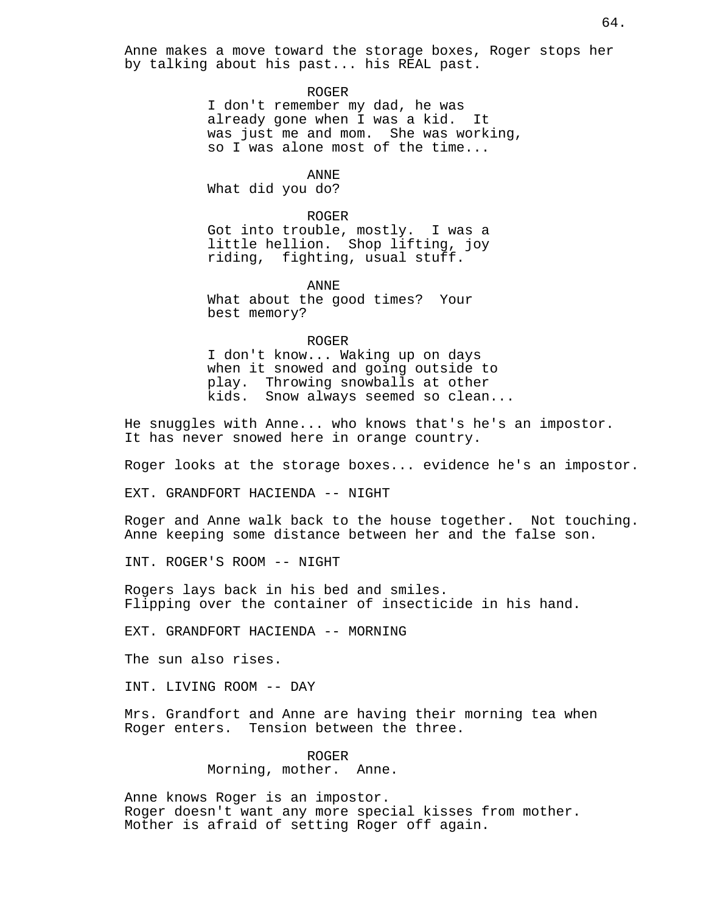Anne makes a move toward the storage boxes, Roger stops her by talking about his past... his REAL past.

#### ROGER

I don't remember my dad, he was already gone when I was a kid. It was just me and mom. She was working, so I was alone most of the time...

## ANNE

What did you do?

#### ROGER

Got into trouble, mostly. I was a little hellion. Shop lifting, joy riding, fighting, usual stuff.

ANNE

What about the good times? Your best memory?

#### ROGER

I don't know... Waking up on days when it snowed and going outside to play. Throwing snowballs at other kids. Snow always seemed so clean...

He snuggles with Anne... who knows that's he's an impostor. It has never snowed here in orange country.

Roger looks at the storage boxes... evidence he's an impostor.

EXT. GRANDFORT HACIENDA -- NIGHT

Roger and Anne walk back to the house together. Not touching. Anne keeping some distance between her and the false son.

INT. ROGER'S ROOM -- NIGHT

Rogers lays back in his bed and smiles. Flipping over the container of insecticide in his hand.

EXT. GRANDFORT HACIENDA -- MORNING

The sun also rises.

INT. LIVING ROOM -- DAY

Mrs. Grandfort and Anne are having their morning tea when Roger enters. Tension between the three.

> ROGER Morning, mother. Anne.

Anne knows Roger is an impostor. Roger doesn't want any more special kisses from mother. Mother is afraid of setting Roger off again.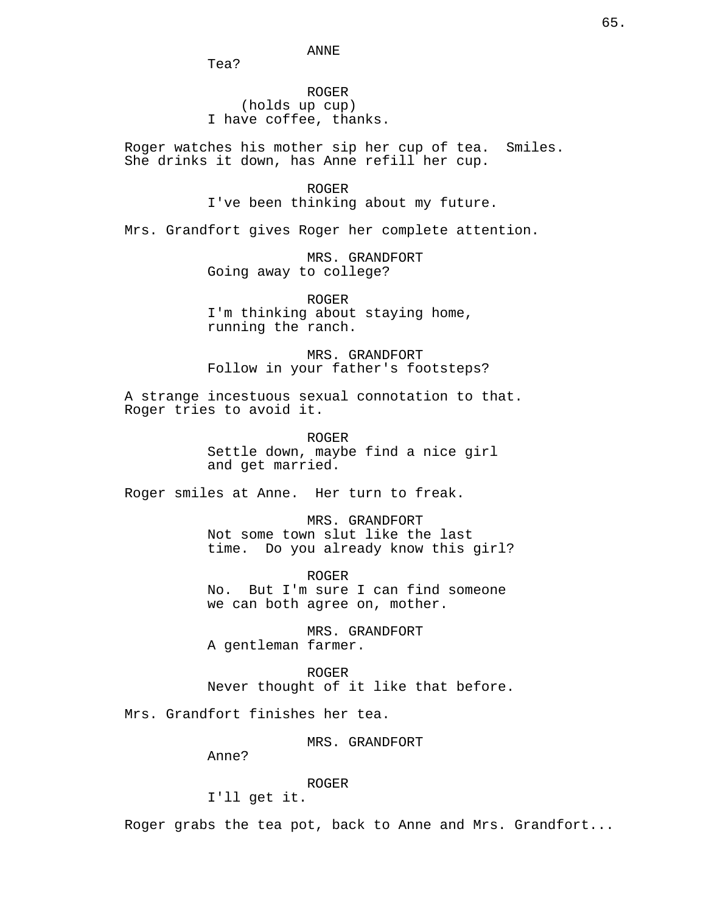Tea?

ROGER (holds up cup) I have coffee, thanks.

Roger watches his mother sip her cup of tea. Smiles. She drinks it down, has Anne refill her cup.

> ROGER I've been thinking about my future.

Mrs. Grandfort gives Roger her complete attention.

MRS. GRANDFORT Going away to college?

ROGER I'm thinking about staying home, running the ranch.

MRS. GRANDFORT Follow in your father's footsteps?

A strange incestuous sexual connotation to that. Roger tries to avoid it.

> ROGER Settle down, maybe find a nice girl and get married.

Roger smiles at Anne. Her turn to freak.

MRS. GRANDFORT Not some town slut like the last time. Do you already know this girl?

ROGER No. But I'm sure I can find someone we can both agree on, mother.

MRS. GRANDFORT A gentleman farmer.

ROGER Never thought of it like that before.

Mrs. Grandfort finishes her tea.

MRS. GRANDFORT

Anne?

ROGER

I'll get it.

Roger grabs the tea pot, back to Anne and Mrs. Grandfort...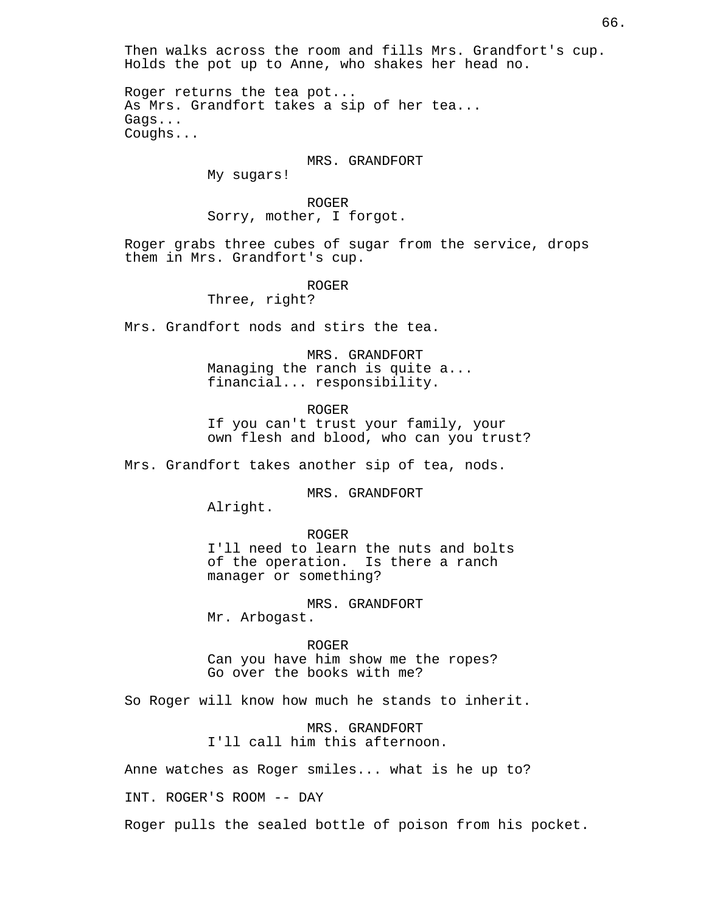Then walks across the room and fills Mrs. Grandfort's cup. Holds the pot up to Anne, who shakes her head no.

Roger returns the tea pot... As Mrs. Grandfort takes a sip of her tea... Gags... Coughs...

### MRS. GRANDFORT

My sugars!

ROGER Sorry, mother, I forgot.

Roger grabs three cubes of sugar from the service, drops them in Mrs. Grandfort's cup.

ROGER

Three, right?

Mrs. Grandfort nods and stirs the tea.

MRS. GRANDFORT Managing the ranch is quite a... financial... responsibility.

ROGER If you can't trust your family, your own flesh and blood, who can you trust?

Mrs. Grandfort takes another sip of tea, nods.

MRS. GRANDFORT

Alright.

ROGER

I'll need to learn the nuts and bolts of the operation. Is there a ranch manager or something?

MRS. GRANDFORT

Mr. Arbogast.

ROGER

Can you have him show me the ropes? Go over the books with me?

So Roger will know how much he stands to inherit.

MRS. GRANDFORT I'll call him this afternoon.

Anne watches as Roger smiles... what is he up to?

INT. ROGER'S ROOM -- DAY

Roger pulls the sealed bottle of poison from his pocket.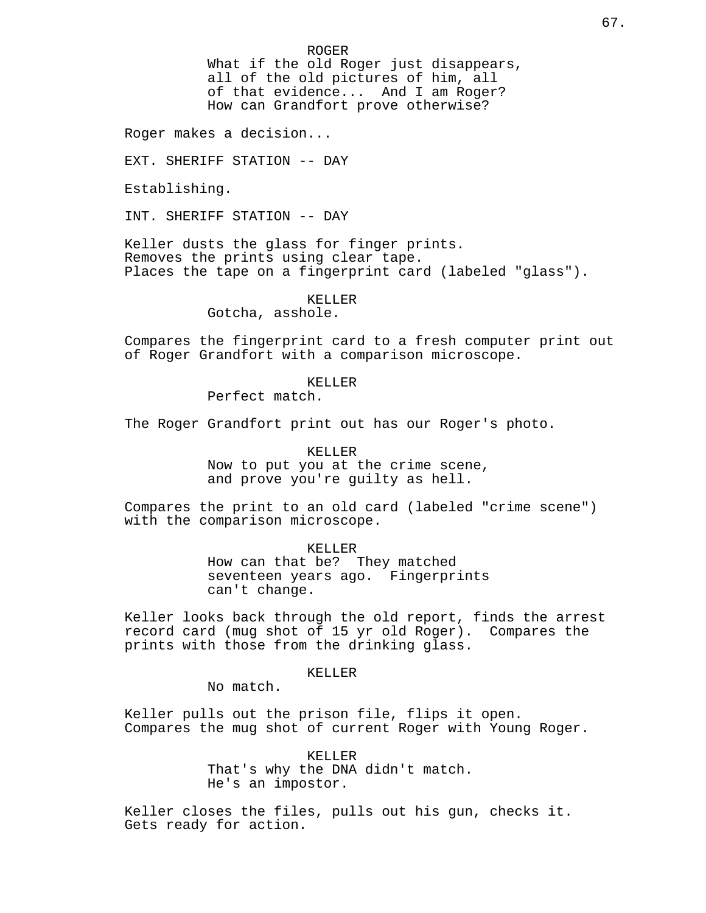ROGER

What if the old Roger just disappears, all of the old pictures of him, all of that evidence... And I am Roger? How can Grandfort prove otherwise?

Roger makes a decision...

EXT. SHERIFF STATION -- DAY

Establishing.

INT. SHERIFF STATION -- DAY

Keller dusts the glass for finger prints. Removes the prints using clear tape. Places the tape on a fingerprint card (labeled "glass").

## KELLER

Gotcha, asshole.

Compares the fingerprint card to a fresh computer print out of Roger Grandfort with a comparison microscope.

## KELLER

Perfect match.

The Roger Grandfort print out has our Roger's photo.

KELLER

Now to put you at the crime scene, and prove you're guilty as hell.

Compares the print to an old card (labeled "crime scene") with the comparison microscope.

KELLER

How can that be? They matched seventeen years ago. Fingerprints can't change.

Keller looks back through the old report, finds the arrest record card (mug shot of 15 yr old Roger). Compares the prints with those from the drinking glass.

# KELLER

No match.

Keller pulls out the prison file, flips it open. Compares the mug shot of current Roger with Young Roger.

> KELLER That's why the DNA didn't match. He's an impostor.

Keller closes the files, pulls out his gun, checks it. Gets ready for action.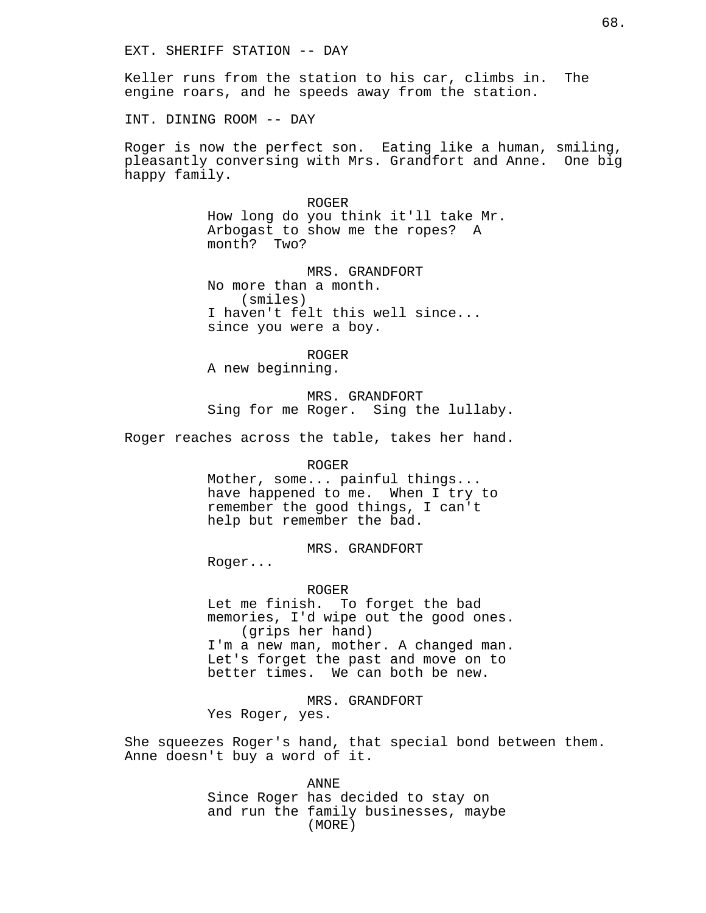Keller runs from the station to his car, climbs in. The engine roars, and he speeds away from the station.

INT. DINING ROOM -- DAY

Roger is now the perfect son. Eating like a human, smiling, pleasantly conversing with Mrs. Grandfort and Anne. One big happy family.

> ROGER How long do you think it'll take Mr. Arbogast to show me the ropes? A month? Two?

MRS. GRANDFORT No more than a month. (smiles) I haven't felt this well since... since you were a boy.

ROGER A new beginning.

MRS. GRANDFORT Sing for me Roger. Sing the lullaby.

Roger reaches across the table, takes her hand.

#### ROGER

Mother, some... painful things... have happened to me. When I try to remember the good things, I can't help but remember the bad.

MRS. GRANDFORT

Roger...

#### ROGER

Let me finish. To forget the bad memories, I'd wipe out the good ones. (grips her hand) I'm a new man, mother. A changed man. Let's forget the past and move on to better times. We can both be new.

MRS. GRANDFORT Yes Roger, yes.

She squeezes Roger's hand, that special bond between them. Anne doesn't buy a word of it.

> ANNE Since Roger has decided to stay on and run the family businesses, maybe (MORE)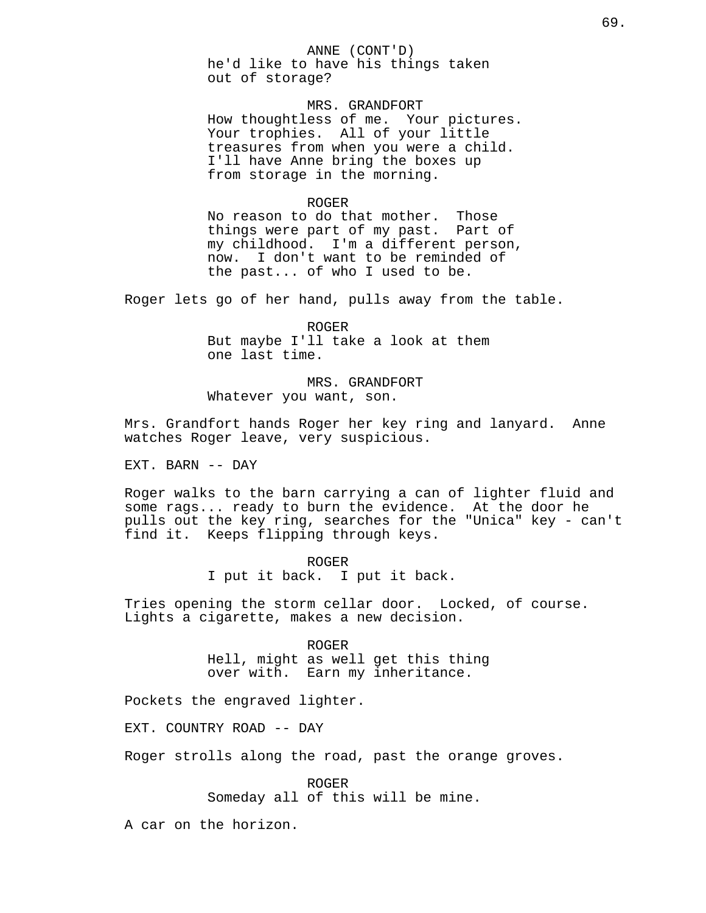ANNE (CONT'D) he'd like to have his things taken out of storage?

MRS. GRANDFORT How thoughtless of me. Your pictures. Your trophies. All of your little treasures from when you were a child. I'll have Anne bring the boxes up from storage in the morning.

## ROGER

No reason to do that mother. Those things were part of my past. Part of my childhood. I'm a different person, now. I don't want to be reminded of the past... of who I used to be.

Roger lets go of her hand, pulls away from the table.

ROGER But maybe I'll take a look at them one last time.

MRS. GRANDFORT Whatever you want, son.

Mrs. Grandfort hands Roger her key ring and lanyard. Anne watches Roger leave, very suspicious.

EXT. BARN -- DAY

Roger walks to the barn carrying a can of lighter fluid and some rags... ready to burn the evidence. At the door he pulls out the key ring, searches for the "Unica" key - can't find it. Keeps flipping through keys.

> ROGER I put it back. I put it back.

Tries opening the storm cellar door. Locked, of course. Lights a cigarette, makes a new decision.

> ROGER Hell, might as well get this thing over with. Earn my inheritance.

Pockets the engraved lighter.

EXT. COUNTRY ROAD -- DAY

Roger strolls along the road, past the orange groves.

ROGER Someday all of this will be mine.

A car on the horizon.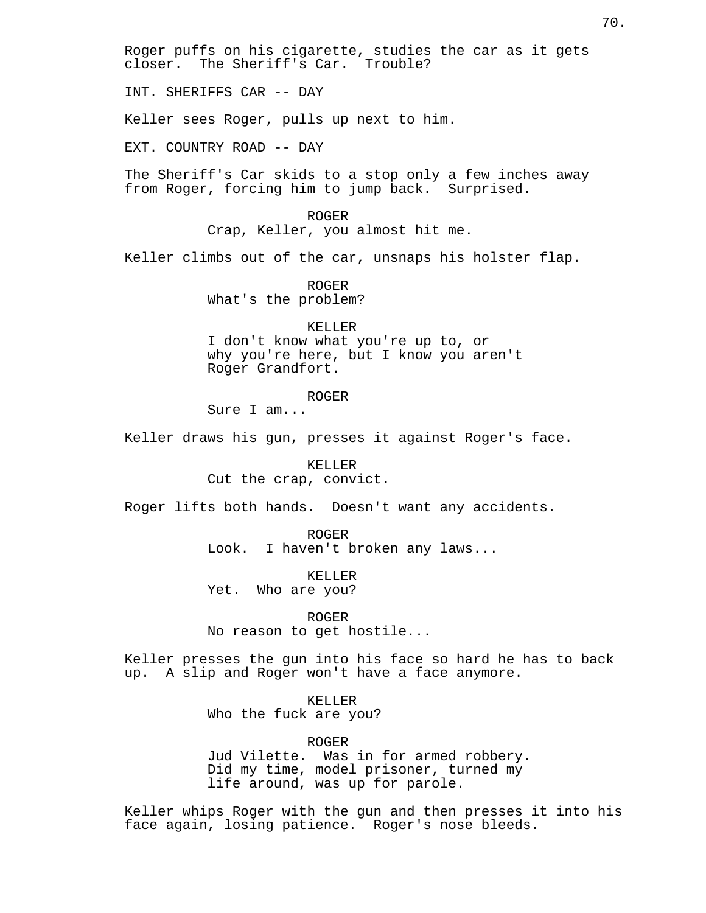Roger puffs on his cigarette, studies the car as it gets closer. The Sheriff's Car. Trouble?

INT. SHERIFFS CAR -- DAY

Keller sees Roger, pulls up next to him.

EXT. COUNTRY ROAD -- DAY

The Sheriff's Car skids to a stop only a few inches away from Roger, forcing him to jump back. Surprised.

> ROGER Crap, Keller, you almost hit me.

Keller climbs out of the car, unsnaps his holster flap.

ROGER What's the problem?

KELLER I don't know what you're up to, or why you're here, but I know you aren't Roger Grandfort.

ROGER

Sure I am...

Keller draws his gun, presses it against Roger's face.

KELLER Cut the crap, convict.

Roger lifts both hands. Doesn't want any accidents.

ROGER Look. I haven't broken any laws...

KELLER Yet. Who are you?

ROGER

No reason to get hostile...

Keller presses the gun into his face so hard he has to back up. A slip and Roger won't have a face anymore.

## KELLER

Who the fuck are you?

ROGER

Jud Vilette. Was in for armed robbery. Did my time, model prisoner, turned my life around, was up for parole.

Keller whips Roger with the gun and then presses it into his face again, losing patience. Roger's nose bleeds.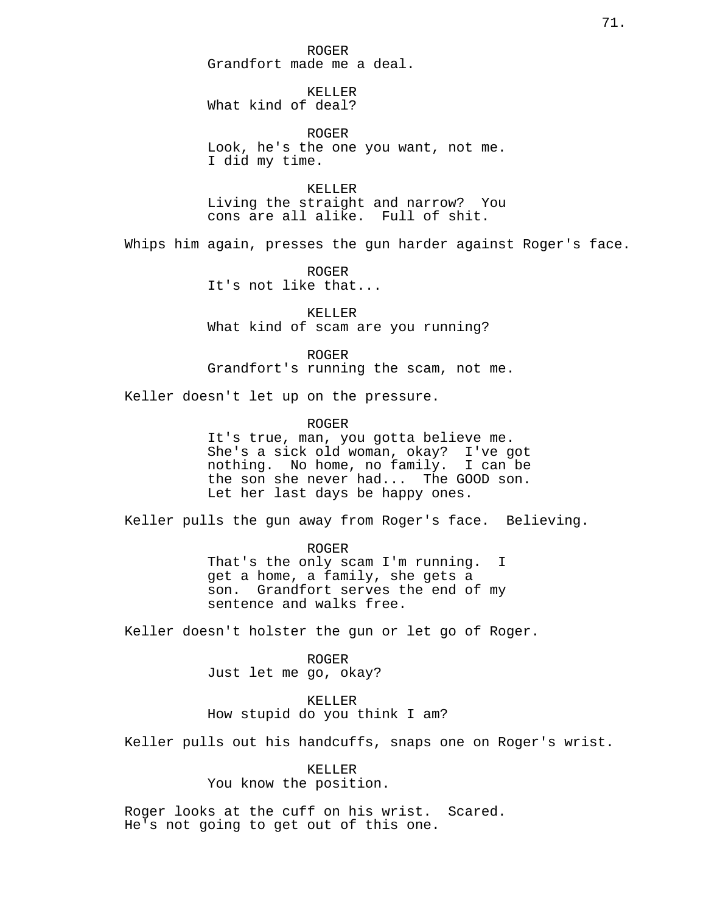ROGER Grandfort made me a deal.

KELLER What kind of deal?

ROGER Look, he's the one you want, not me. I did my time.

KELLER Living the straight and narrow? You cons are all alike. Full of shit.

Whips him again, presses the gun harder against Roger's face.

ROGER It's not like that...

KELLER What kind of scam are you running?

ROGER Grandfort's running the scam, not me.

Keller doesn't let up on the pressure.

ROGER

It's true, man, you gotta believe me. She's a sick old woman, okay? I've got nothing. No home, no family. I can be the son she never had... The GOOD son. Let her last days be happy ones.

Keller pulls the gun away from Roger's face. Believing.

ROGER That's the only scam I'm running. I get a home, a family, she gets a son. Grandfort serves the end of my sentence and walks free.

Keller doesn't holster the gun or let go of Roger.

ROGER Just let me go, okay?

KELLER How stupid do you think I am?

Keller pulls out his handcuffs, snaps one on Roger's wrist.

KELLER You know the position.

Roger looks at the cuff on his wrist. Scared. He's not going to get out of this one.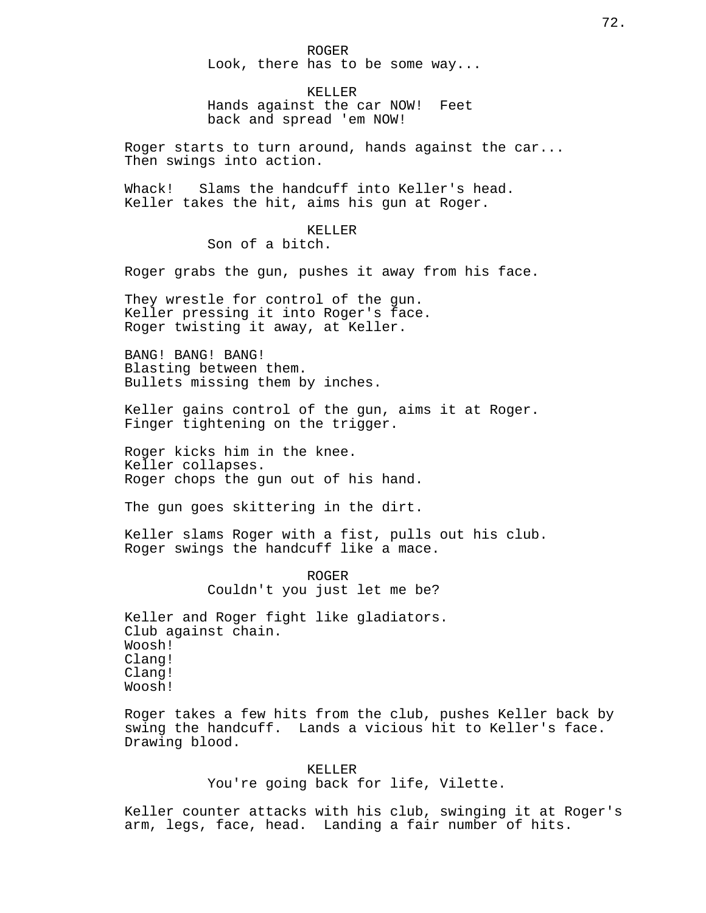ROGER Look, there has to be some way...

KELLER Hands against the car NOW! Feet back and spread 'em NOW!

Roger starts to turn around, hands against the car... Then swings into action.

Whack! Slams the handcuff into Keller's head. Keller takes the hit, aims his gun at Roger.

> KELLER Son of a bitch.

Roger grabs the gun, pushes it away from his face.

They wrestle for control of the gun. Keller pressing it into Roger's face. Roger twisting it away, at Keller.

BANG! BANG! BANG! Blasting between them. Bullets missing them by inches.

Keller gains control of the gun, aims it at Roger. Finger tightening on the trigger.

Roger kicks him in the knee. Keller collapses. Roger chops the gun out of his hand.

The gun goes skittering in the dirt.

Keller slams Roger with a fist, pulls out his club. Roger swings the handcuff like a mace.

> ROGER Couldn't you just let me be?

Keller and Roger fight like gladiators. Club against chain. Woosh! Clang! Clang! Woosh!

Roger takes a few hits from the club, pushes Keller back by swing the handcuff. Lands a vicious hit to Keller's face. Drawing blood.

KELLER

You're going back for life, Vilette.

Keller counter attacks with his club, swinging it at Roger's arm, legs, face, head. Landing a fair number of hits.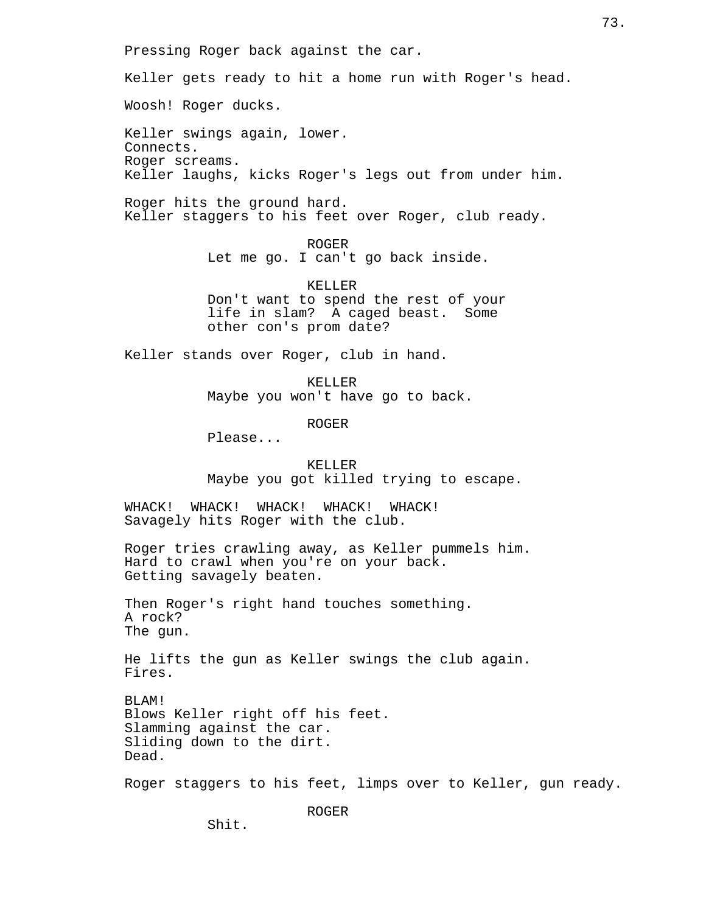Pressing Roger back against the car.

Keller gets ready to hit a home run with Roger's head.

Woosh! Roger ducks.

Keller swings again, lower. Connects. Roger screams. Keller laughs, kicks Roger's legs out from under him.

Roger hits the ground hard. Keller staggers to his feet over Roger, club ready.

ROGER

Let me go. I can't go back inside.

KELLER Don't want to spend the rest of your life in slam? A caged beast. Some other con's prom date?

Keller stands over Roger, club in hand.

KELLER Maybe you won't have go to back.

ROGER

Please...

KELLER Maybe you got killed trying to escape.

WHACK! WHACK! WHACK! WHACK! WHACK! Savagely hits Roger with the club.

Roger tries crawling away, as Keller pummels him. Hard to crawl when you're on your back. Getting savagely beaten.

Then Roger's right hand touches something. A rock? The gun.

He lifts the gun as Keller swings the club again. Fires.

BLAM! Blows Keller right off his feet. Slamming against the car. Sliding down to the dirt. Dead.

Roger staggers to his feet, limps over to Keller, gun ready.

ROGER

Shit.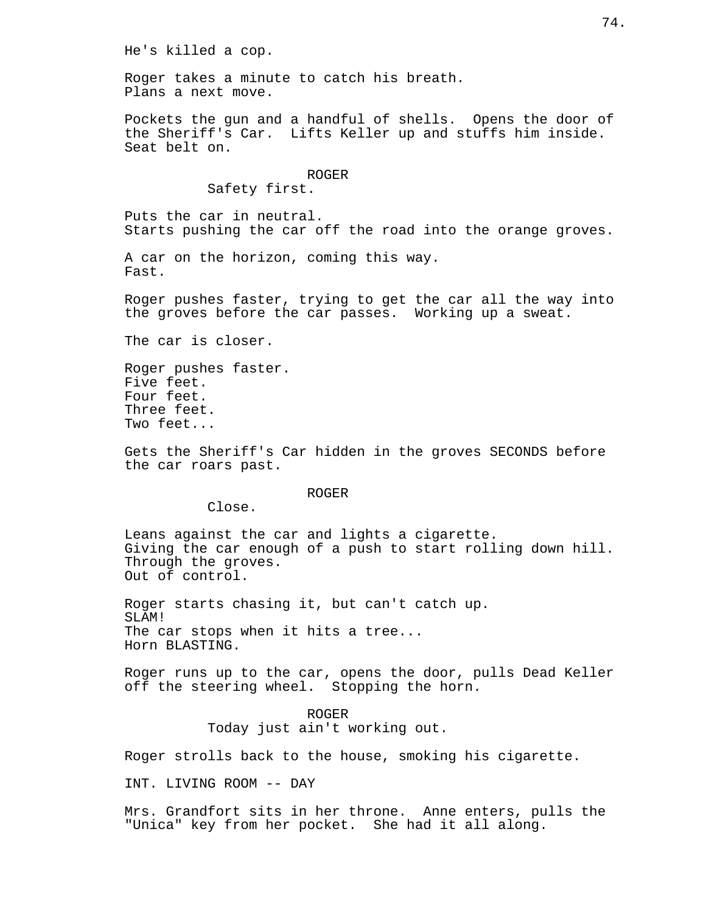He's killed a cop.

Roger takes a minute to catch his breath. Plans a next move.

Pockets the gun and a handful of shells. Opens the door of the Sheriff's Car. Lifts Keller up and stuffs him inside. Seat belt on.

## ROGER

## Safety first.

Puts the car in neutral. Starts pushing the car off the road into the orange groves.

A car on the horizon, coming this way. Fast.

Roger pushes faster, trying to get the car all the way into the groves before the car passes. Working up a sweat.

The car is closer.

Roger pushes faster. Five feet. Four feet. Three feet. Two feet...

Gets the Sheriff's Car hidden in the groves SECONDS before the car roars past.

ROGER

Close.

Leans against the car and lights a cigarette. Giving the car enough of a push to start rolling down hill. Through the groves. Out of control.

Roger starts chasing it, but can't catch up. ST, AM! The car stops when it hits a tree... Horn BLASTING.

Roger runs up to the car, opens the door, pulls Dead Keller off the steering wheel. Stopping the horn.

> ROGER Today just ain't working out.

Roger strolls back to the house, smoking his cigarette.

INT. LIVING ROOM -- DAY

Mrs. Grandfort sits in her throne. Anne enters, pulls the "Unica" key from her pocket. She had it all along.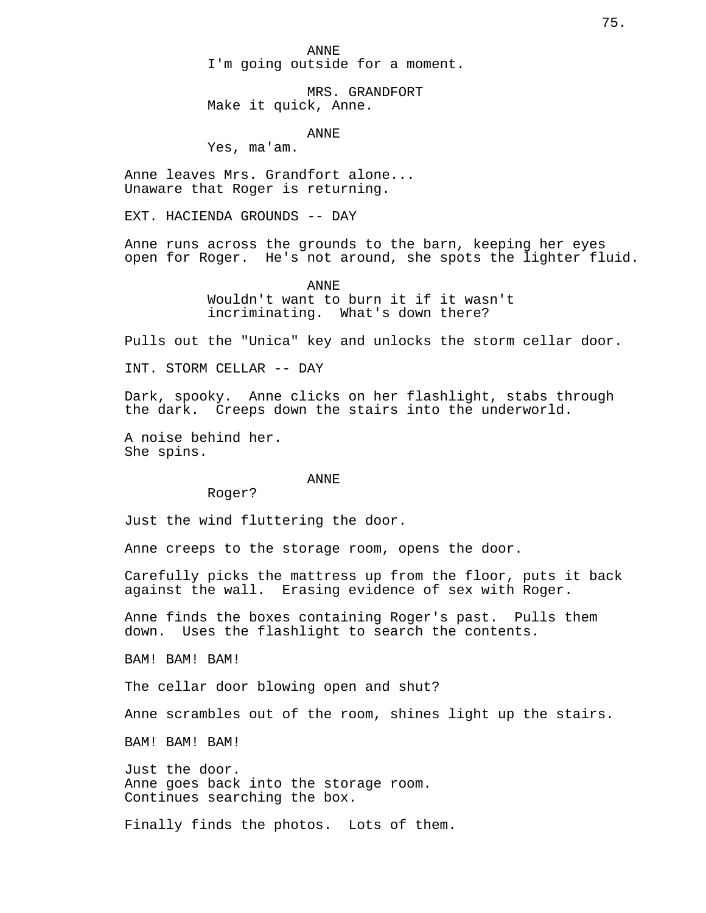ANNE I'm going outside for a moment.

MRS. GRANDFORT Make it quick, Anne.

ANNE

Yes, ma'am.

Anne leaves Mrs. Grandfort alone... Unaware that Roger is returning.

EXT. HACIENDA GROUNDS -- DAY

Anne runs across the grounds to the barn, keeping her eyes open for Roger. He's not around, she spots the lighter fluid.

ANNE

Wouldn't want to burn it if it wasn't incriminating. What's down there?

Pulls out the "Unica" key and unlocks the storm cellar door.

INT. STORM CELLAR -- DAY

Dark, spooky. Anne clicks on her flashlight, stabs through the dark. Creeps down the stairs into the underworld.

A noise behind her. She spins.

#### ANNE

Roger?

Just the wind fluttering the door.

Anne creeps to the storage room, opens the door.

Carefully picks the mattress up from the floor, puts it back against the wall. Erasing evidence of sex with Roger.

Anne finds the boxes containing Roger's past. Pulls them down. Uses the flashlight to search the contents.

BAM! BAM! BAM!

The cellar door blowing open and shut?

Anne scrambles out of the room, shines light up the stairs.

BAM! BAM! BAM!

Just the door. Anne goes back into the storage room. Continues searching the box.

Finally finds the photos. Lots of them.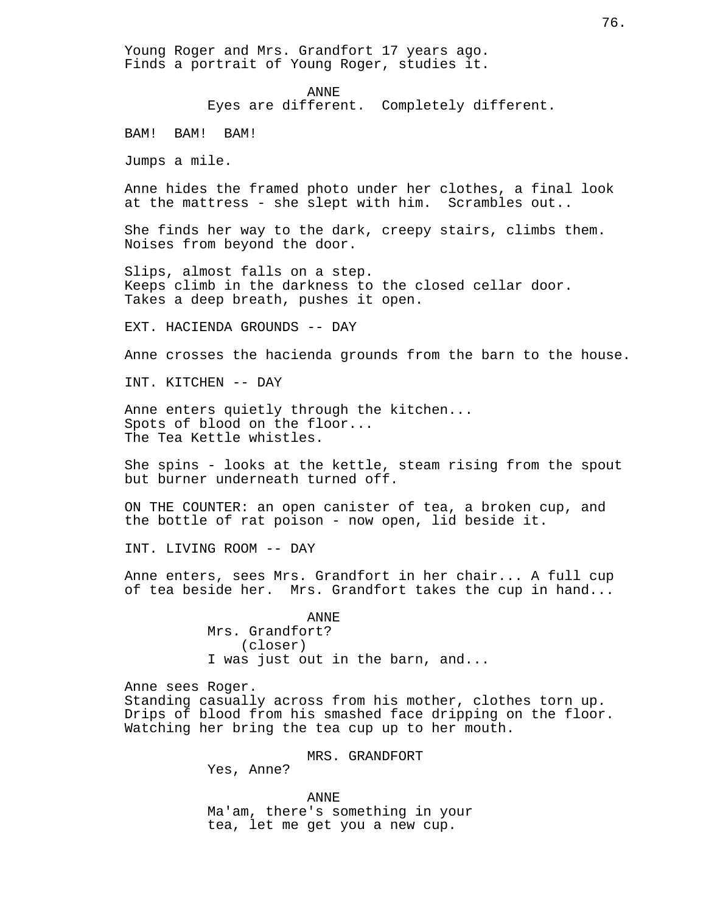Young Roger and Mrs. Grandfort 17 years ago. Finds a portrait of Young Roger, studies it.

### ANNE

Eyes are different. Completely different.

BAM! BAM! BAM!

Jumps a mile.

Anne hides the framed photo under her clothes, a final look at the mattress - she slept with him. Scrambles out..

She finds her way to the dark, creepy stairs, climbs them. Noises from beyond the door.

Slips, almost falls on a step. Keeps climb in the darkness to the closed cellar door. Takes a deep breath, pushes it open.

EXT. HACIENDA GROUNDS -- DAY

Anne crosses the hacienda grounds from the barn to the house.

INT. KITCHEN -- DAY

Anne enters quietly through the kitchen... Spots of blood on the floor... The Tea Kettle whistles.

She spins - looks at the kettle, steam rising from the spout but burner underneath turned off.

ON THE COUNTER: an open canister of tea, a broken cup, and the bottle of rat poison - now open, lid beside it.

INT. LIVING ROOM -- DAY

Anne enters, sees Mrs. Grandfort in her chair... A full cup of tea beside her. Mrs. Grandfort takes the cup in hand...

> ANNE Mrs. Grandfort? (closer) I was just out in the barn, and...

Anne sees Roger. Standing casually across from his mother, clothes torn up.

Drips of blood from his smashed face dripping on the floor. Watching her bring the tea cup up to her mouth.

MRS. GRANDFORT

Yes, Anne?

ANNE Ma'am, there's something in your tea, let me get you a new cup.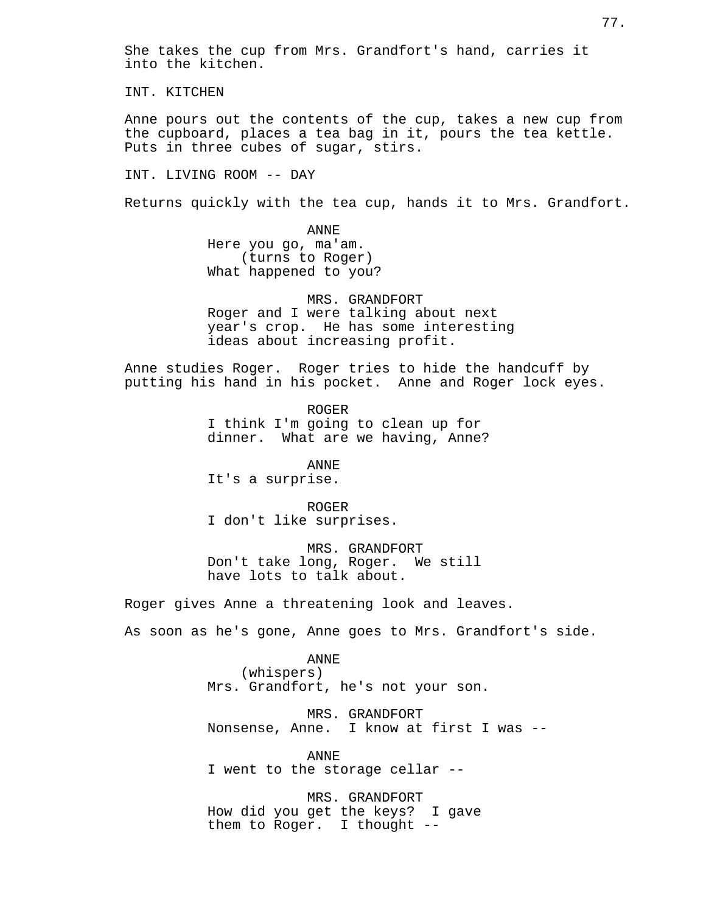She takes the cup from Mrs. Grandfort's hand, carries it into the kitchen.

INT. KITCHEN

Anne pours out the contents of the cup, takes a new cup from the cupboard, places a tea bag in it, pours the tea kettle. Puts in three cubes of sugar, stirs.

INT. LIVING ROOM -- DAY

Returns quickly with the tea cup, hands it to Mrs. Grandfort.

ANNE Here you go, ma'am. (turns to Roger) What happened to you?

MRS. GRANDFORT Roger and I were talking about next year's crop. He has some interesting ideas about increasing profit.

Anne studies Roger. Roger tries to hide the handcuff by putting his hand in his pocket. Anne and Roger lock eyes.

> ROGER I think I'm going to clean up for dinner. What are we having, Anne?

ANNE It's a surprise.

ROGER I don't like surprises.

MRS. GRANDFORT Don't take long, Roger. We still have lots to talk about.

Roger gives Anne a threatening look and leaves.

As soon as he's gone, Anne goes to Mrs. Grandfort's side.

ANNE

(whispers) Mrs. Grandfort, he's not your son.

MRS. GRANDFORT Nonsense, Anne. I know at first I was --

ANNE I went to the storage cellar --

MRS. GRANDFORT How did you get the keys? I gave them to Roger. I thought --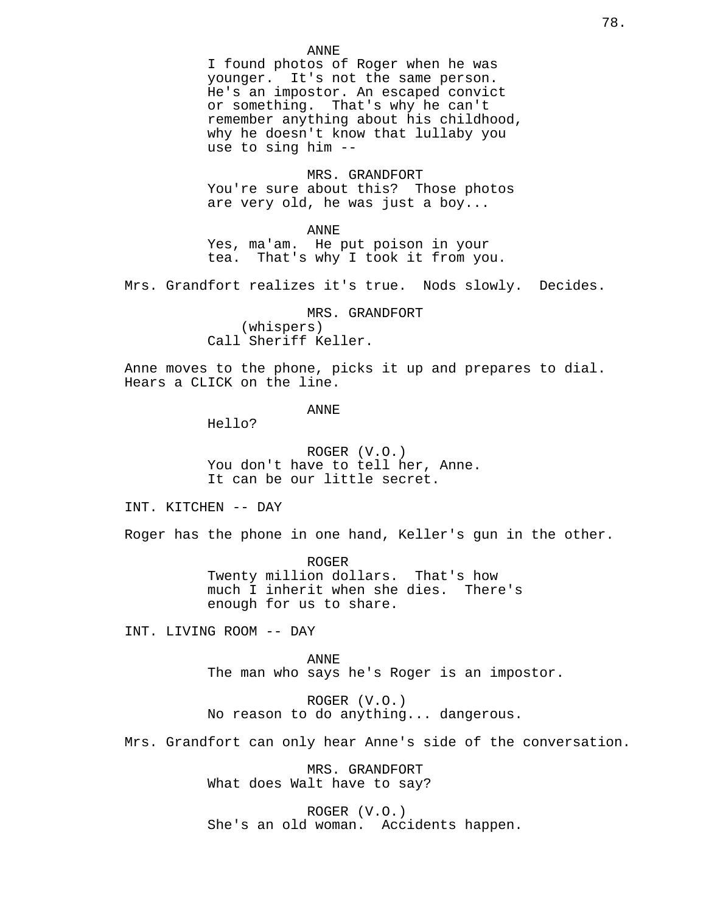## ANNE

I found photos of Roger when he was younger. It's not the same person. He's an impostor. An escaped convict or something. That's why he can't remember anything about his childhood, why he doesn't know that lullaby you use to sing him --

MRS. GRANDFORT You're sure about this? Those photos are very old, he was just a boy...

ANNE Yes, ma'am. He put poison in your tea. That's why I took it from you.

Mrs. Grandfort realizes it's true. Nods slowly. Decides.

MRS. GRANDFORT (whispers) Call Sheriff Keller.

Anne moves to the phone, picks it up and prepares to dial. Hears a CLICK on the line.

ANNE

Hello?

ROGER (V.O.) You don't have to tell her, Anne. It can be our little secret.

INT. KITCHEN -- DAY

Roger has the phone in one hand, Keller's gun in the other.

ROGER Twenty million dollars. That's how much I inherit when she dies. There's enough for us to share.

INT. LIVING ROOM -- DAY

ANNE The man who says he's Roger is an impostor.

ROGER (V.O.) No reason to do anything... dangerous.

Mrs. Grandfort can only hear Anne's side of the conversation.

MRS. GRANDFORT What does Walt have to say?

ROGER (V.O.) She's an old woman. Accidents happen.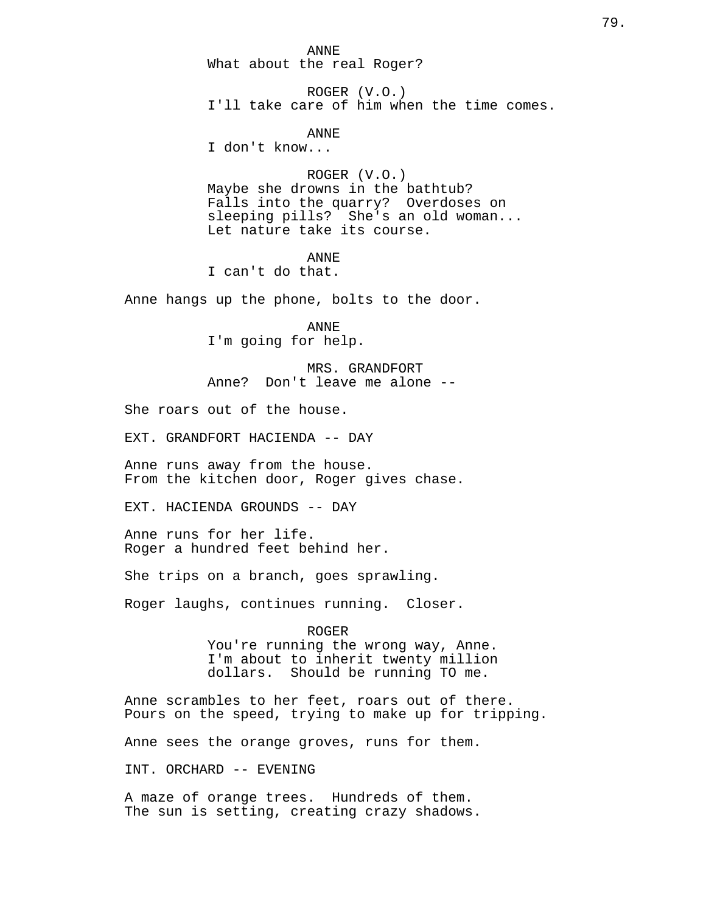ANNE What about the real Roger?

ROGER (V.O.) I'll take care of him when the time comes.

ANNE

I don't know...

ROGER (V.O.) Maybe she drowns in the bathtub? Falls into the quarry? Overdoses on sleeping pills? She's an old woman... Let nature take its course.

ANNE

I can't do that.

Anne hangs up the phone, bolts to the door.

ANNE I'm going for help.

MRS. GRANDFORT Anne? Don't leave me alone --

She roars out of the house.

EXT. GRANDFORT HACIENDA -- DAY

Anne runs away from the house. From the kitchen door, Roger gives chase.

EXT. HACIENDA GROUNDS -- DAY

Anne runs for her life. Roger a hundred feet behind her.

She trips on a branch, goes sprawling.

Roger laughs, continues running. Closer.

ROGER You're running the wrong way, Anne. I'm about to inherit twenty million dollars. Should be running TO me.

Anne scrambles to her feet, roars out of there. Pours on the speed, trying to make up for tripping.

Anne sees the orange groves, runs for them.

INT. ORCHARD -- EVENING

A maze of orange trees. Hundreds of them. The sun is setting, creating crazy shadows.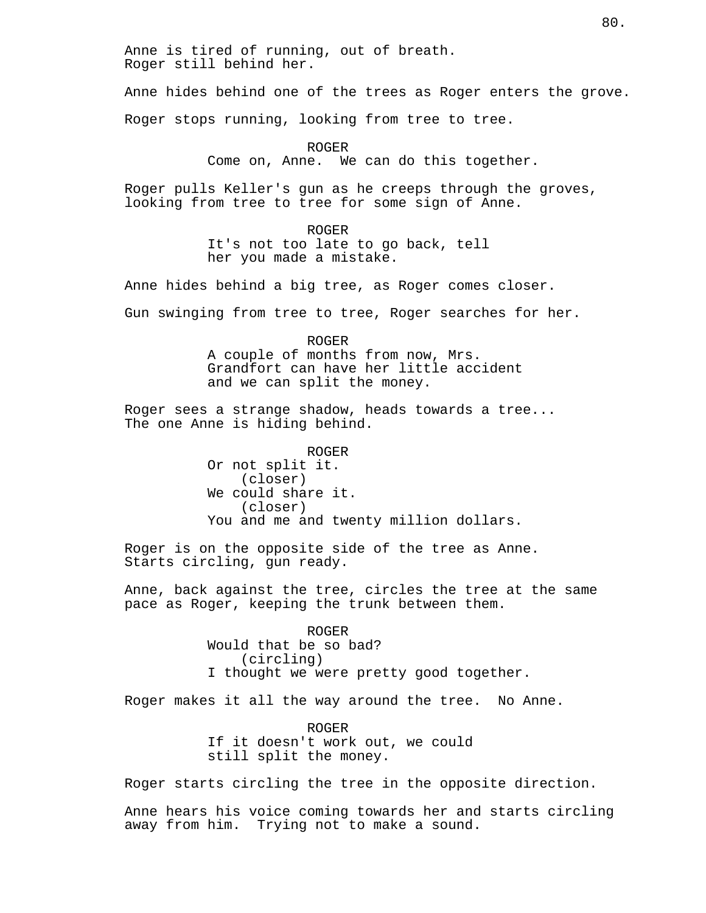Anne hides behind one of the trees as Roger enters the grove.

Roger stops running, looking from tree to tree.

ROGER Come on, Anne. We can do this together.

Roger pulls Keller's gun as he creeps through the groves, looking from tree to tree for some sign of Anne.

> ROGER It's not too late to go back, tell her you made a mistake.

Anne hides behind a big tree, as Roger comes closer.

Gun swinging from tree to tree, Roger searches for her.

ROGER A couple of months from now, Mrs. Grandfort can have her little accident and we can split the money.

Roger sees a strange shadow, heads towards a tree... The one Anne is hiding behind.

> ROGER Or not split it. (closer) We could share it. (closer) You and me and twenty million dollars.

Roger is on the opposite side of the tree as Anne. Starts circling, gun ready.

Anne, back against the tree, circles the tree at the same pace as Roger, keeping the trunk between them.

> ROGER Would that be so bad? (circling) I thought we were pretty good together.

Roger makes it all the way around the tree. No Anne.

ROGER If it doesn't work out, we could still split the money.

Roger starts circling the tree in the opposite direction.

Anne hears his voice coming towards her and starts circling away from him. Trying not to make a sound.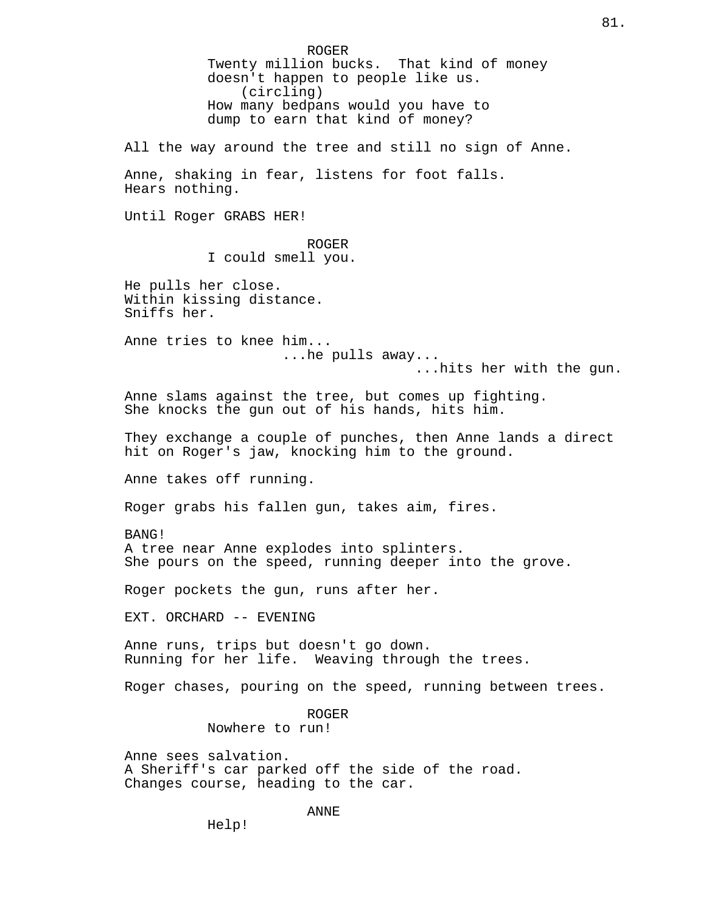ROGER Twenty million bucks. That kind of money doesn't happen to people like us. (circling) How many bedpans would you have to dump to earn that kind of money? All the way around the tree and still no sign of Anne. Anne, shaking in fear, listens for foot falls. Hears nothing. Until Roger GRABS HER! ROGER I could smell you. He pulls her close. Within kissing distance. Sniffs her. Anne tries to knee him... ...he pulls away... ...hits her with the gun. Anne slams against the tree, but comes up fighting. She knocks the gun out of his hands, hits him. They exchange a couple of punches, then Anne lands a direct hit on Roger's jaw, knocking him to the ground. Anne takes off running. Roger grabs his fallen gun, takes aim, fires. BANG! A tree near Anne explodes into splinters. She pours on the speed, running deeper into the grove. Roger pockets the gun, runs after her. EXT. ORCHARD -- EVENING Anne runs, trips but doesn't go down. Running for her life. Weaving through the trees. Roger chases, pouring on the speed, running between trees. ROGER Nowhere to run! Anne sees salvation. A Sheriff's car parked off the side of the road. Changes course, heading to the car. ANNE Help!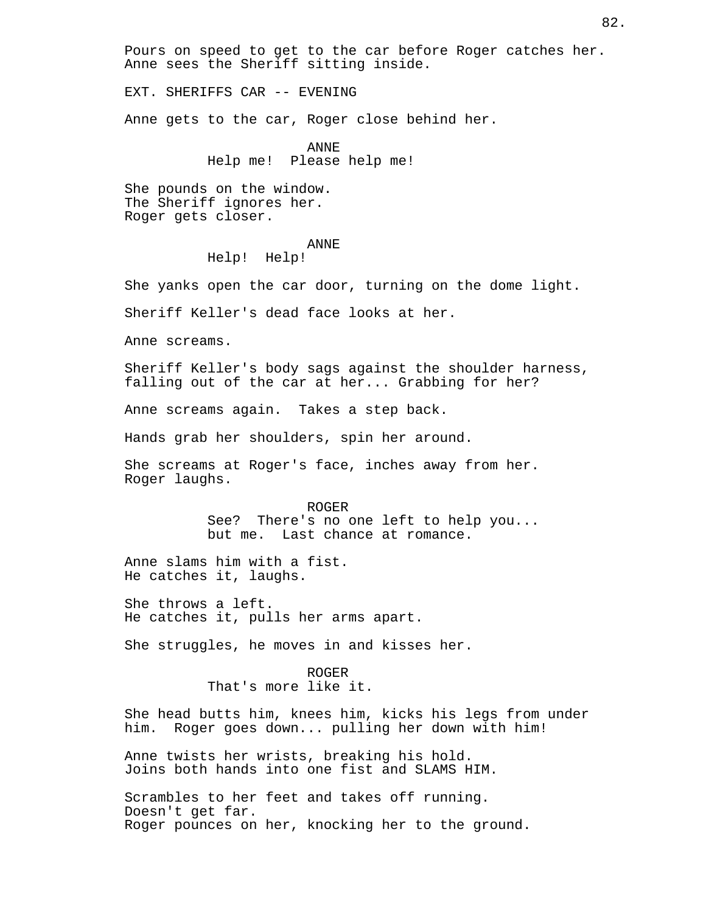Pours on speed to get to the car before Roger catches her. Anne sees the Sheriff sitting inside.

EXT. SHERIFFS CAR -- EVENING

Anne gets to the car, Roger close behind her.

ANNE Help me! Please help me!

She pounds on the window. The Sheriff ignores her. Roger gets closer.

### ANNE

Help! Help!

She yanks open the car door, turning on the dome light.

Sheriff Keller's dead face looks at her.

Anne screams.

Sheriff Keller's body sags against the shoulder harness, falling out of the car at her... Grabbing for her?

Anne screams again. Takes a step back.

Hands grab her shoulders, spin her around.

She screams at Roger's face, inches away from her. Roger laughs.

## ROGER

See? There's no one left to help you... but me. Last chance at romance.

Anne slams him with a fist. He catches it, laughs.

She throws a left. He catches it, pulls her arms apart.

She struggles, he moves in and kisses her.

ROGER That's more like it.

She head butts him, knees him, kicks his legs from under him. Roger goes down... pulling her down with him!

Anne twists her wrists, breaking his hold. Joins both hands into one fist and SLAMS HIM.

Scrambles to her feet and takes off running. Doesn't get far. Roger pounces on her, knocking her to the ground.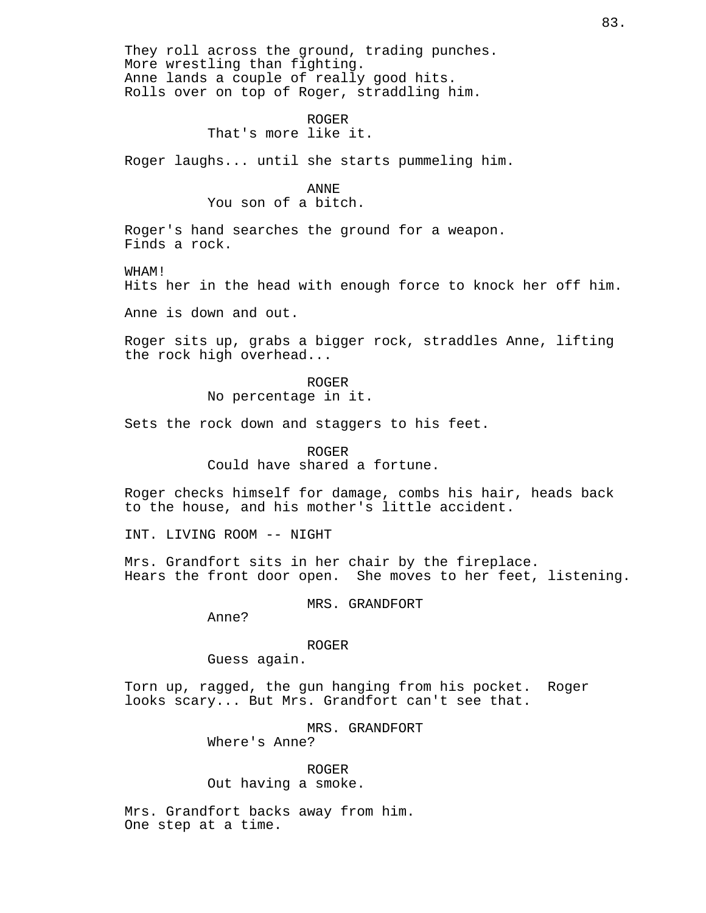They roll across the ground, trading punches. More wrestling than fighting. Anne lands a couple of really good hits. Rolls over on top of Roger, straddling him. ROGER That's more like it. Roger laughs... until she starts pummeling him. ANNE You son of a bitch. Roger's hand searches the ground for a weapon. Finds a rock. WHAM! Hits her in the head with enough force to knock her off him. Anne is down and out. Roger sits up, grabs a bigger rock, straddles Anne, lifting the rock high overhead... ROGER No percentage in it. Sets the rock down and staggers to his feet. ROGER Could have shared a fortune. Roger checks himself for damage, combs his hair, heads back to the house, and his mother's little accident. INT. LIVING ROOM -- NIGHT Mrs. Grandfort sits in her chair by the fireplace.<br>Hears the front door open. She moves to her feet, She moves to her feet, listening. MRS. GRANDFORT Anne? ROGER Guess again. Torn up, ragged, the gun hanging from his pocket. Roger looks scary... But Mrs. Grandfort can't see that. MRS. GRANDFORT Where's Anne? ROGER

Out having a smoke.

Mrs. Grandfort backs away from him. One step at a time.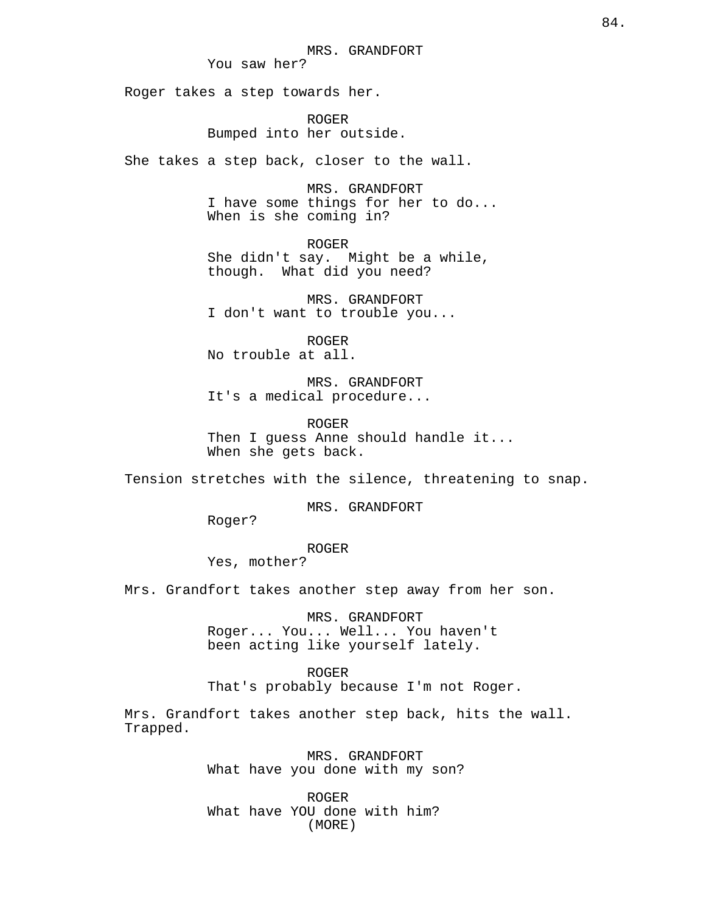Roger takes a step towards her.

ROGER Bumped into her outside.

She takes a step back, closer to the wall.

MRS. GRANDFORT I have some things for her to do... When is she coming in?

ROGER

She didn't say. Might be a while, though. What did you need?

MRS. GRANDFORT I don't want to trouble you...

ROGER No trouble at all.

MRS. GRANDFORT It's a medical procedure...

ROGER Then I guess Anne should handle it... When she gets back.

Tension stretches with the silence, threatening to snap.

MRS. GRANDFORT

Roger?

ROGER

Yes, mother?

Mrs. Grandfort takes another step away from her son.

MRS. GRANDFORT Roger... You... Well... You haven't been acting like yourself lately.

ROGER That's probably because I'm not Roger.

Mrs. Grandfort takes another step back, hits the wall. Trapped.

> MRS. GRANDFORT What have you done with my son?

ROGER What have YOU done with him? (MORE)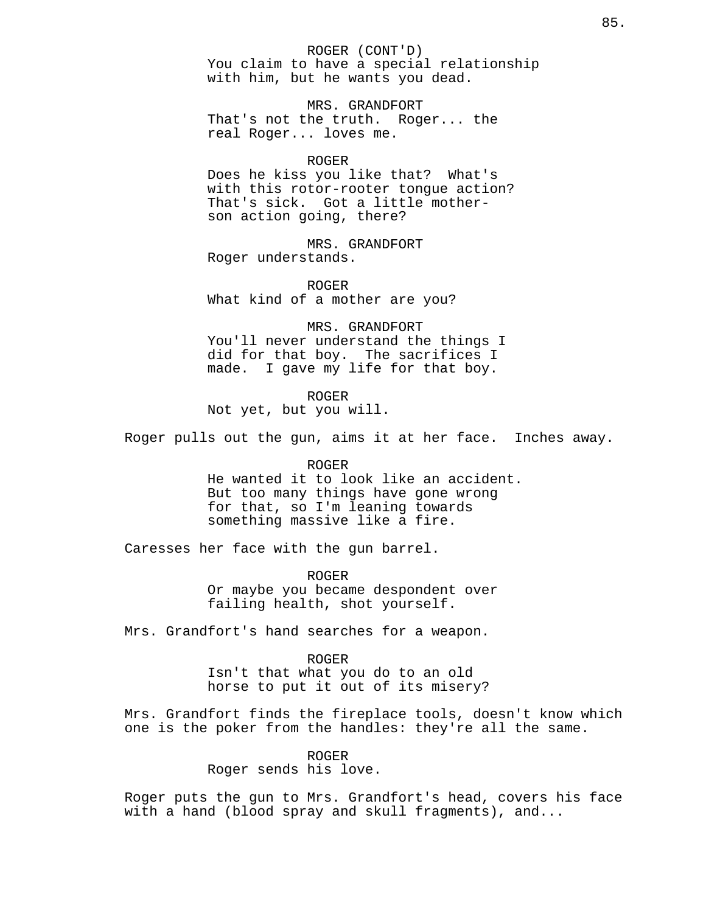ROGER (CONT'D) You claim to have a special relationship with him, but he wants you dead.

MRS. GRANDFORT That's not the truth. Roger... the real Roger... loves me.

### ROGER

Does he kiss you like that? What's with this rotor-rooter tongue action? That's sick. Got a little motherson action going, there?

MRS. GRANDFORT Roger understands.

ROGER What kind of a mother are you?

MRS. GRANDFORT You'll never understand the things I did for that boy. The sacrifices I made. I gave my life for that boy.

ROGER

Not yet, but you will.

Roger pulls out the gun, aims it at her face. Inches away.

### ROGER

He wanted it to look like an accident. But too many things have gone wrong for that, so I'm leaning towards something massive like a fire.

Caresses her face with the gun barrel.

ROGER Or maybe you became despondent over failing health, shot yourself.

Mrs. Grandfort's hand searches for a weapon.

## ROGER

Isn't that what you do to an old horse to put it out of its misery?

Mrs. Grandfort finds the fireplace tools, doesn't know which one is the poker from the handles: they're all the same.

> ROGER Roger sends his love.

Roger puts the gun to Mrs. Grandfort's head, covers his face with a hand (blood spray and skull fragments), and...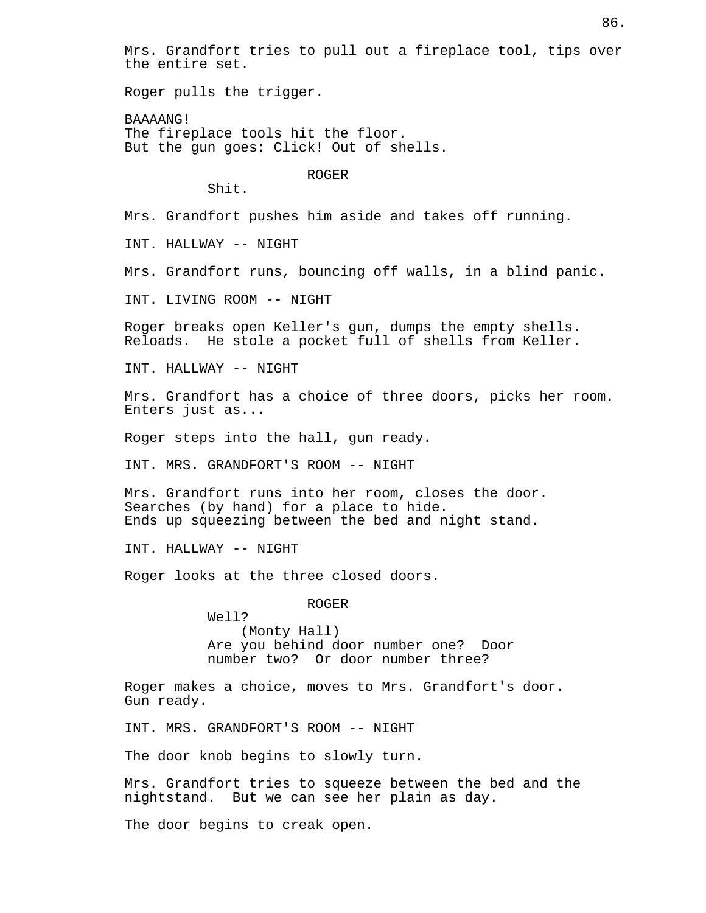Mrs. Grandfort tries to pull out a fireplace tool, tips over the entire set.

Roger pulls the trigger.

BAAAANG! The fireplace tools hit the floor. But the gun goes: Click! Out of shells.

ROGER

Shit.

Mrs. Grandfort pushes him aside and takes off running.

INT. HALLWAY -- NIGHT

Mrs. Grandfort runs, bouncing off walls, in a blind panic.

INT. LIVING ROOM -- NIGHT

Roger breaks open Keller's gun, dumps the empty shells.<br>Reloads. He stole a pocket full of shells from Keller. He stole a pocket full of shells from Keller.

INT. HALLWAY -- NIGHT

Mrs. Grandfort has a choice of three doors, picks her room. Enters just as...

Roger steps into the hall, gun ready.

INT. MRS. GRANDFORT'S ROOM -- NIGHT

Mrs. Grandfort runs into her room, closes the door. Searches (by hand) for a place to hide. Ends up squeezing between the bed and night stand.

INT. HALLWAY -- NIGHT

Roger looks at the three closed doors.

ROGER

Well? (Monty Hall) Are you behind door number one? Door number two? Or door number three?

Roger makes a choice, moves to Mrs. Grandfort's door. Gun ready.

INT. MRS. GRANDFORT'S ROOM -- NIGHT

The door knob begins to slowly turn.

Mrs. Grandfort tries to squeeze between the bed and the nightstand. But we can see her plain as day.

The door begins to creak open.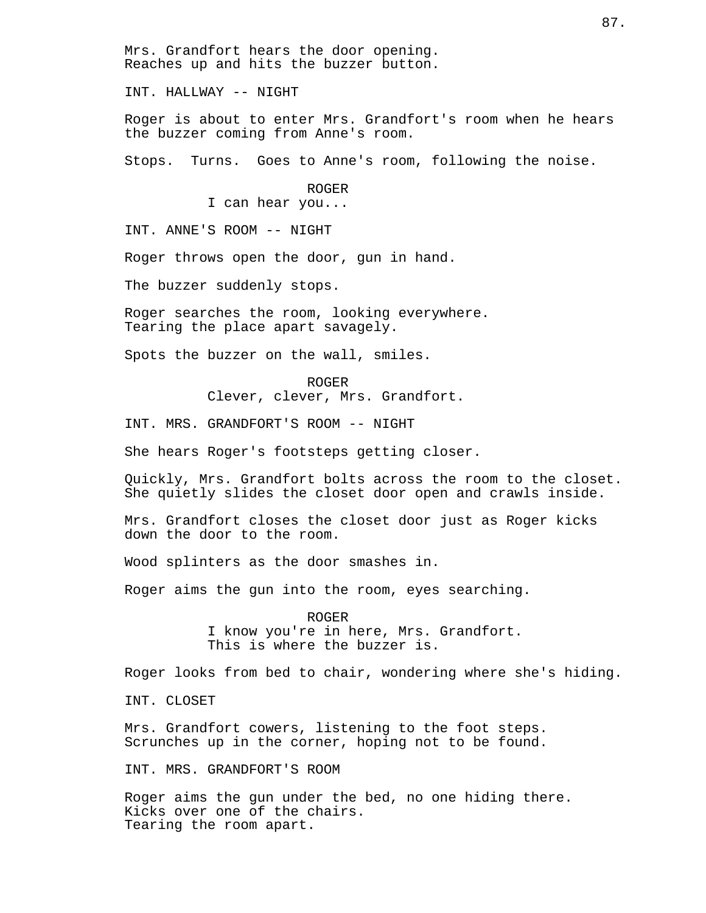Mrs. Grandfort hears the door opening. Reaches up and hits the buzzer button.

INT. HALLWAY -- NIGHT

Roger is about to enter Mrs. Grandfort's room when he hears the buzzer coming from Anne's room.

Stops. Turns. Goes to Anne's room, following the noise.

ROGER I can hear you...

INT. ANNE'S ROOM -- NIGHT

Roger throws open the door, gun in hand.

The buzzer suddenly stops.

Roger searches the room, looking everywhere. Tearing the place apart savagely.

Spots the buzzer on the wall, smiles.

ROGER Clever, clever, Mrs. Grandfort.

INT. MRS. GRANDFORT'S ROOM -- NIGHT

She hears Roger's footsteps getting closer.

Quickly, Mrs. Grandfort bolts across the room to the closet. She quietly slides the closet door open and crawls inside.

Mrs. Grandfort closes the closet door just as Roger kicks down the door to the room.

Wood splinters as the door smashes in.

Roger aims the gun into the room, eyes searching.

ROGER I know you're in here, Mrs. Grandfort. This is where the buzzer is.

Roger looks from bed to chair, wondering where she's hiding.

INT. CLOSET

Mrs. Grandfort cowers, listening to the foot steps. Scrunches up in the corner, hoping not to be found.

INT. MRS. GRANDFORT'S ROOM

Roger aims the gun under the bed, no one hiding there. Kicks over one of the chairs. Tearing the room apart.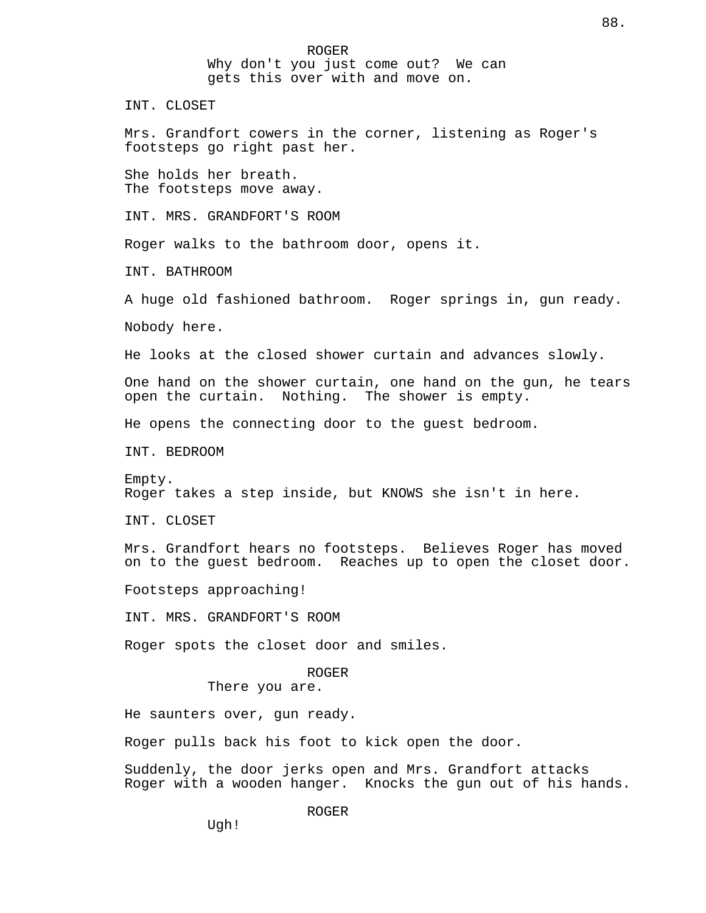ROGER Why don't you just come out? We can gets this over with and move on.

INT. CLOSET

Mrs. Grandfort cowers in the corner, listening as Roger's footsteps go right past her.

She holds her breath. The footsteps move away.

INT. MRS. GRANDFORT'S ROOM

Roger walks to the bathroom door, opens it.

INT. BATHROOM

A huge old fashioned bathroom. Roger springs in, gun ready.

Nobody here.

He looks at the closed shower curtain and advances slowly.

One hand on the shower curtain, one hand on the gun, he tears open the curtain. Nothing. The shower is empty.

He opens the connecting door to the guest bedroom.

INT. BEDROOM

Empty. Roger takes a step inside, but KNOWS she isn't in here.

INT. CLOSET

Mrs. Grandfort hears no footsteps. Believes Roger has moved on to the guest bedroom. Reaches up to open the closet door.

Footsteps approaching!

INT. MRS. GRANDFORT'S ROOM

Roger spots the closet door and smiles.

ROGER

There you are.

He saunters over, gun ready.

Roger pulls back his foot to kick open the door.

Suddenly, the door jerks open and Mrs. Grandfort attacks Roger with a wooden hanger. Knocks the gun out of his hands.

ROGER

Ugh!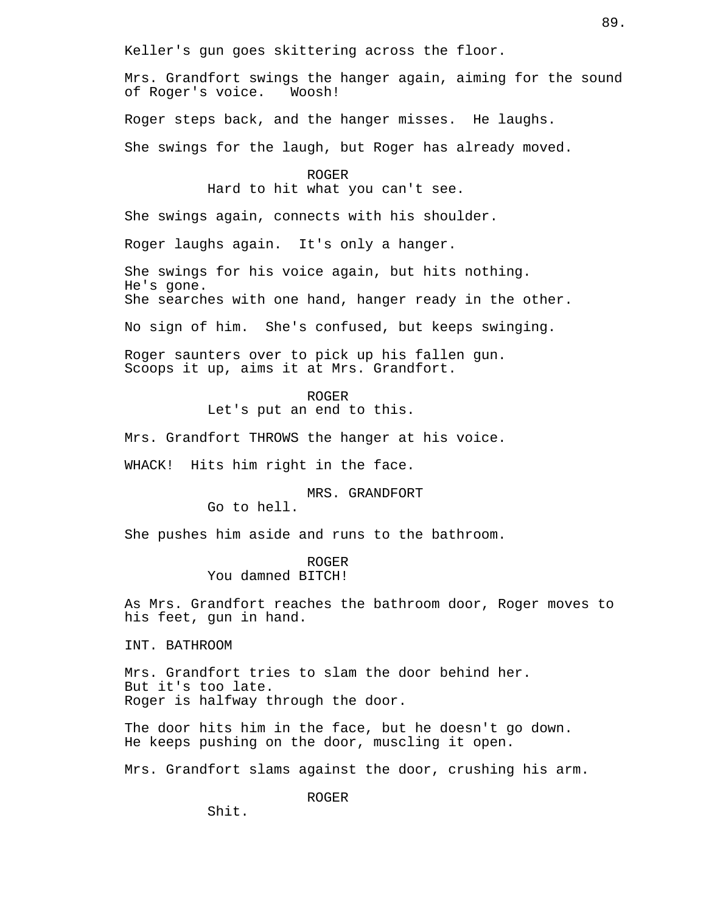Keller's gun goes skittering across the floor.

Mrs. Grandfort swings the hanger again, aiming for the sound<br>of Roger's voice. Woosh! of Roger's voice.

Roger steps back, and the hanger misses. He laughs.

She swings for the laugh, but Roger has already moved.

ROGER Hard to hit what you can't see.

She swings again, connects with his shoulder.

Roger laughs again. It's only a hanger.

She swings for his voice again, but hits nothing. He's gone. She searches with one hand, hanger ready in the other.

No sign of him. She's confused, but keeps swinging.

Roger saunters over to pick up his fallen gun. Scoops it up, aims it at Mrs. Grandfort.

ROGER

Let's put an end to this.

Mrs. Grandfort THROWS the hanger at his voice.

WHACK! Hits him right in the face.

MRS. GRANDFORT

Go to hell.

She pushes him aside and runs to the bathroom.

ROGER You damned BITCH!

As Mrs. Grandfort reaches the bathroom door, Roger moves to his feet, gun in hand.

INT. BATHROOM

Mrs. Grandfort tries to slam the door behind her. But it's too late. Roger is halfway through the door.

The door hits him in the face, but he doesn't go down. He keeps pushing on the door, muscling it open.

Mrs. Grandfort slams against the door, crushing his arm.

ROGER

Shit.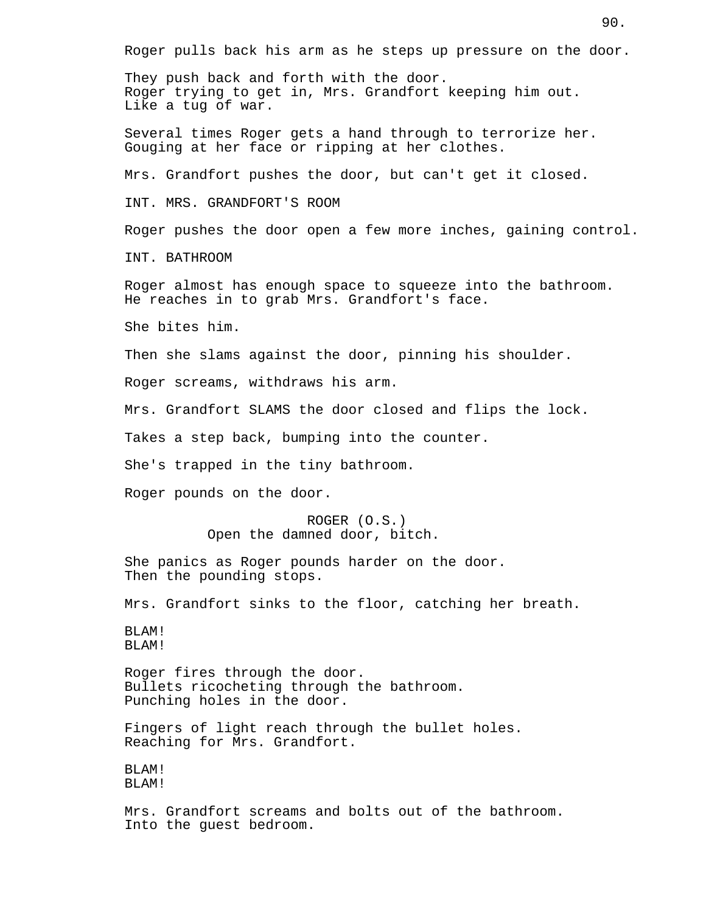Roger pulls back his arm as he steps up pressure on the door. They push back and forth with the door. Roger trying to get in, Mrs. Grandfort keeping him out. Like a tug of war. Several times Roger gets a hand through to terrorize her. Gouging at her face or ripping at her clothes. Mrs. Grandfort pushes the door, but can't get it closed. INT. MRS. GRANDFORT'S ROOM Roger pushes the door open a few more inches, gaining control. INT. BATHROOM Roger almost has enough space to squeeze into the bathroom. He reaches in to grab Mrs. Grandfort's face. She bites him. Then she slams against the door, pinning his shoulder. Roger screams, withdraws his arm. Mrs. Grandfort SLAMS the door closed and flips the lock. Takes a step back, bumping into the counter. She's trapped in the tiny bathroom. Roger pounds on the door. ROGER (O.S.) Open the damned door, bitch. She panics as Roger pounds harder on the door. Then the pounding stops. Mrs. Grandfort sinks to the floor, catching her breath. BLAM! BLAM! Roger fires through the door. Bullets ricocheting through the bathroom. Punching holes in the door. Fingers of light reach through the bullet holes. Reaching for Mrs. Grandfort. BLAM! BLAM! Mrs. Grandfort screams and bolts out of the bathroom. Into the guest bedroom.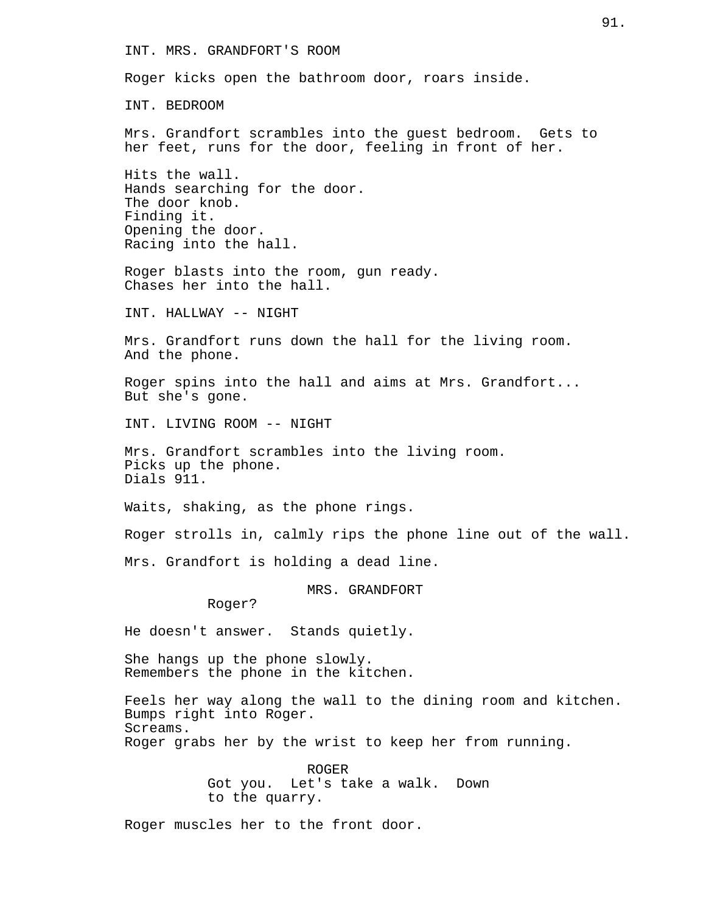INT. MRS. GRANDFORT'S ROOM

Roger kicks open the bathroom door, roars inside.

INT. BEDROOM

Mrs. Grandfort scrambles into the guest bedroom. Gets to her feet, runs for the door, feeling in front of her.

Hits the wall. Hands searching for the door. The door knob. Finding it. Opening the door. Racing into the hall.

Roger blasts into the room, gun ready. Chases her into the hall.

INT. HALLWAY -- NIGHT

Mrs. Grandfort runs down the hall for the living room. And the phone.

Roger spins into the hall and aims at Mrs. Grandfort... But she's gone.

INT. LIVING ROOM -- NIGHT

Mrs. Grandfort scrambles into the living room. Picks up the phone. Dials 911.

Waits, shaking, as the phone rings.

Roger strolls in, calmly rips the phone line out of the wall.

Mrs. Grandfort is holding a dead line.

MRS. GRANDFORT

Roger?

He doesn't answer. Stands quietly.

She hangs up the phone slowly. Remembers the phone in the kitchen.

Feels her way along the wall to the dining room and kitchen. Bumps right into Roger. Screams. Roger grabs her by the wrist to keep her from running.

> ROGER Got you. Let's take a walk. Down to the quarry.

Roger muscles her to the front door.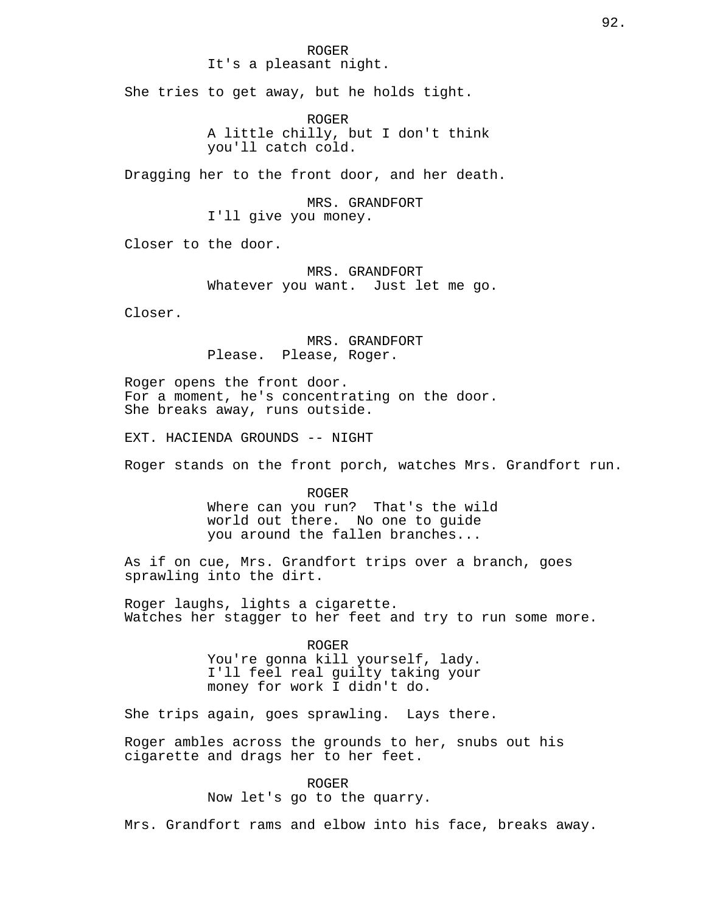## ROGER It's a pleasant night.

She tries to get away, but he holds tight.

ROGER A little chilly, but I don't think you'll catch cold.

Dragging her to the front door, and her death.

MRS. GRANDFORT I'll give you money.

Closer to the door.

MRS. GRANDFORT Whatever you want. Just let me go.

Closer.

MRS. GRANDFORT Please. Please, Roger.

Roger opens the front door. For a moment, he's concentrating on the door. She breaks away, runs outside.

EXT. HACIENDA GROUNDS -- NIGHT

Roger stands on the front porch, watches Mrs. Grandfort run.

ROGER Where can you run? That's the wild world out there. No one to guide you around the fallen branches...

As if on cue, Mrs. Grandfort trips over a branch, goes sprawling into the dirt.

Roger laughs, lights a cigarette. Watches her stagger to her feet and try to run some more.

ROGER

You're gonna kill yourself, lady. I'll feel real guilty taking your money for work I didn't do.

She trips again, goes sprawling. Lays there.

Roger ambles across the grounds to her, snubs out his cigarette and drags her to her feet.

> ROGER Now let's go to the quarry.

Mrs. Grandfort rams and elbow into his face, breaks away.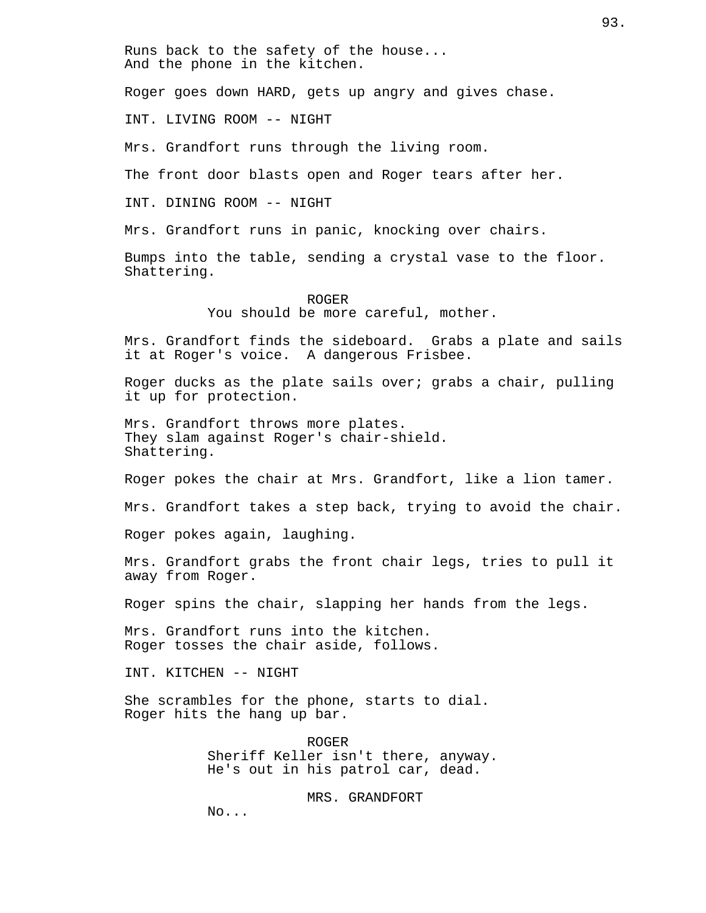Runs back to the safety of the house... And the phone in the kitchen.

Roger goes down HARD, gets up angry and gives chase.

INT. LIVING ROOM -- NIGHT

Mrs. Grandfort runs through the living room.

The front door blasts open and Roger tears after her.

INT. DINING ROOM -- NIGHT

Mrs. Grandfort runs in panic, knocking over chairs.

Bumps into the table, sending a crystal vase to the floor. Shattering.

> ROGER You should be more careful, mother.

Mrs. Grandfort finds the sideboard. Grabs a plate and sails it at Roger's voice. A dangerous Frisbee.

Roger ducks as the plate sails over; grabs a chair, pulling it up for protection.

Mrs. Grandfort throws more plates. They slam against Roger's chair-shield. Shattering.

Roger pokes the chair at Mrs. Grandfort, like a lion tamer.

Mrs. Grandfort takes a step back, trying to avoid the chair.

Roger pokes again, laughing.

Mrs. Grandfort grabs the front chair legs, tries to pull it away from Roger.

Roger spins the chair, slapping her hands from the legs.

Mrs. Grandfort runs into the kitchen. Roger tosses the chair aside, follows.

INT. KITCHEN -- NIGHT

She scrambles for the phone, starts to dial. Roger hits the hang up bar.

> ROGER Sheriff Keller isn't there, anyway. He's out in his patrol car, dead.

> > MRS. GRANDFORT

No...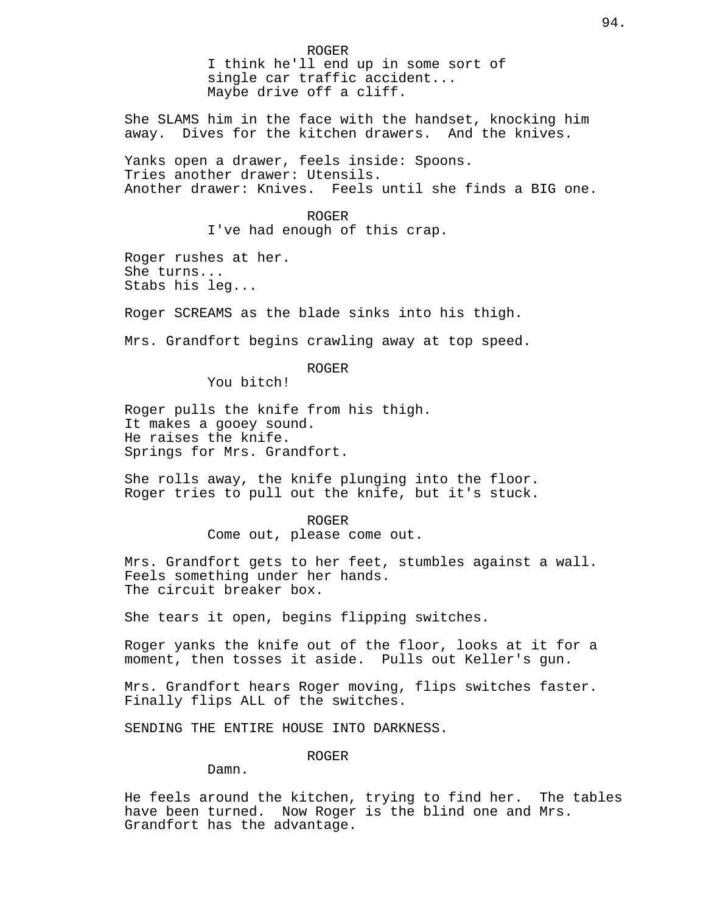ROGER I think he'll end up in some sort of single car traffic accident... Maybe drive off a cliff.

She SLAMS him in the face with the handset, knocking him away. Dives for the kitchen drawers. And the knives.

Yanks open a drawer, feels inside: Spoons. Tries another drawer: Utensils. Another drawer: Knives. Feels until she finds a BIG one.

> ROGER I've had enough of this crap.

Roger rushes at her. She turns... Stabs his leg...

Roger SCREAMS as the blade sinks into his thigh.

Mrs. Grandfort begins crawling away at top speed.

ROGER

You bitch!

Roger pulls the knife from his thigh. It makes a gooey sound. He raises the knife. Springs for Mrs. Grandfort.

She rolls away, the knife plunging into the floor. Roger tries to pull out the knife, but it's stuck.

> ROGER Come out, please come out.

Mrs. Grandfort gets to her feet, stumbles against a wall. Feels something under her hands. The circuit breaker box.

She tears it open, begins flipping switches.

Roger yanks the knife out of the floor, looks at it for a moment, then tosses it aside. Pulls out Keller's gun.

Mrs. Grandfort hears Roger moving, flips switches faster. Finally flips ALL of the switches.

SENDING THE ENTIRE HOUSE INTO DARKNESS.

ROGER

Damn.

He feels around the kitchen, trying to find her. The tables have been turned. Now Roger is the blind one and Mrs. Grandfort has the advantage.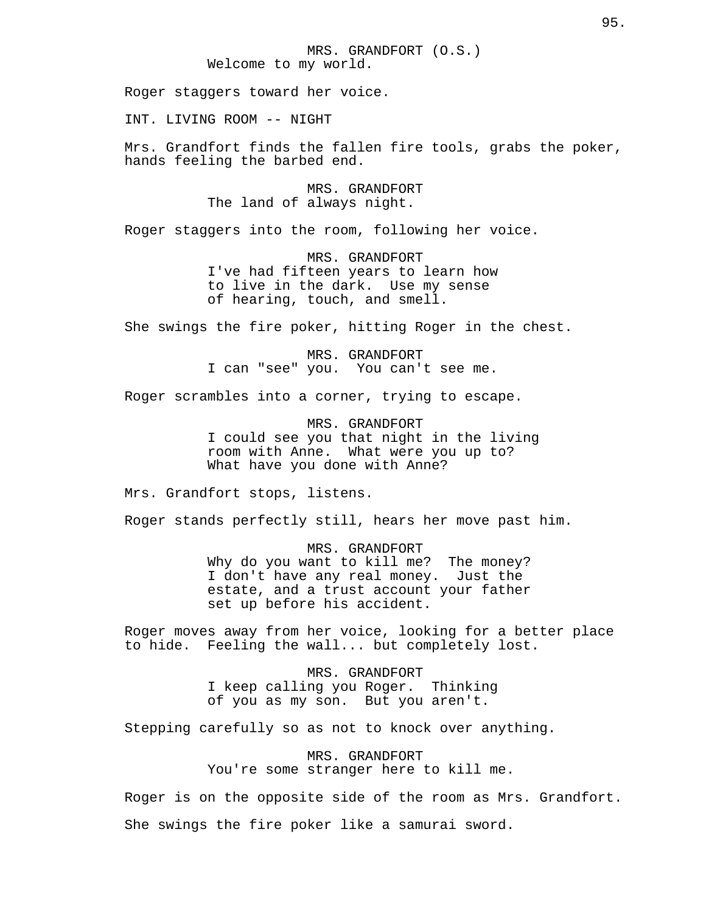Roger staggers toward her voice.

INT. LIVING ROOM -- NIGHT

Mrs. Grandfort finds the fallen fire tools, grabs the poker, hands feeling the barbed end.

> MRS. GRANDFORT The land of always night.

Roger staggers into the room, following her voice.

MRS. GRANDFORT I've had fifteen years to learn how to live in the dark. Use my sense of hearing, touch, and smell.

She swings the fire poker, hitting Roger in the chest.

MRS. GRANDFORT I can "see" you. You can't see me.

Roger scrambles into a corner, trying to escape.

MRS. GRANDFORT I could see you that night in the living room with Anne. What were you up to? What have you done with Anne?

Mrs. Grandfort stops, listens.

Roger stands perfectly still, hears her move past him.

MRS. GRANDFORT Why do you want to kill me? The money? I don't have any real money. Just the estate, and a trust account your father set up before his accident.

Roger moves away from her voice, looking for a better place to hide. Feeling the wall... but completely lost.

> MRS. GRANDFORT I keep calling you Roger. Thinking of you as my son. But you aren't.

Stepping carefully so as not to knock over anything.

MRS. GRANDFORT You're some stranger here to kill me.

Roger is on the opposite side of the room as Mrs. Grandfort. She swings the fire poker like a samurai sword.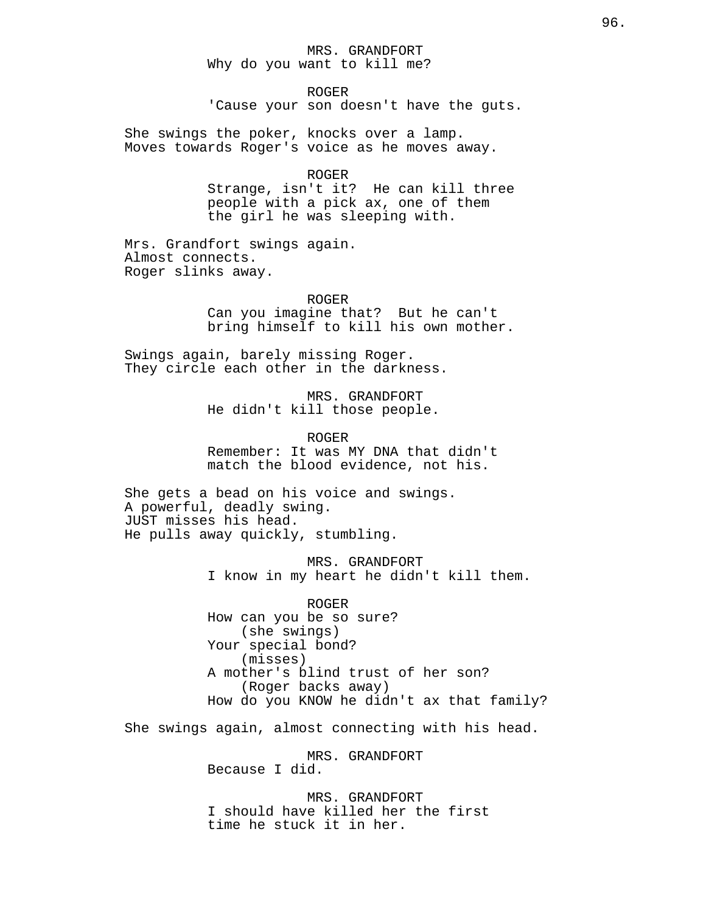# MRS. GRANDFORT Why do you want to kill me?

ROGER 'Cause your son doesn't have the guts.

She swings the poker, knocks over a lamp. Moves towards Roger's voice as he moves away.

#### ROGER

Strange, isn't it? He can kill three people with a pick ax, one of them the girl he was sleeping with.

Mrs. Grandfort swings again. Almost connects. Roger slinks away.

ROGER

Can you imagine that? But he can't bring himself to kill his own mother.

Swings again, barely missing Roger. They circle each other in the darkness.

> MRS. GRANDFORT He didn't kill those people.

> > ROGER

Remember: It was MY DNA that didn't match the blood evidence, not his.

She gets a bead on his voice and swings. A powerful, deadly swing. JUST misses his head. He pulls away quickly, stumbling.

> MRS. GRANDFORT I know in my heart he didn't kill them.

ROGER How can you be so sure? (she swings) Your special bond? (misses) A mother's blind trust of her son? (Roger backs away) How do you KNOW he didn't ax that family?

She swings again, almost connecting with his head.

MRS. GRANDFORT Because I did.

MRS. GRANDFORT I should have killed her the first time he stuck it in her.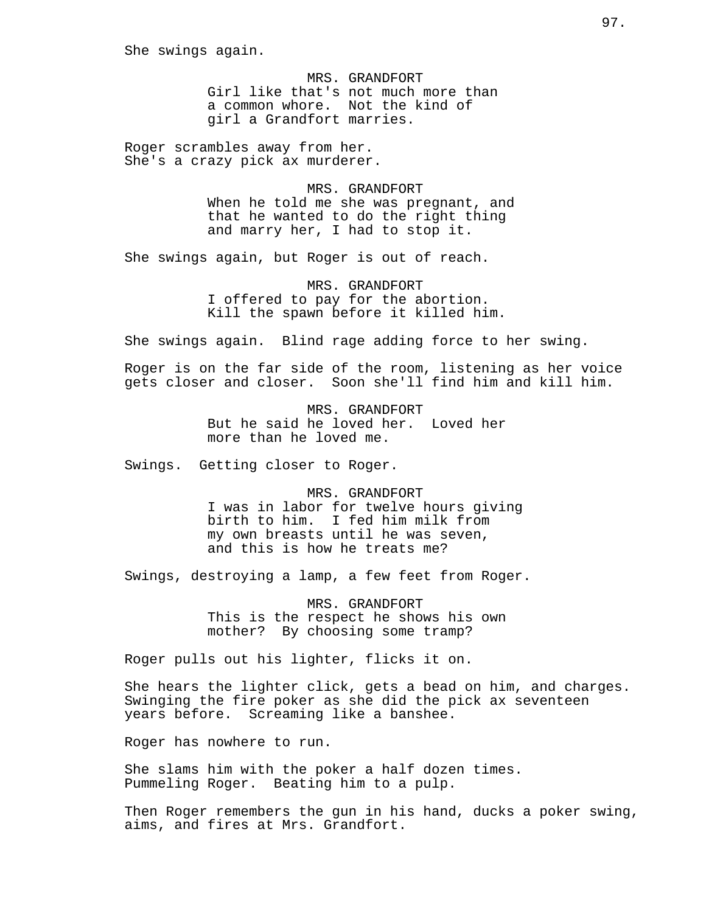She swings again.

MRS. GRANDFORT Girl like that's not much more than a common whore. Not the kind of girl a Grandfort marries.

Roger scrambles away from her. She's a crazy pick ax murderer.

> MRS. GRANDFORT When he told me she was pregnant, and that he wanted to do the right thing and marry her, I had to stop it.

She swings again, but Roger is out of reach.

MRS. GRANDFORT I offered to pay for the abortion. Kill the spawn before it killed him.

She swings again. Blind rage adding force to her swing.

Roger is on the far side of the room, listening as her voice gets closer and closer. Soon she'll find him and kill him.

> MRS. GRANDFORT But he said he loved her. Loved her more than he loved me.

Swings. Getting closer to Roger.

MRS. GRANDFORT I was in labor for twelve hours giving birth to him. I fed him milk from my own breasts until he was seven, and this is how he treats me?

Swings, destroying a lamp, a few feet from Roger.

MRS. GRANDFORT This is the respect he shows his own mother? By choosing some tramp?

Roger pulls out his lighter, flicks it on.

She hears the lighter click, gets a bead on him, and charges. Swinging the fire poker as she did the pick ax seventeen years before. Screaming like a banshee.

Roger has nowhere to run.

She slams him with the poker a half dozen times. Pummeling Roger. Beating him to a pulp.

Then Roger remembers the gun in his hand, ducks a poker swing, aims, and fires at Mrs. Grandfort.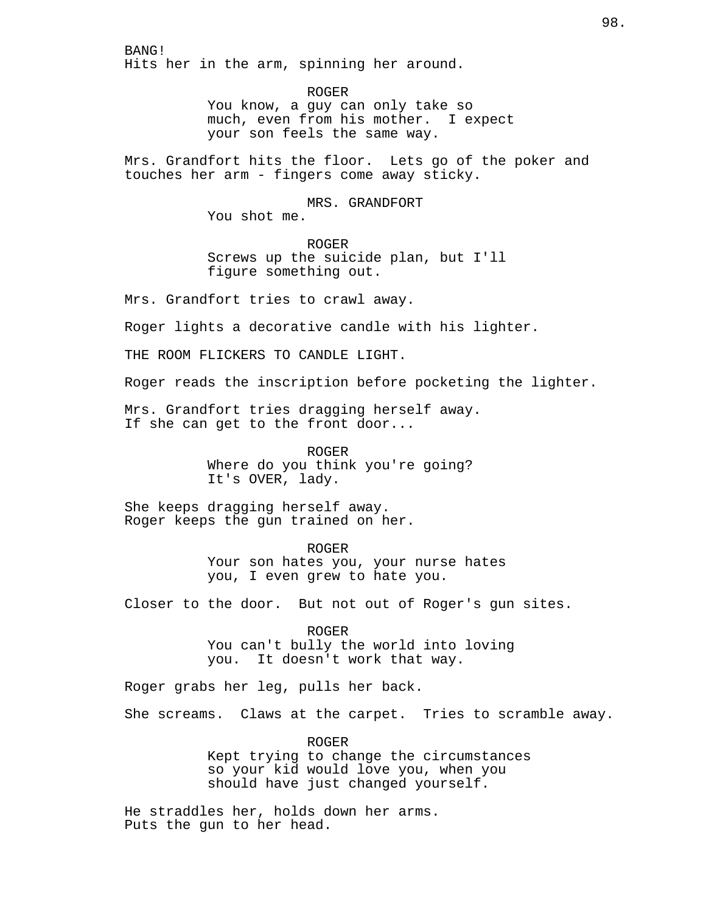BANG! Hits her in the arm, spinning her around.

> ROGER You know, a guy can only take so<br>much, even from his mother. I expect much, even from his mother. your son feels the same way.

Mrs. Grandfort hits the floor. Lets go of the poker and touches her arm - fingers come away sticky.

> MRS. GRANDFORT You shot me.

ROGER Screws up the suicide plan, but I'll figure something out.

Mrs. Grandfort tries to crawl away.

Roger lights a decorative candle with his lighter.

THE ROOM FLICKERS TO CANDLE LIGHT.

Roger reads the inscription before pocketing the lighter.

Mrs. Grandfort tries dragging herself away. If she can get to the front door...

> ROGER Where do you think you're going? It's OVER, lady.

She keeps dragging herself away. Roger keeps the gun trained on her.

ROGER

Your son hates you, your nurse hates you, I even grew to hate you.

Closer to the door. But not out of Roger's gun sites.

ROGER You can't bully the world into loving you. It doesn't work that way.

Roger grabs her leg, pulls her back.

She screams. Claws at the carpet. Tries to scramble away.

ROGER Kept trying to change the circumstances so your kid would love you, when you should have just changed yourself.

He straddles her, holds down her arms. Puts the gun to her head.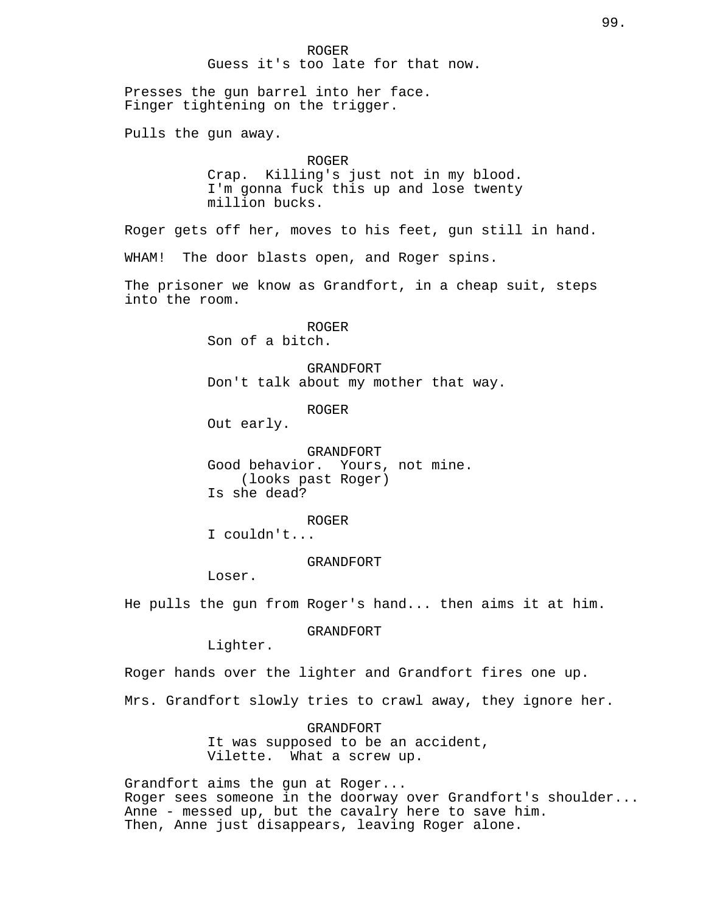ROGER Guess it's too late for that now. Presses the gun barrel into her face. Finger tightening on the trigger. Pulls the gun away. ROGER Crap. Killing's just not in my blood. I'm gonna fuck this up and lose twenty million bucks. Roger gets off her, moves to his feet, gun still in hand. WHAM! The door blasts open, and Roger spins. The prisoner we know as Grandfort, in a cheap suit, steps into the room. ROGER Son of a bitch. GRANDFORT Don't talk about my mother that way. ROGER Out early. GRANDFORT Good behavior. Yours, not mine. (looks past Roger) Is she dead? ROGER I couldn't... GRANDFORT Loser. He pulls the gun from Roger's hand... then aims it at him. GRANDFORT Lighter. Roger hands over the lighter and Grandfort fires one up. Mrs. Grandfort slowly tries to crawl away, they ignore her.

GRANDFORT It was supposed to be an accident, Vilette. What a screw up.

Grandfort aims the gun at Roger... Roger sees someone in the doorway over Grandfort's shoulder... Anne - messed up, but the cavalry here to save him. Then, Anne just disappears, leaving Roger alone.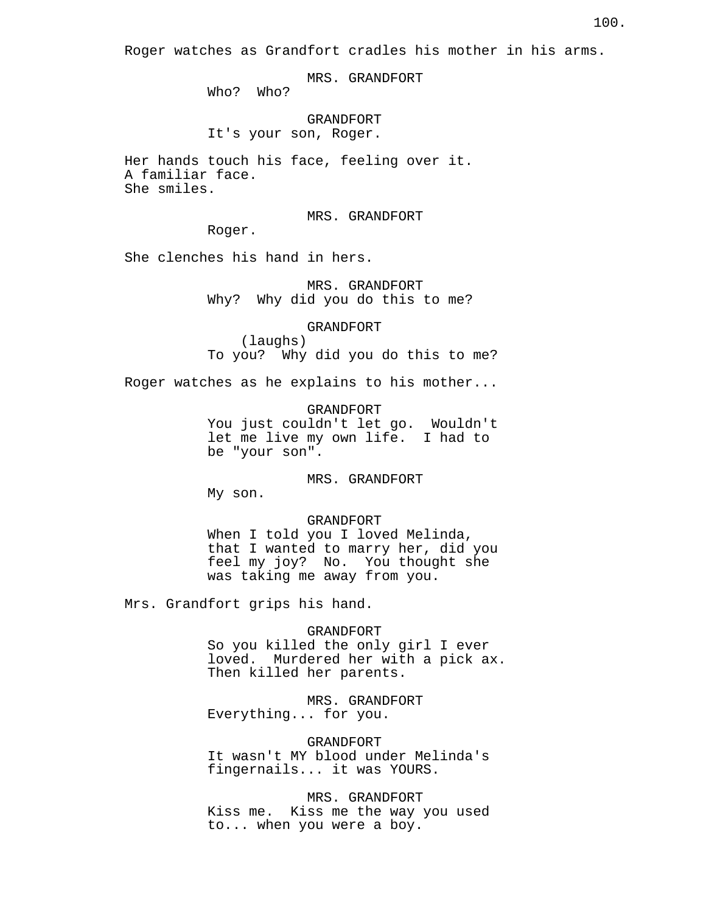Roger watches as Grandfort cradles his mother in his arms.

MRS. GRANDFORT

Who? Who?

GRANDFORT It's your son, Roger.

Her hands touch his face, feeling over it. A familiar face. She smiles.

MRS. GRANDFORT

Roger.

She clenches his hand in hers.

MRS. GRANDFORT Why? Why did you do this to me?

GRANDFORT

(laughs) To you? Why did you do this to me?

Roger watches as he explains to his mother...

GRANDFORT You just couldn't let go. Wouldn't let me live my own life. I had to be "your son".

MRS. GRANDFORT

My son.

## GRANDFORT

When I told you I loved Melinda, that I wanted to marry her, did you feel my joy? No. You thought she was taking me away from you.

Mrs. Grandfort grips his hand.

### GRANDFORT

So you killed the only girl I ever loved. Murdered her with a pick ax. Then killed her parents.

# MRS. GRANDFORT

Everything... for you.

# GRANDFORT

It wasn't MY blood under Melinda's fingernails... it was YOURS.

MRS. GRANDFORT Kiss me. Kiss me the way you used to... when you were a boy.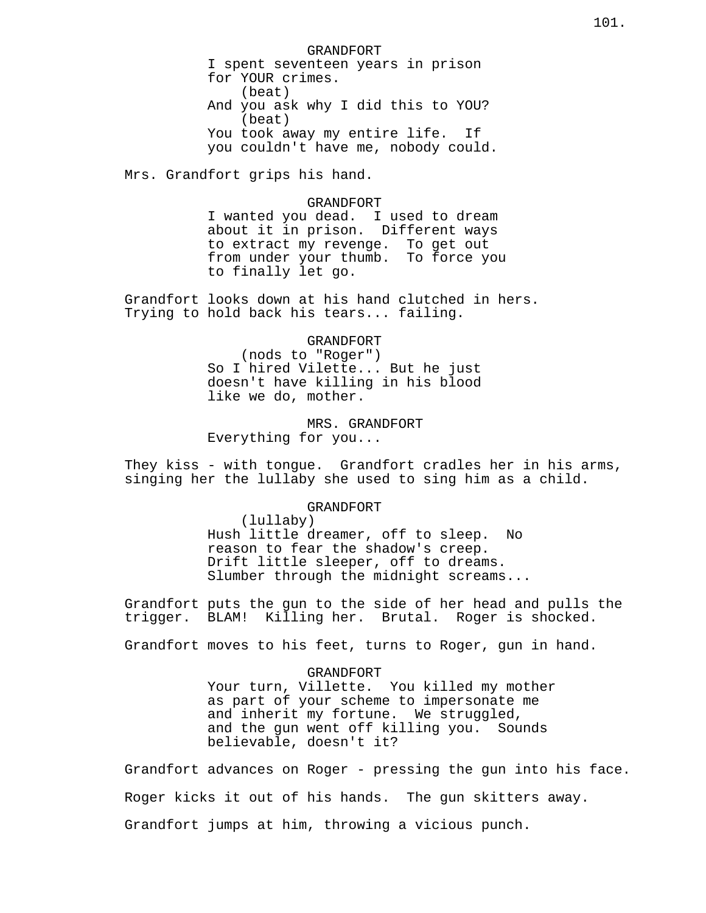GRANDFORT I spent seventeen years in prison for YOUR crimes. (beat) And you ask why I did this to YOU? (beat) You took away my entire life. If you couldn't have me, nobody could.

Mrs. Grandfort grips his hand.

#### GRANDFORT

I wanted you dead. I used to dream about it in prison. Different ways to extract my revenge. To get out from under your thumb. To force you to finally let go.

Grandfort looks down at his hand clutched in hers. Trying to hold back his tears... failing.

GRANDFORT

(nods to "Roger") So I hired Vilette... But he just doesn't have killing in his blood like we do, mother.

MRS. GRANDFORT Everything for you...

They kiss - with tongue. Grandfort cradles her in his arms, singing her the lullaby she used to sing him as a child.

## GRANDFORT

(lullaby) Hush little dreamer, off to sleep. No reason to fear the shadow's creep. Drift little sleeper, off to dreams. Slumber through the midnight screams...

Grandfort puts the gun to the side of her head and pulls the trigger. BLAM! Killing her. Brutal. Roger is shocked.

Grandfort moves to his feet, turns to Roger, gun in hand.

GRANDFORT Your turn, Villette. You killed my mother as part of your scheme to impersonate me and inherit my fortune. We struggled, and the gun went off killing you. Sounds believable, doesn't it?

Grandfort advances on Roger - pressing the gun into his face. Roger kicks it out of his hands. The gun skitters away. Grandfort jumps at him, throwing a vicious punch.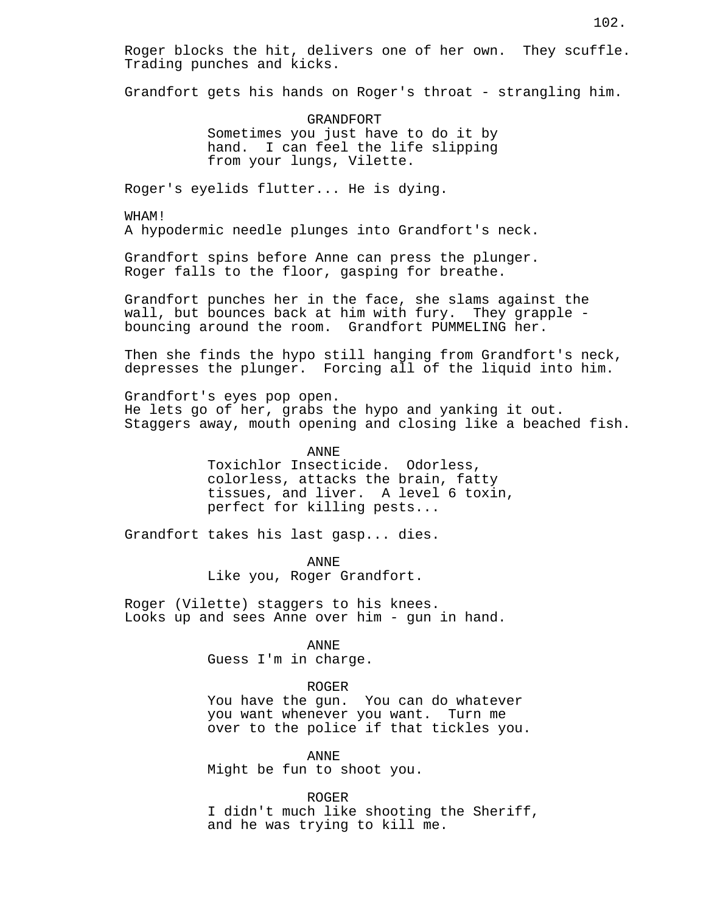Roger blocks the hit, delivers one of her own. They scuffle. Trading punches and kicks.

Grandfort gets his hands on Roger's throat - strangling him.

GRANDFORT Sometimes you just have to do it by hand. I can feel the life slipping from your lungs, Vilette.

Roger's eyelids flutter... He is dying.

WHAM! A hypodermic needle plunges into Grandfort's neck.

Grandfort spins before Anne can press the plunger. Roger falls to the floor, gasping for breathe.

Grandfort punches her in the face, she slams against the wall, but bounces back at him with fury. They grapple bouncing around the room. Grandfort PUMMELING her.

Then she finds the hypo still hanging from Grandfort's neck, depresses the plunger. Forcing all of the liquid into him.

Grandfort's eyes pop open. He lets go of her, grabs the hypo and yanking it out. Staggers away, mouth opening and closing like a beached fish.

> ANNE Toxichlor Insecticide. Odorless, colorless, attacks the brain, fatty tissues, and liver. A level 6 toxin, perfect for killing pests...

Grandfort takes his last gasp... dies.

ANNE Like you, Roger Grandfort.

Roger (Vilette) staggers to his knees. Looks up and sees Anne over him - gun in hand.

ANNE

Guess I'm in charge.

ROGER

You have the gun. You can do whatever you want whenever you want. Turn me over to the police if that tickles you.

ANNE

Might be fun to shoot you.

ROGER

I didn't much like shooting the Sheriff, and he was trying to kill me.